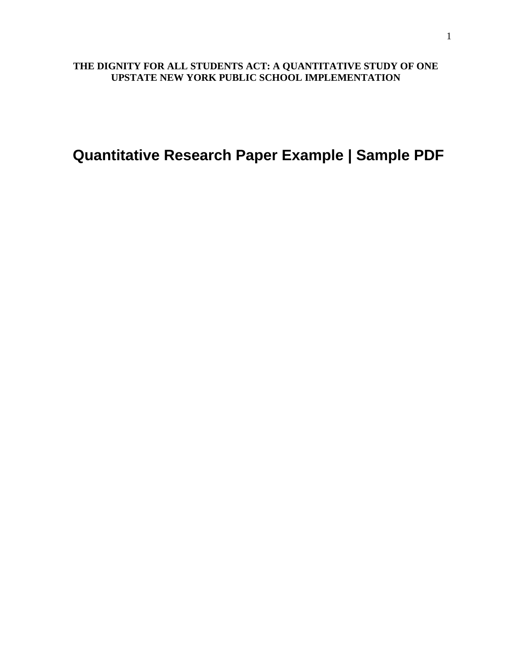# **THE DIGNITY FOR ALL STUDENTS ACT: A QUANTITATIVE STUDY OF ONE UPSTATE NEW YORK PUBLIC SCHOOL IMPLEMENTATION**

**Quantitative Research Paper Example | Sample PDF**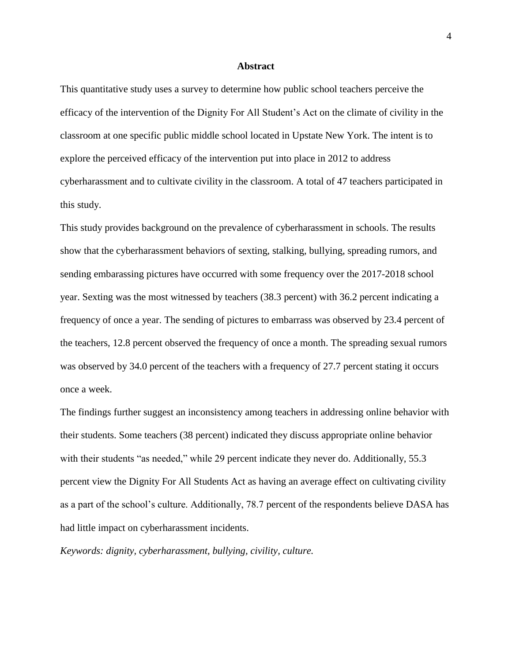# **Abstract**

<span id="page-1-0"></span>This quantitative study uses a survey to determine how public school teachers perceive the efficacy of the intervention of the Dignity For All Student's Act on the climate of civility in the classroom at one specific public middle school located in Upstate New York. The intent is to explore the perceived efficacy of the intervention put into place in 2012 to address cyberharassment and to cultivate civility in the classroom. A total of 47 teachers participated in this study.

This study provides background on the prevalence of cyberharassment in schools. The results show that the cyberharassment behaviors of sexting, stalking, bullying, spreading rumors, and sending embarassing pictures have occurred with some frequency over the 2017-2018 school year. Sexting was the most witnessed by teachers (38.3 percent) with 36.2 percent indicating a frequency of once a year. The sending of pictures to embarrass was observed by 23.4 percent of the teachers, 12.8 percent observed the frequency of once a month. The spreading sexual rumors was observed by 34.0 percent of the teachers with a frequency of 27.7 percent stating it occurs once a week.

The findings further suggest an inconsistency among teachers in addressing online behavior with their students. Some teachers (38 percent) indicated they discuss appropriate online behavior with their students "as needed," while 29 percent indicate they never do. Additionally, 55.3 percent view the Dignity For All Students Act as having an average effect on cultivating civility as a part of the school's culture. Additionally, 78.7 percent of the respondents believe DASA has had little impact on cyberharassment incidents.

*Keywords: dignity, cyberharassment, bullying, civility, culture.*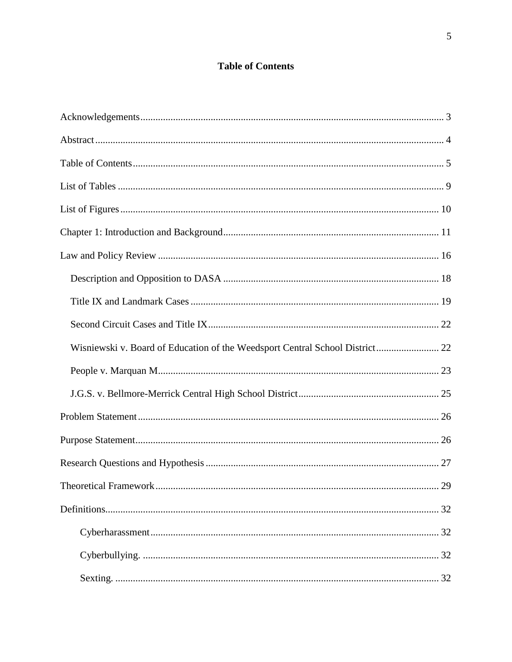# **Table of Contents**

<span id="page-2-0"></span>

| Wisniewski v. Board of Education of the Weedsport Central School District 22 |    |
|------------------------------------------------------------------------------|----|
|                                                                              |    |
|                                                                              |    |
|                                                                              |    |
|                                                                              |    |
|                                                                              |    |
|                                                                              | 29 |
|                                                                              |    |
|                                                                              |    |
|                                                                              |    |
|                                                                              |    |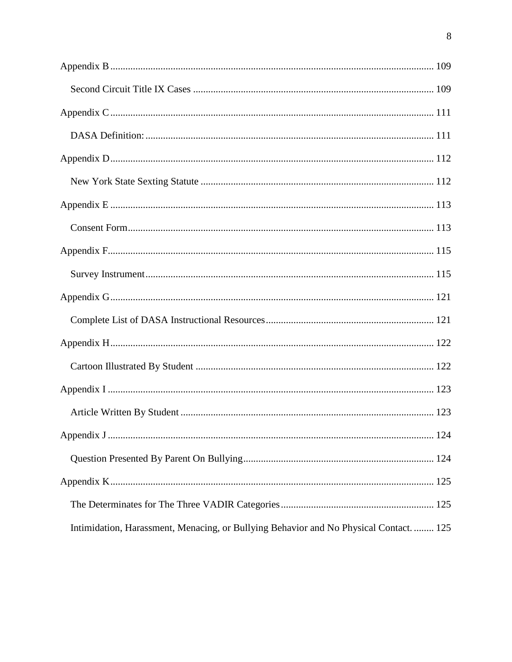| Intimidation, Harassment, Menacing, or Bullying Behavior and No Physical Contact 125 |
|--------------------------------------------------------------------------------------|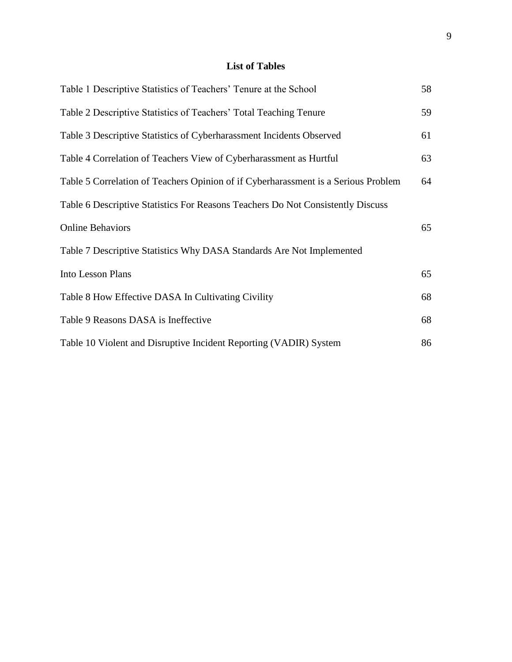# **List of Tables**

<span id="page-6-0"></span>

| Table 1 Descriptive Statistics of Teachers' Tenure at the School                   | 58 |
|------------------------------------------------------------------------------------|----|
| Table 2 Descriptive Statistics of Teachers' Total Teaching Tenure                  | 59 |
| Table 3 Descriptive Statistics of Cyberharassment Incidents Observed               | 61 |
| Table 4 Correlation of Teachers View of Cyberharassment as Hurtful                 | 63 |
| Table 5 Correlation of Teachers Opinion of if Cyberharassment is a Serious Problem | 64 |
| Table 6 Descriptive Statistics For Reasons Teachers Do Not Consistently Discuss    |    |
| <b>Online Behaviors</b>                                                            | 65 |
| Table 7 Descriptive Statistics Why DASA Standards Are Not Implemented              |    |
| Into Lesson Plans                                                                  | 65 |
| Table 8 How Effective DASA In Cultivating Civility                                 | 68 |
| Table 9 Reasons DASA is Ineffective                                                | 68 |
| Table 10 Violent and Disruptive Incident Reporting (VADIR) System                  | 86 |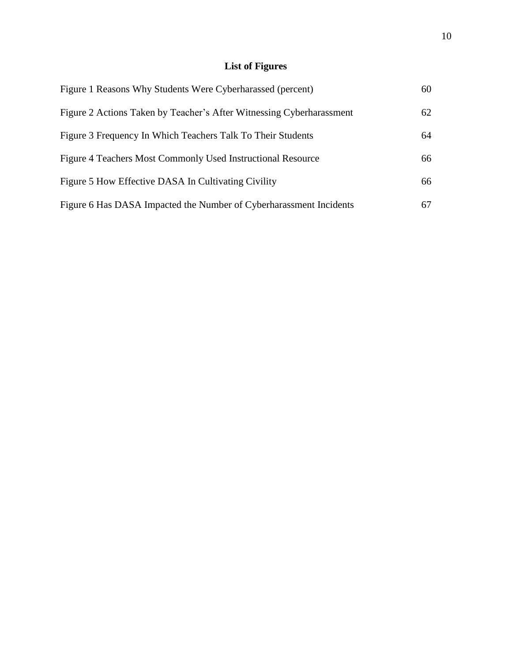# **List of Figures**

<span id="page-7-0"></span>

| Figure 1 Reasons Why Students Were Cyberharassed (percent)           | 60 |
|----------------------------------------------------------------------|----|
| Figure 2 Actions Taken by Teacher's After Witnessing Cyberharassment | 62 |
| Figure 3 Frequency In Which Teachers Talk To Their Students          | 64 |
| Figure 4 Teachers Most Commonly Used Instructional Resource          | 66 |
| Figure 5 How Effective DASA In Cultivating Civility                  | 66 |
| Figure 6 Has DASA Impacted the Number of Cyberharassment Incidents   | 67 |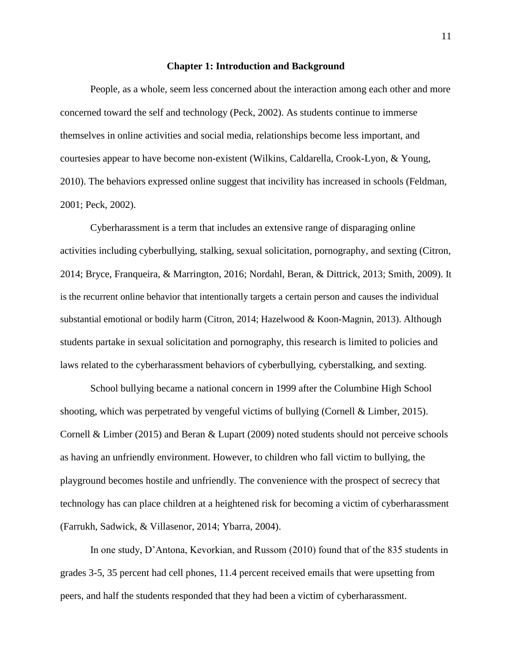#### **Chapter 1: Introduction and Background**

<span id="page-8-0"></span>People, as a whole, seem less concerned about the interaction among each other and more concerned toward the self and technology (Peck, 2002). As students continue to immerse themselves in online activities and social media, relationships become less important, and courtesies appear to have become non-existent (Wilkins, Caldarella, Crook-Lyon, & Young, 2010). The behaviors expressed online suggest that incivility has increased in schools (Feldman, 2001; Peck, 2002).

Cyberharassment is a term that includes an extensive range of disparaging online activities including cyberbullying, stalking, sexual solicitation, pornography, and sexting (Citron, 2014; Bryce, Franqueira, & Marrington, 2016; Nordahl, Beran, & Dittrick, 2013; Smith, 2009). It is the recurrent online behavior that intentionally targets a certain person and causes the individual substantial emotional or bodily harm (Citron, 2014; Hazelwood & Koon-Magnin, 2013). Although students partake in sexual solicitation and pornography, this research is limited to policies and laws related to the cyberharassment behaviors of cyberbullying, cyberstalking, and sexting.

School bullying became a national concern in 1999 after the Columbine High School shooting, which was perpetrated by vengeful victims of bullying (Cornell & Limber, 2015). Cornell & Limber (2015) and Beran & Lupart (2009) noted students should not perceive schools as having an unfriendly environment. However, to children who fall victim to bullying, the playground becomes hostile and unfriendly. The convenience with the prospect of secrecy that technology has can place children at a heightened risk for becoming a victim of cyberharassment (Farrukh, Sadwick, & Villasenor, 2014; Ybarra, 2004).

In one study, D'Antona, Kevorkian, and Russom (2010) found that of the 835 students in grades 3-5, 35 percent had cell phones, 11.4 percent received emails that were upsetting from peers, and half the students responded that they had been a victim of cyberharassment.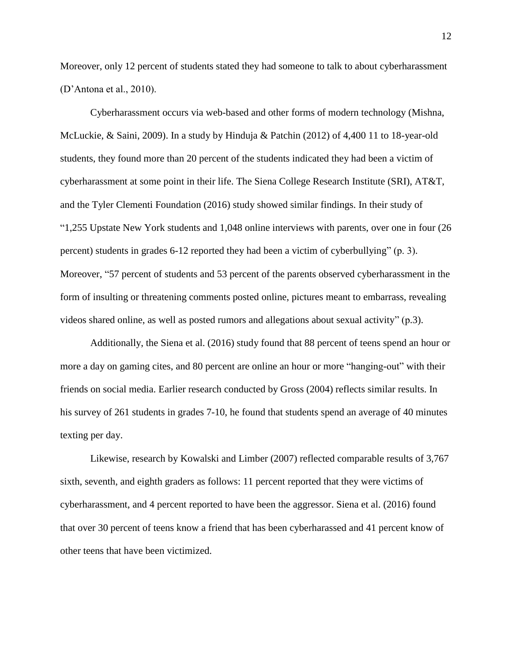Moreover, only 12 percent of students stated they had someone to talk to about cyberharassment (D'Antona et al., 2010).

Cyberharassment occurs via web-based and other forms of modern technology (Mishna, McLuckie, & Saini, 2009). In a study by Hinduja & Patchin (2012) of 4,400 11 to 18-year-old students, they found more than 20 percent of the students indicated they had been a victim of cyberharassment at some point in their life. The Siena College Research Institute (SRI), AT&T, and the Tyler Clementi Foundation (2016) study showed similar findings. In their study of "1,255 Upstate New York students and 1,048 online interviews with parents, over one in four (26 percent) students in grades 6-12 reported they had been a victim of cyberbullying" (p. 3). Moreover, "57 percent of students and 53 percent of the parents observed cyberharassment in the form of insulting or threatening comments posted online, pictures meant to embarrass, revealing videos shared online, as well as posted rumors and allegations about sexual activity" (p.3).

Additionally, the Siena et al. (2016) study found that 88 percent of teens spend an hour or more a day on gaming cites, and 80 percent are online an hour or more "hanging-out" with their friends on social media. Earlier research conducted by Gross (2004) reflects similar results. In his survey of 261 students in grades 7-10, he found that students spend an average of 40 minutes texting per day.

Likewise, research by Kowalski and Limber (2007) reflected comparable results of 3,767 sixth, seventh, and eighth graders as follows: 11 percent reported that they were victims of cyberharassment, and 4 percent reported to have been the aggressor. Siena et al. (2016) found that over 30 percent of teens know a friend that has been cyberharassed and 41 percent know of other teens that have been victimized.

12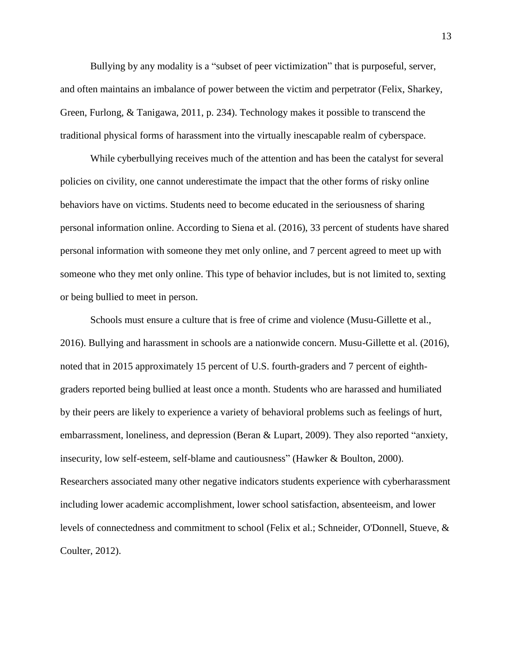Bullying by any modality is a "subset of peer victimization" that is purposeful, server, and often maintains an imbalance of power between the victim and perpetrator (Felix, Sharkey, Green, Furlong, & Tanigawa, 2011, p. 234). Technology makes it possible to transcend the traditional physical forms of harassment into the virtually inescapable realm of cyberspace.

While cyberbullying receives much of the attention and has been the catalyst for several policies on civility, one cannot underestimate the impact that the other forms of risky online behaviors have on victims. Students need to become educated in the seriousness of sharing personal information online. According to Siena et al. (2016), 33 percent of students have shared personal information with someone they met only online, and 7 percent agreed to meet up with someone who they met only online. This type of behavior includes, but is not limited to, sexting or being bullied to meet in person.

Schools must ensure a culture that is free of crime and violence (Musu-Gillette et al., 2016). Bullying and harassment in schools are a nationwide concern. Musu-Gillette et al. (2016), noted that in 2015 approximately 15 percent of U.S. fourth-graders and 7 percent of eighthgraders reported being bullied at least once a month. Students who are harassed and humiliated by their peers are likely to experience a variety of behavioral problems such as feelings of hurt, embarrassment, loneliness, and depression (Beran & Lupart, 2009). They also reported "anxiety, insecurity, low self-esteem, self-blame and cautiousness" (Hawker & Boulton, 2000). Researchers associated many other negative indicators students experience with cyberharassment including lower academic accomplishment, lower school satisfaction, absenteeism, and lower levels of connectedness and commitment to school (Felix et al.; Schneider, O'Donnell, Stueve, & Coulter, 2012).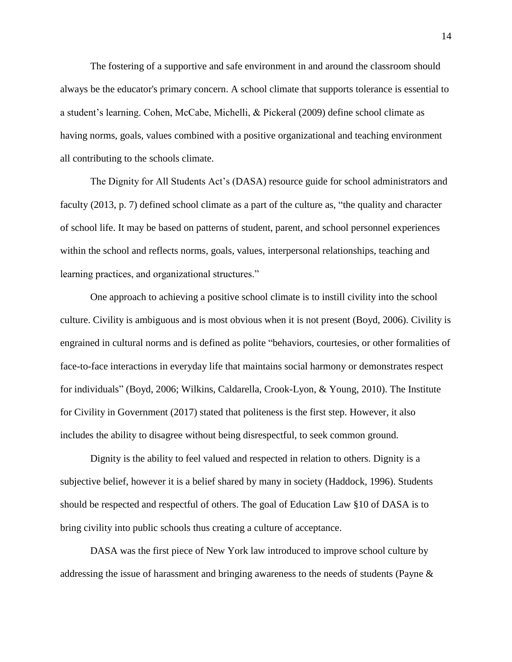The fostering of a supportive and safe environment in and around the classroom should always be the educator's primary concern. A school climate that supports tolerance is essential to a student's learning. Cohen, McCabe, Michelli, & Pickeral (2009) define school climate as having norms, goals, values combined with a positive organizational and teaching environment all contributing to the schools climate.

The Dignity for All Students Act's (DASA) resource guide for school administrators and faculty (2013, p. 7) defined school climate as a part of the culture as, "the quality and character of school life. It may be based on patterns of student, parent, and school personnel experiences within the school and reflects norms, goals, values, interpersonal relationships, teaching and learning practices, and organizational structures."

One approach to achieving a positive school climate is to instill civility into the school culture. Civility is ambiguous and is most obvious when it is not present (Boyd, 2006). Civility is engrained in cultural norms and is defined as polite "behaviors, courtesies, or other formalities of face-to-face interactions in everyday life that maintains social harmony or demonstrates respect for individuals" (Boyd, 2006; Wilkins, Caldarella, Crook-Lyon, & Young, 2010). The Institute for Civility in Government (2017) stated that politeness is the first step. However, it also includes the ability to disagree without being disrespectful, to seek common ground.

Dignity is the ability to feel valued and respected in relation to others. Dignity is a subjective belief, however it is a belief shared by many in society (Haddock, 1996). Students should be respected and respectful of others. The goal of Education Law §10 of DASA is to bring civility into public schools thus creating a culture of acceptance.

DASA was the first piece of New York law introduced to improve school culture by addressing the issue of harassment and bringing awareness to the needs of students (Payne &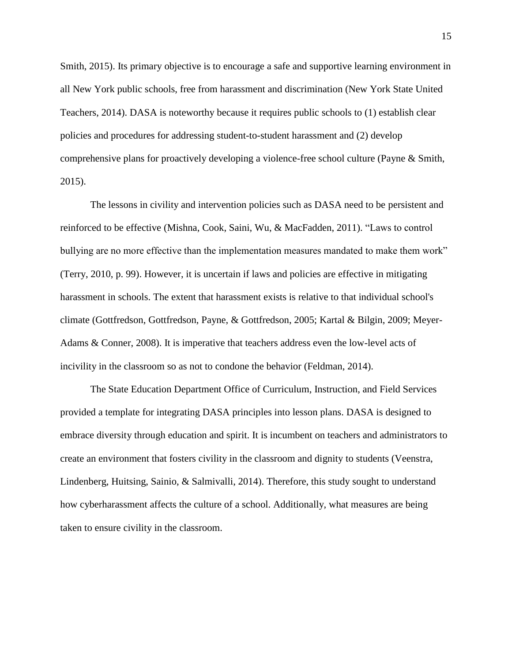Smith, 2015). Its primary objective is to encourage a safe and supportive learning environment in all New York public schools, free from harassment and discrimination (New York State United Teachers, 2014). DASA is noteworthy because it requires public schools to (1) establish clear policies and procedures for addressing student-to-student harassment and (2) develop comprehensive plans for proactively developing a violence-free school culture (Payne & Smith, 2015).

The lessons in civility and intervention policies such as DASA need to be persistent and reinforced to be effective (Mishna, Cook, Saini, Wu, & MacFadden, 2011). "Laws to control bullying are no more effective than the implementation measures mandated to make them work" (Terry, 2010, p. 99). However, it is uncertain if laws and policies are effective in mitigating harassment in schools. The extent that harassment exists is relative to that individual school's climate (Gottfredson, Gottfredson, Payne, & Gottfredson, 2005; Kartal & Bilgin, 2009; Meyer-Adams & Conner, 2008). It is imperative that teachers address even the low-level acts of incivility in the classroom so as not to condone the behavior (Feldman, 2014).

The State Education Department Office of Curriculum, Instruction, and Field Services provided a template for integrating DASA principles into lesson plans. DASA is designed to embrace diversity through education and spirit. It is incumbent on teachers and administrators to create an environment that fosters civility in the classroom and dignity to students (Veenstra, Lindenberg, Huitsing, Sainio, & Salmivalli, 2014). Therefore, this study sought to understand how cyberharassment affects the culture of a school. Additionally, what measures are being taken to ensure civility in the classroom.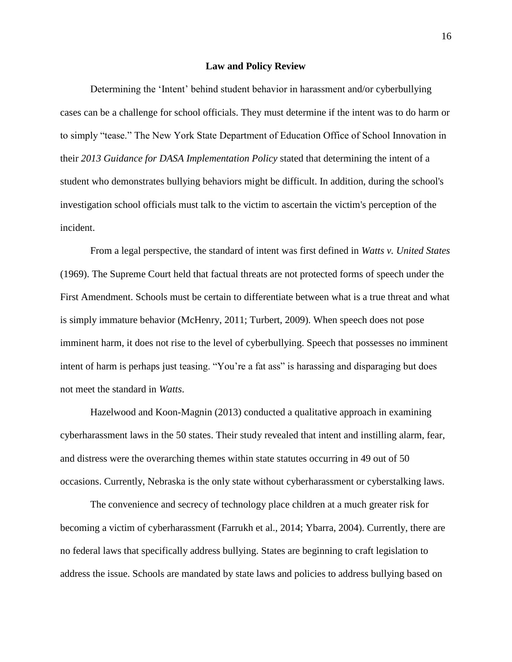#### **Law and Policy Review**

<span id="page-13-0"></span>Determining the 'Intent' behind student behavior in harassment and/or cyberbullying cases can be a challenge for school officials. They must determine if the intent was to do harm or to simply "tease." The New York State Department of Education Office of School Innovation in their *2013 Guidance for DASA Implementation Policy* stated that determining the intent of a student who demonstrates bullying behaviors might be difficult. In addition, during the school's investigation school officials must talk to the victim to ascertain the victim's perception of the incident.

From a legal perspective, the standard of intent was first defined in *Watts v. United States* (1969). The Supreme Court held that factual threats are not protected forms of speech under the First Amendment. Schools must be certain to differentiate between what is a true threat and what is simply immature behavior (McHenry, 2011; Turbert, 2009). When speech does not pose imminent harm, it does not rise to the level of cyberbullying. Speech that possesses no imminent intent of harm is perhaps just teasing. "You're a fat ass" is harassing and disparaging but does not meet the standard in *Watts*.

Hazelwood and Koon-Magnin (2013) conducted a qualitative approach in examining cyberharassment laws in the 50 states. Their study revealed that intent and instilling alarm, fear, and distress were the overarching themes within state statutes occurring in 49 out of 50 occasions. Currently, Nebraska is the only state without cyberharassment or cyberstalking laws.

The convenience and secrecy of technology place children at a much greater risk for becoming a victim of cyberharassment (Farrukh et al., 2014; Ybarra, 2004). Currently, there are no federal laws that specifically address bullying. States are beginning to craft legislation to address the issue. Schools are mandated by state laws and policies to address bullying based on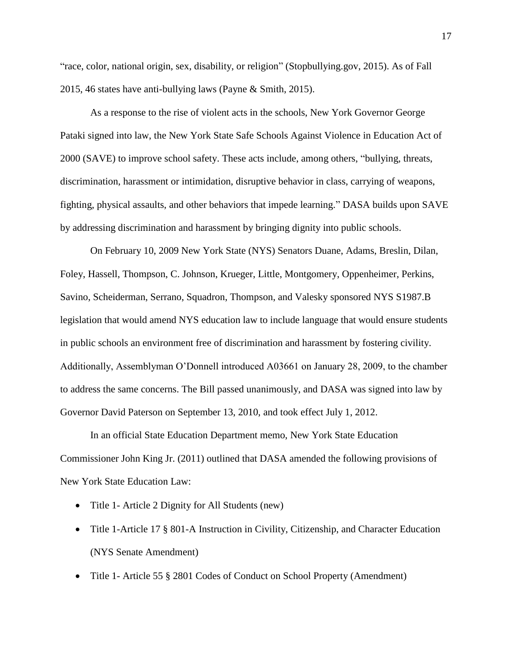"race, color, national origin, sex, disability, or religion" (Stopbullying.gov, 2015). As of Fall 2015, 46 states have anti-bullying laws (Payne & Smith, 2015).

As a response to the rise of violent acts in the schools, New York Governor George Pataki signed into law, the New York State Safe Schools Against Violence in Education Act of 2000 (SAVE) to improve school safety. These acts include, among others, "bullying, threats, discrimination, harassment or intimidation, disruptive behavior in class, carrying of weapons, fighting, physical assaults, and other behaviors that impede learning." DASA builds upon SAVE by addressing discrimination and harassment by bringing dignity into public schools.

On February 10, 2009 New York State (NYS) Senators Duane, Adams, Breslin, Dilan, Foley, Hassell, Thompson, C. Johnson, Krueger, Little, Montgomery, Oppenheimer, Perkins, Savino, Scheiderman, Serrano, Squadron, Thompson, and Valesky sponsored NYS S1987.B legislation that would amend NYS education law to include language that would ensure students in public schools an environment free of discrimination and harassment by fostering civility. Additionally, Assemblyman O'Donnell introduced A03661 on January 28, 2009, to the chamber to address the same concerns. The Bill passed unanimously, and DASA was signed into law by Governor David Paterson on September 13, 2010, and took effect July 1, 2012.

In an official State Education Department memo, New York State Education Commissioner John King Jr. (2011) outlined that DASA amended the following provisions of New York State Education Law:

- Title 1- Article 2 Dignity for All Students (new)
- Title 1-Article 17 § 801-A Instruction in Civility, Citizenship, and Character Education (NYS Senate Amendment)
- Title 1- Article 55 § 2801 Codes of Conduct on School Property (Amendment)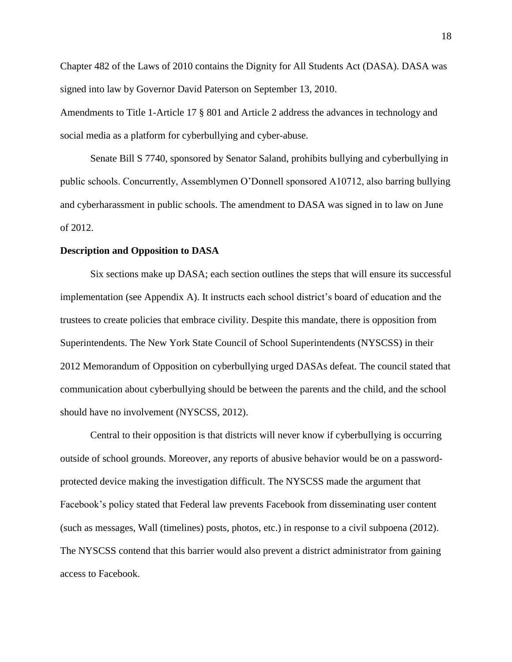Chapter 482 of the Laws of 2010 contains the Dignity for All Students Act (DASA). DASA was signed into law by Governor David Paterson on September 13, 2010.

Amendments to Title 1-Article 17 § 801 and Article 2 address the advances in technology and social media as a platform for cyberbullying and cyber-abuse.

Senate Bill S 7740, sponsored by Senator Saland, prohibits bullying and cyberbullying in public schools. Concurrently, Assemblymen O'Donnell sponsored A10712, also barring bullying and cyberharassment in public schools. The amendment to DASA was signed in to law on June of 2012.

# <span id="page-15-0"></span>**Description and Opposition to DASA**

Six sections make up DASA; each section outlines the steps that will ensure its successful implementation (see Appendix A). It instructs each school district's board of education and the trustees to create policies that embrace civility. Despite this mandate, there is opposition from Superintendents. The New York State Council of School Superintendents (NYSCSS) in their 2012 Memorandum of Opposition on cyberbullying urged DASAs defeat. The council stated that communication about cyberbullying should be between the parents and the child, and the school should have no involvement (NYSCSS, 2012).

Central to their opposition is that districts will never know if cyberbullying is occurring outside of school grounds. Moreover, any reports of abusive behavior would be on a passwordprotected device making the investigation difficult. The NYSCSS made the argument that Facebook's policy stated that Federal law prevents Facebook from disseminating user content (such as messages, Wall (timelines) posts, photos, etc.) in response to a civil subpoena (2012). The NYSCSS contend that this barrier would also prevent a district administrator from gaining access to Facebook.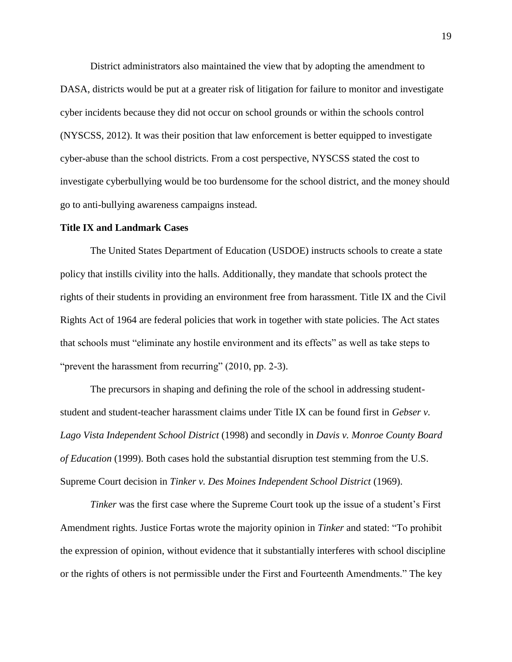District administrators also maintained the view that by adopting the amendment to DASA, districts would be put at a greater risk of litigation for failure to monitor and investigate cyber incidents because they did not occur on school grounds or within the schools control (NYSCSS, 2012). It was their position that law enforcement is better equipped to investigate cyber-abuse than the school districts. From a cost perspective, NYSCSS stated the cost to investigate cyberbullying would be too burdensome for the school district, and the money should go to anti-bullying awareness campaigns instead.

## <span id="page-16-0"></span>**Title IX and Landmark Cases**

The United States Department of Education (USDOE) instructs schools to create a state policy that instills civility into the halls. Additionally, they mandate that schools protect the rights of their students in providing an environment free from harassment. Title IX and the Civil Rights Act of 1964 are federal policies that work in together with state policies. The Act states that schools must "eliminate any hostile environment and its effects" as well as take steps to "prevent the harassment from recurring" (2010, pp. 2-3).

The precursors in shaping and defining the role of the school in addressing studentstudent and student-teacher harassment claims under Title IX can be found first in *Gebser v. Lago Vista Independent School District* (1998) and secondly in *Davis v. Monroe County Board of Education* (1999). Both cases hold the substantial disruption test stemming from the U.S. Supreme Court decision in *Tinker v. Des Moines Independent School District* (1969).

*Tinker* was the first case where the Supreme Court took up the issue of a student's First Amendment rights. Justice Fortas wrote the majority opinion in *Tinker* and stated: "To prohibit the expression of opinion, without evidence that it substantially interferes with school discipline or the rights of others is not permissible under the First and Fourteenth Amendments." The key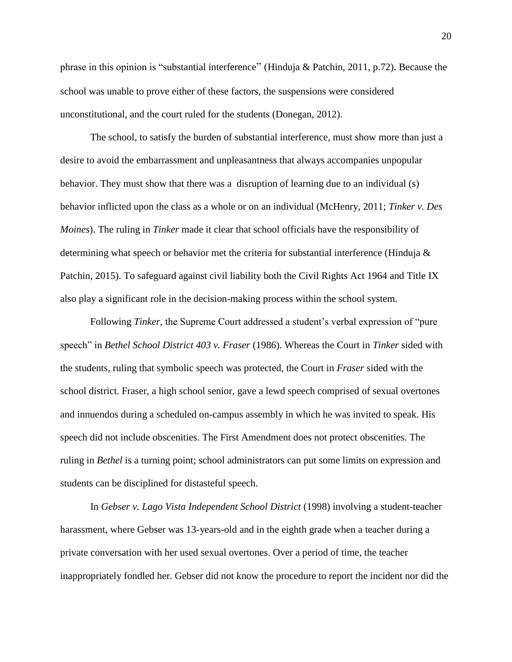phrase in this opinion is "substantial interference" (Hinduja & Patchin, 2011, p.72). Because the school was unable to prove either of these factors, the suspensions were considered unconstitutional, and the court ruled for the students (Donegan, 2012).

The school, to satisfy the burden of substantial interference, must show more than just a desire to avoid the embarrassment and unpleasantness that always accompanies unpopular behavior. They must show that there was a disruption of learning due to an individual (s) behavior inflicted upon the class as a whole or on an individual (McHenry, 2011; *Tinker v. Des Moines*). The ruling in *Tinker* made it clear that school officials have the responsibility of determining what speech or behavior met the criteria for substantial interference (Hinduja & Patchin, 2015). To safeguard against civil liability both the Civil Rights Act 1964 and Title IX also play a significant role in the decision-making process within the school system.

Following *Tinker,* the Supreme Court addressed a student's verbal expression of "pure speech" in *Bethel School District 403 v. Fraser* (1986). Whereas the Court in *Tinker* sided with the students, ruling that symbolic speech was protected, the Court in *Fraser* sided with the school district. Fraser, a high school senior, gave a lewd speech comprised of sexual overtones and innuendos during a scheduled on-campus assembly in which he was invited to speak. His speech did not include obscenities. The First Amendment does not protect obscenities. The ruling in *Bethel* is a turning point; school administrators can put some limits on expression and students can be disciplined for distasteful speech.

In *Gebser v. Lago Vista Independent School District* (1998) involving a student-teacher harassment, where Gebser was 13-years-old and in the eighth grade when a teacher during a private conversation with her used sexual overtones. Over a period of time, the teacher inappropriately fondled her. Gebser did not know the procedure to report the incident nor did the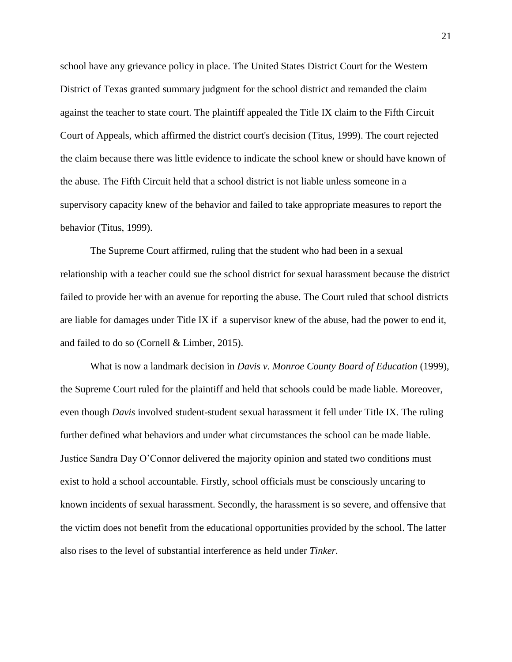school have any grievance policy in place. The United States District Court for the Western District of Texas granted summary judgment for the school district and remanded the claim against the teacher to state court. The plaintiff appealed the Title IX claim to the Fifth Circuit Court of Appeals, which affirmed the district court's decision (Titus, 1999). The court rejected the claim because there was little evidence to indicate the school knew or should have known of the abuse. The Fifth Circuit held that a school district is not liable unless someone in a supervisory capacity knew of the behavior and failed to take appropriate measures to report the behavior (Titus, 1999).

The Supreme Court affirmed, ruling that the student who had been in a sexual relationship with a teacher could sue the school district for sexual harassment because the district failed to provide her with an avenue for reporting the abuse. The Court ruled that school districts are liable for damages under Title IX if a supervisor knew of the abuse, had the power to end it, and failed to do so (Cornell & Limber, 2015).

What is now a landmark decision in *Davis v. Monroe County Board of Education* (1999), the Supreme Court ruled for the plaintiff and held that schools could be made liable. Moreover, even though *Davis* involved student-student sexual harassment it fell under Title IX. The ruling further defined what behaviors and under what circumstances the school can be made liable. Justice Sandra Day O'Connor delivered the majority opinion and stated two conditions must exist to hold a school accountable. Firstly, school officials must be consciously uncaring to known incidents of sexual harassment. Secondly, the harassment is so severe, and offensive that the victim does not benefit from the educational opportunities provided by the school. The latter also rises to the level of substantial interference as held under *Tinker.*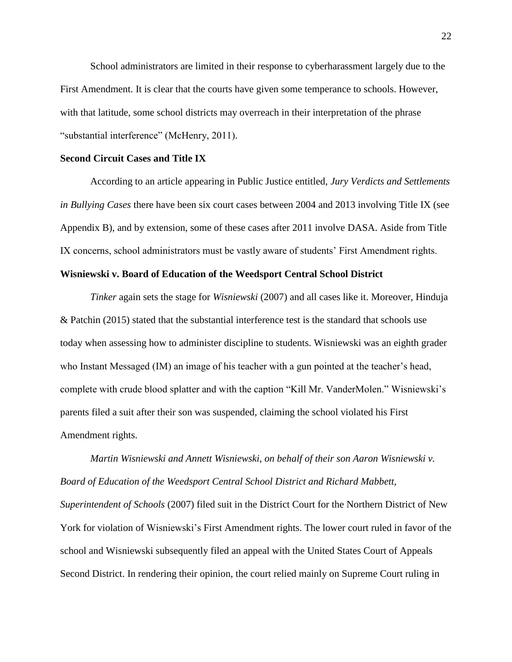School administrators are limited in their response to cyberharassment largely due to the First Amendment. It is clear that the courts have given some temperance to schools. However, with that latitude, some school districts may overreach in their interpretation of the phrase "substantial interference" (McHenry, 2011).

# <span id="page-19-0"></span>**Second Circuit Cases and Title IX**

According to an article appearing in Public Justice entitled, *Jury Verdicts and Settlements in Bullying Cases* there have been six court cases between 2004 and 2013 involving Title IX (see Appendix B), and by extension, some of these cases after 2011 involve DASA. Aside from Title IX concerns, school administrators must be vastly aware of students' First Amendment rights.

#### <span id="page-19-1"></span>**Wisniewski v. Board of Education of the Weedsport Central School District**

*Tinker* again sets the stage for *Wisniewski* (2007) and all cases like it. Moreover, Hinduja & Patchin (2015) stated that the substantial interference test is the standard that schools use today when assessing how to administer discipline to students. Wisniewski was an eighth grader who Instant Messaged (IM) an image of his teacher with a gun pointed at the teacher's head, complete with crude blood splatter and with the caption "Kill Mr. VanderMolen." Wisniewski's parents filed a suit after their son was suspended, claiming the school violated his First Amendment rights.

*Martin Wisniewski and Annett Wisniewski, on behalf of their son Aaron Wisniewski v. Board of Education of the Weedsport Central School District and Richard Mabbett, Superintendent of Schools* (2007) filed suit in the District Court for the Northern District of New York for violation of Wisniewski's First Amendment rights. The lower court ruled in favor of the school and Wisniewski subsequently filed an appeal with the United States Court of Appeals Second District. In rendering their opinion, the court relied mainly on Supreme Court ruling in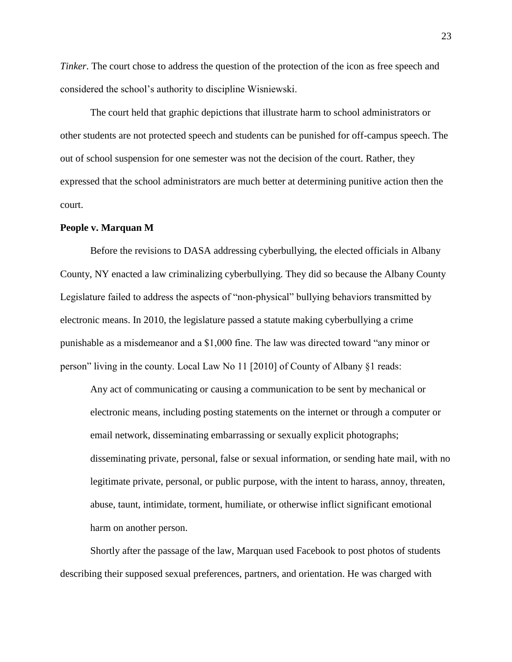*Tinker*. The court chose to address the question of the protection of the icon as free speech and considered the school's authority to discipline Wisniewski.

The court held that graphic depictions that illustrate harm to school administrators or other students are not protected speech and students can be punished for off-campus speech. The out of school suspension for one semester was not the decision of the court. Rather, they expressed that the school administrators are much better at determining punitive action then the court.

# <span id="page-20-0"></span>**People v. Marquan M**

Before the revisions to DASA addressing cyberbullying, the elected officials in Albany County, NY enacted a law criminalizing cyberbullying. They did so because the Albany County Legislature failed to address the aspects of "non-physical" bullying behaviors transmitted by electronic means. In 2010, the legislature passed a statute making cyberbullying a crime punishable as a misdemeanor and a \$1,000 fine. The law was directed toward "any minor or person" living in the county. Local Law No 11 [2010] of County of Albany §1 reads:

Any act of communicating or causing a communication to be sent by mechanical or electronic means, including posting statements on the internet or through a computer or email network, disseminating embarrassing or sexually explicit photographs; disseminating private, personal, false or sexual information, or sending hate mail, with no legitimate private, personal, or public purpose, with the intent to harass, annoy, threaten, abuse, taunt, intimidate, torment, humiliate, or otherwise inflict significant emotional harm on another person.

Shortly after the passage of the law, Marquan used Facebook to post photos of students describing their supposed sexual preferences, partners, and orientation. He was charged with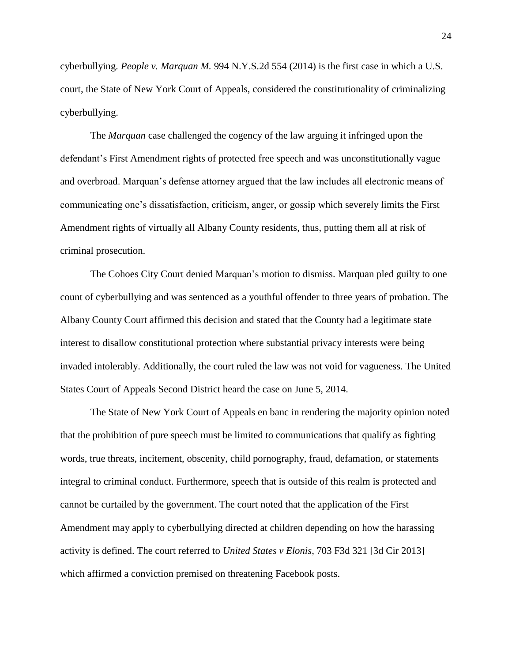cyberbullying. *People v. Marquan M.* 994 N.Y.S.2d 554 (2014) is the first case in which a U.S. court, the State of New York Court of Appeals, considered the constitutionality of criminalizing cyberbullying.

The *Marquan* case challenged the cogency of the law arguing it infringed upon the defendant's First Amendment rights of protected free speech and was unconstitutionally vague and overbroad. Marquan's defense attorney argued that the law includes all electronic means of communicating one's dissatisfaction, criticism, anger, or gossip which severely limits the First Amendment rights of virtually all Albany County residents, thus, putting them all at risk of criminal prosecution.

The Cohoes City Court denied Marquan's motion to dismiss. Marquan pled guilty to one count of cyberbullying and was sentenced as a youthful offender to three years of probation. The Albany County Court affirmed this decision and stated that the County had a legitimate state interest to disallow constitutional protection where substantial privacy interests were being invaded intolerably. Additionally, the court ruled the law was not void for vagueness. The United States Court of Appeals Second District heard the case on June 5, 2014.

The State of New York Court of Appeals en banc in rendering the majority opinion noted that the prohibition of pure speech must be limited to communications that qualify as fighting words, true threats, incitement, obscenity, child pornography, fraud, defamation, or statements integral to criminal conduct. Furthermore, speech that is outside of this realm is protected and cannot be curtailed by the government. The court noted that the application of the First Amendment may apply to cyberbullying directed at children depending on how the harassing activity is defined. The court referred to *United States v Elonis*, 703 F3d 321 [3d Cir 2013] which affirmed a conviction premised on threatening Facebook posts.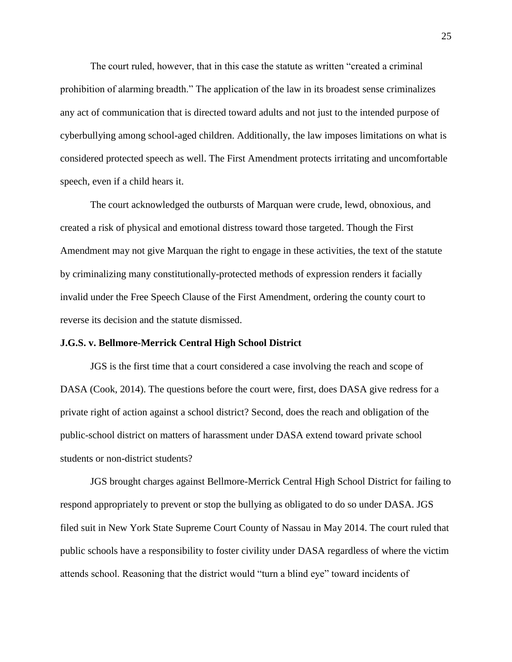The court ruled, however, that in this case the statute as written "created a criminal prohibition of alarming breadth." The application of the law in its broadest sense criminalizes any act of communication that is directed toward adults and not just to the intended purpose of cyberbullying among school-aged children. Additionally, the law imposes limitations on what is considered protected speech as well. The First Amendment protects irritating and uncomfortable speech, even if a child hears it.

The court acknowledged the outbursts of Marquan were crude, lewd, obnoxious, and created a risk of physical and emotional distress toward those targeted. Though the First Amendment may not give Marquan the right to engage in these activities, the text of the statute by criminalizing many constitutionally-protected methods of expression renders it facially invalid under the Free Speech Clause of the First Amendment, ordering the county court to reverse its decision and the statute dismissed.

#### <span id="page-22-0"></span>**J.G.S. v. Bellmore-Merrick Central High School District**

JGS is the first time that a court considered a case involving the reach and scope of DASA (Cook, 2014). The questions before the court were, first, does DASA give redress for a private right of action against a school district? Second, does the reach and obligation of the public-school district on matters of harassment under DASA extend toward private school students or non-district students?

JGS brought charges against Bellmore-Merrick Central High School District for failing to respond appropriately to prevent or stop the bullying as obligated to do so under DASA. JGS filed suit in New York State Supreme Court County of Nassau in May 2014. The court ruled that public schools have a responsibility to foster civility under DASA regardless of where the victim attends school. Reasoning that the district would "turn a blind eye" toward incidents of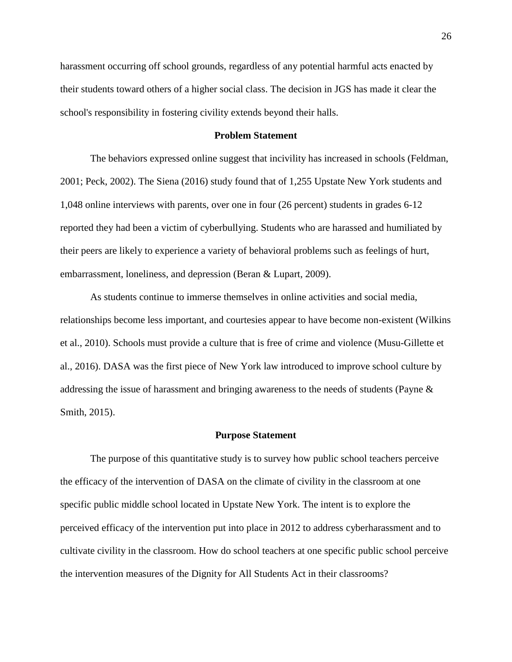harassment occurring off school grounds, regardless of any potential harmful acts enacted by their students toward others of a higher social class. The decision in JGS has made it clear the school's responsibility in fostering civility extends beyond their halls.

# **Problem Statement**

<span id="page-23-0"></span>The behaviors expressed online suggest that incivility has increased in schools (Feldman, 2001; Peck, 2002). The Siena (2016) study found that of 1,255 Upstate New York students and 1,048 online interviews with parents, over one in four (26 percent) students in grades 6-12 reported they had been a victim of cyberbullying. Students who are harassed and humiliated by their peers are likely to experience a variety of behavioral problems such as feelings of hurt, embarrassment, loneliness, and depression (Beran & Lupart, 2009).

As students continue to immerse themselves in online activities and social media, relationships become less important, and courtesies appear to have become non-existent (Wilkins et al., 2010). Schools must provide a culture that is free of crime and violence (Musu-Gillette et al., 2016). DASA was the first piece of New York law introduced to improve school culture by addressing the issue of harassment and bringing awareness to the needs of students (Payne & Smith, 2015).

#### **Purpose Statement**

<span id="page-23-1"></span>The purpose of this quantitative study is to survey how public school teachers perceive the efficacy of the intervention of DASA on the climate of civility in the classroom at one specific public middle school located in Upstate New York. The intent is to explore the perceived efficacy of the intervention put into place in 2012 to address cyberharassment and to cultivate civility in the classroom. How do school teachers at one specific public school perceive the intervention measures of the Dignity for All Students Act in their classrooms?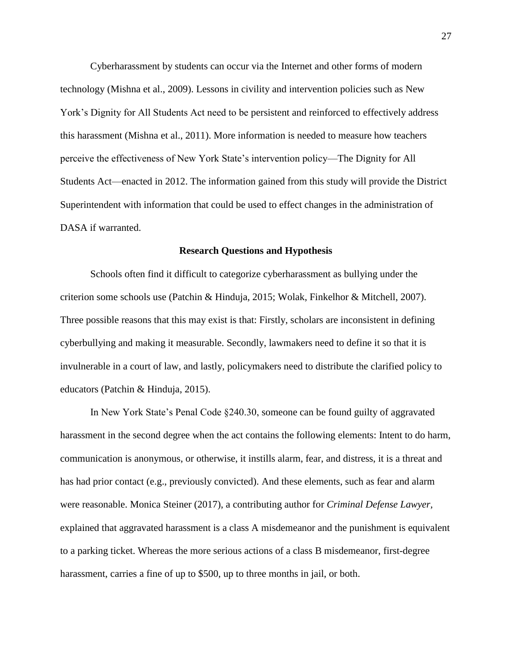Cyberharassment by students can occur via the Internet and other forms of modern technology (Mishna et al., 2009). Lessons in civility and intervention policies such as New York's Dignity for All Students Act need to be persistent and reinforced to effectively address this harassment (Mishna et al., 2011). More information is needed to measure how teachers perceive the effectiveness of New York State's intervention policy—The Dignity for All Students Act—enacted in 2012. The information gained from this study will provide the District Superintendent with information that could be used to effect changes in the administration of DASA if warranted.

# **Research Questions and Hypothesis**

<span id="page-24-0"></span>Schools often find it difficult to categorize cyberharassment as bullying under the criterion some schools use (Patchin & Hinduja, 2015; Wolak, Finkelhor & Mitchell, 2007). Three possible reasons that this may exist is that: Firstly, scholars are inconsistent in defining cyberbullying and making it measurable. Secondly, lawmakers need to define it so that it is invulnerable in a court of law, and lastly, policymakers need to distribute the clarified policy to educators (Patchin & Hinduja, 2015).

In New York State's Penal Code §240.30, someone can be found guilty of aggravated harassment in the second degree when the act contains the following elements: Intent to do harm, communication is anonymous, or otherwise, it instills alarm, fear, and distress, it is a threat and has had prior contact (e.g., previously convicted). And these elements, such as fear and alarm were reasonable. Monica Steiner (2017), a contributing author for *Criminal Defense Lawyer,* explained that aggravated harassment is a class A misdemeanor and the punishment is equivalent to a parking ticket. Whereas the more serious actions of a class B misdemeanor, first-degree harassment, carries a fine of up to \$500, up to three months in jail, or both.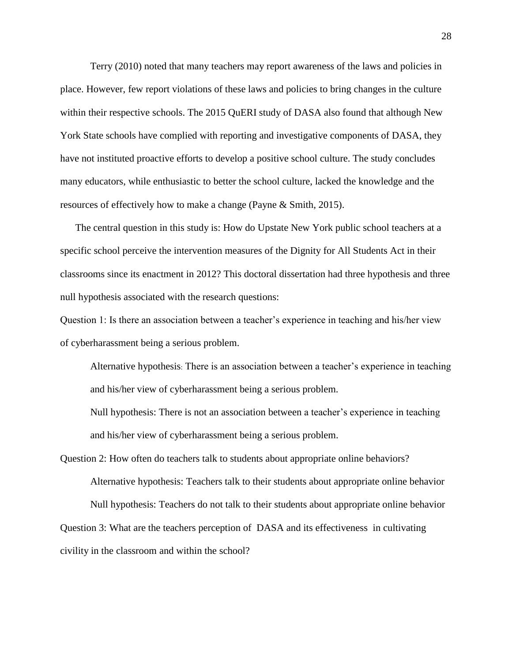Terry (2010) noted that many teachers may report awareness of the laws and policies in place. However, few report violations of these laws and policies to bring changes in the culture within their respective schools. The 2015 QuERI study of DASA also found that although New York State schools have complied with reporting and investigative components of DASA, they have not instituted proactive efforts to develop a positive school culture. The study concludes many educators, while enthusiastic to better the school culture, lacked the knowledge and the resources of effectively how to make a change (Payne & Smith, 2015).

The central question in this study is: How do Upstate New York public school teachers at a specific school perceive the intervention measures of the Dignity for All Students Act in their classrooms since its enactment in 2012? This doctoral dissertation had three hypothesis and three null hypothesis associated with the research questions:

Question 1: Is there an association between a teacher's experience in teaching and his/her view of cyberharassment being a serious problem.

Alternative hypothesis: There is an association between a teacher's experience in teaching and his/her view of cyberharassment being a serious problem.

Null hypothesis: There is not an association between a teacher's experience in teaching and his/her view of cyberharassment being a serious problem.

Question 2: How often do teachers talk to students about appropriate online behaviors? Alternative hypothesis: Teachers talk to their students about appropriate online behavior Null hypothesis: Teachers do not talk to their students about appropriate online behavior Question 3: What are the teachers perception of DASA and its effectiveness in cultivating civility in the classroom and within the school?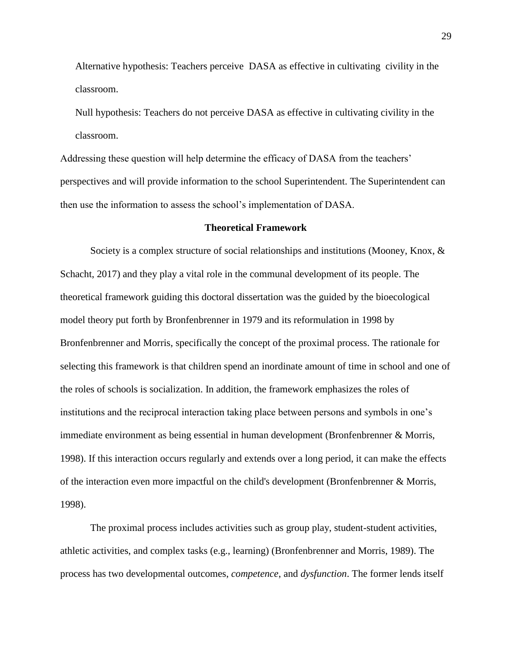Alternative hypothesis: Teachers perceive DASA as effective in cultivating civility in the classroom.

Null hypothesis: Teachers do not perceive DASA as effective in cultivating civility in the classroom.

Addressing these question will help determine the efficacy of DASA from the teachers' perspectives and will provide information to the school Superintendent. The Superintendent can then use the information to assess the school's implementation of DASA.

# **Theoretical Framework**

<span id="page-26-0"></span>Society is a complex structure of social relationships and institutions (Mooney, Knox, & Schacht, 2017) and they play a vital role in the communal development of its people. The theoretical framework guiding this doctoral dissertation was the guided by the bioecological model theory put forth by Bronfenbrenner in 1979 and its reformulation in 1998 by Bronfenbrenner and Morris, specifically the concept of the proximal process. The rationale for selecting this framework is that children spend an inordinate amount of time in school and one of the roles of schools is socialization. In addition, the framework emphasizes the roles of institutions and the reciprocal interaction taking place between persons and symbols in one's immediate environment as being essential in human development (Bronfenbrenner & Morris, 1998). If this interaction occurs regularly and extends over a long period, it can make the effects of the interaction even more impactful on the child's development (Bronfenbrenner & Morris, 1998).

The proximal process includes activities such as group play, student-student activities, athletic activities, and complex tasks (e.g., learning) (Bronfenbrenner and Morris, 1989). The process has two developmental outcomes, *competence*, and *dysfunction*. The former lends itself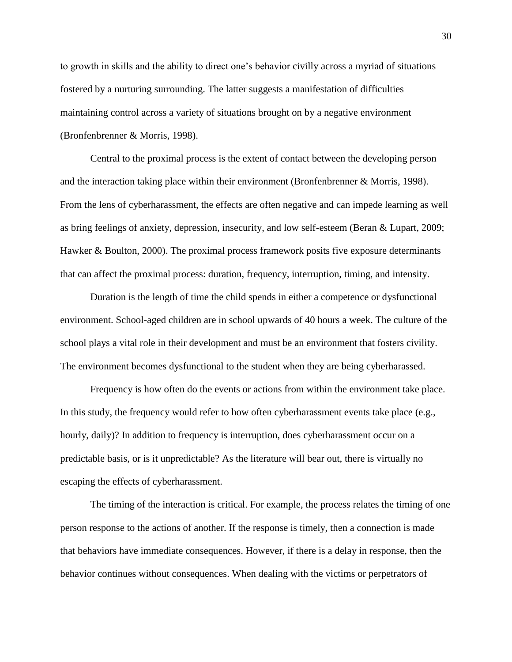to growth in skills and the ability to direct one's behavior civilly across a myriad of situations fostered by a nurturing surrounding. The latter suggests a manifestation of difficulties maintaining control across a variety of situations brought on by a negative environment (Bronfenbrenner & Morris, 1998).

Central to the proximal process is the extent of contact between the developing person and the interaction taking place within their environment (Bronfenbrenner & Morris, 1998). From the lens of cyberharassment, the effects are often negative and can impede learning as well as bring feelings of anxiety, depression, insecurity, and low self-esteem (Beran & Lupart, 2009; Hawker & Boulton, 2000). The proximal process framework posits five exposure determinants that can affect the proximal process: duration, frequency, interruption, timing, and intensity.

Duration is the length of time the child spends in either a competence or dysfunctional environment. School-aged children are in school upwards of 40 hours a week. The culture of the school plays a vital role in their development and must be an environment that fosters civility. The environment becomes dysfunctional to the student when they are being cyberharassed.

Frequency is how often do the events or actions from within the environment take place. In this study, the frequency would refer to how often cyberharassment events take place (e.g., hourly, daily)? In addition to frequency is interruption, does cyberharassment occur on a predictable basis, or is it unpredictable? As the literature will bear out, there is virtually no escaping the effects of cyberharassment.

The timing of the interaction is critical. For example, the process relates the timing of one person response to the actions of another. If the response is timely, then a connection is made that behaviors have immediate consequences. However, if there is a delay in response, then the behavior continues without consequences. When dealing with the victims or perpetrators of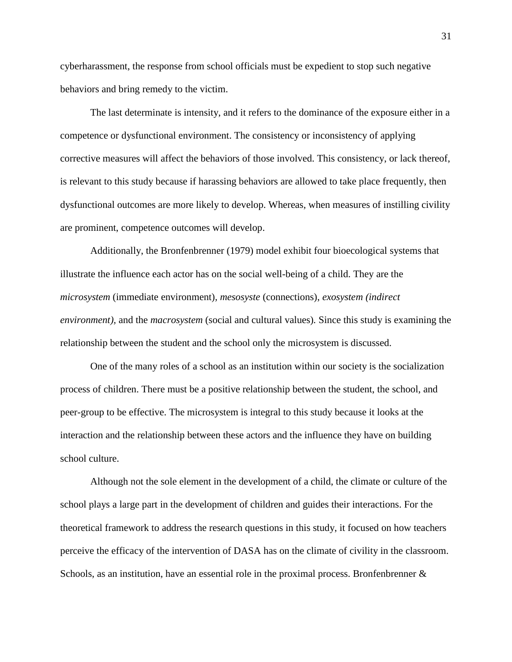cyberharassment, the response from school officials must be expedient to stop such negative behaviors and bring remedy to the victim.

The last determinate is intensity, and it refers to the dominance of the exposure either in a competence or dysfunctional environment. The consistency or inconsistency of applying corrective measures will affect the behaviors of those involved. This consistency, or lack thereof, is relevant to this study because if harassing behaviors are allowed to take place frequently, then dysfunctional outcomes are more likely to develop. Whereas, when measures of instilling civility are prominent, competence outcomes will develop.

Additionally, the Bronfenbrenner (1979) model exhibit four bioecological systems that illustrate the influence each actor has on the social well-being of a child. They are the *microsystem* (immediate environment)*, mesosyste* (connections), *exosystem (indirect environment),* and the *macrosystem* (social and cultural values)*.* Since this study is examining the relationship between the student and the school only the microsystem is discussed.

One of the many roles of a school as an institution within our society is the socialization process of children. There must be a positive relationship between the student, the school, and peer-group to be effective. The microsystem is integral to this study because it looks at the interaction and the relationship between these actors and the influence they have on building school culture.

Although not the sole element in the development of a child, the climate or culture of the school plays a large part in the development of children and guides their interactions. For the theoretical framework to address the research questions in this study, it focused on how teachers perceive the efficacy of the intervention of DASA has on the climate of civility in the classroom. Schools, as an institution, have an essential role in the proximal process. Bronfenbrenner &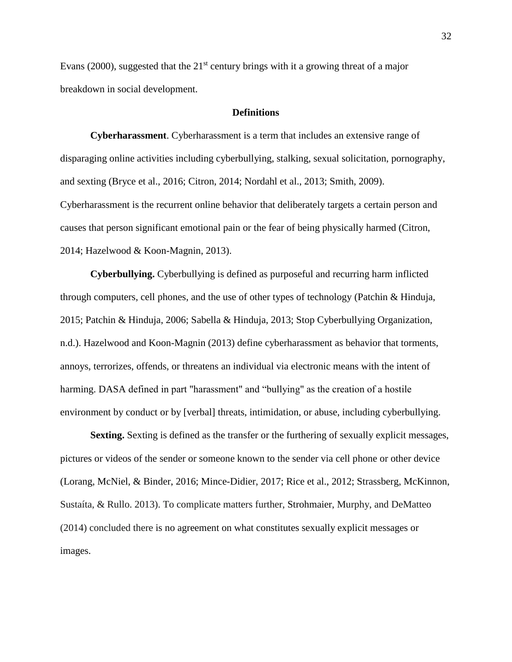Evans (2000), suggested that the  $21<sup>st</sup>$  century brings with it a growing threat of a major breakdown in social development.

# **Definitions**

<span id="page-29-1"></span><span id="page-29-0"></span>**Cyberharassment**. Cyberharassment is a term that includes an extensive range of disparaging online activities including cyberbullying, stalking, sexual solicitation, pornography, and sexting (Bryce et al., 2016; Citron, 2014; Nordahl et al., 2013; Smith, 2009). Cyberharassment is the recurrent online behavior that deliberately targets a certain person and causes that person significant emotional pain or the fear of being physically harmed (Citron, 2014; Hazelwood & Koon-Magnin, 2013).

<span id="page-29-2"></span>**Cyberbullying.** Cyberbullying is defined as purposeful and recurring harm inflicted through computers, cell phones, and the use of other types of technology (Patchin & Hinduja, 2015; Patchin & Hinduja, 2006; Sabella & Hinduja, 2013; Stop Cyberbullying Organization, n.d.). Hazelwood and Koon-Magnin (2013) define cyberharassment as behavior that torments, annoys, terrorizes, offends, or threatens an individual via electronic means with the intent of harming. DASA defined in part "harassment" and "bullying" as the creation of a hostile environment by conduct or by [verbal] threats, intimidation, or abuse, including cyberbullying.

<span id="page-29-3"></span>**Sexting.** Sexting is defined as the transfer or the furthering of sexually explicit messages, pictures or videos of the sender or someone known to the sender via cell phone or other device (Lorang, McNiel, & Binder, 2016; Mince-Didier, 2017; Rice et al., 2012; Strassberg, McKinnon, Sustaíta, & Rullo. 2013). To complicate matters further, Strohmaier, Murphy, and DeMatteo (2014) concluded there is no agreement on what constitutes sexually explicit messages or images.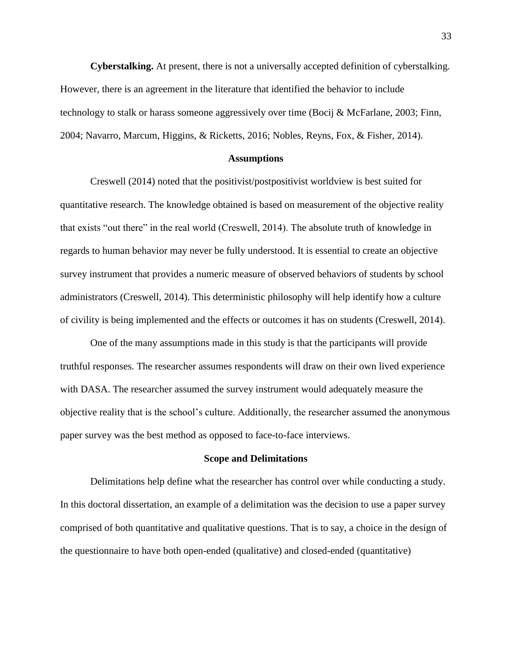<span id="page-30-0"></span>**Cyberstalking.** At present, there is not a universally accepted definition of cyberstalking. However, there is an agreement in the literature that identified the behavior to include technology to stalk or harass someone aggressively over time (Bocij & McFarlane, 2003; Finn, 2004; Navarro, Marcum, Higgins, & Ricketts, 2016; Nobles, Reyns, Fox, & Fisher, 2014).

#### **Assumptions**

<span id="page-30-1"></span>Creswell (2014) noted that the positivist/postpositivist worldview is best suited for quantitative research. The knowledge obtained is based on measurement of the objective reality that exists "out there" in the real world (Creswell, 2014). The absolute truth of knowledge in regards to human behavior may never be fully understood. It is essential to create an objective survey instrument that provides a numeric measure of observed behaviors of students by school administrators (Creswell, 2014). This deterministic philosophy will help identify how a culture of civility is being implemented and the effects or outcomes it has on students (Creswell, 2014).

One of the many assumptions made in this study is that the participants will provide truthful responses. The researcher assumes respondents will draw on their own lived experience with DASA. The researcher assumed the survey instrument would adequately measure the objective reality that is the school's culture. Additionally, the researcher assumed the anonymous paper survey was the best method as opposed to face-to-face interviews.

#### **Scope and Delimitations**

<span id="page-30-2"></span>Delimitations help define what the researcher has control over while conducting a study. In this doctoral dissertation, an example of a delimitation was the decision to use a paper survey comprised of both quantitative and qualitative questions. That is to say, a choice in the design of the questionnaire to have both open-ended (qualitative) and closed-ended (quantitative)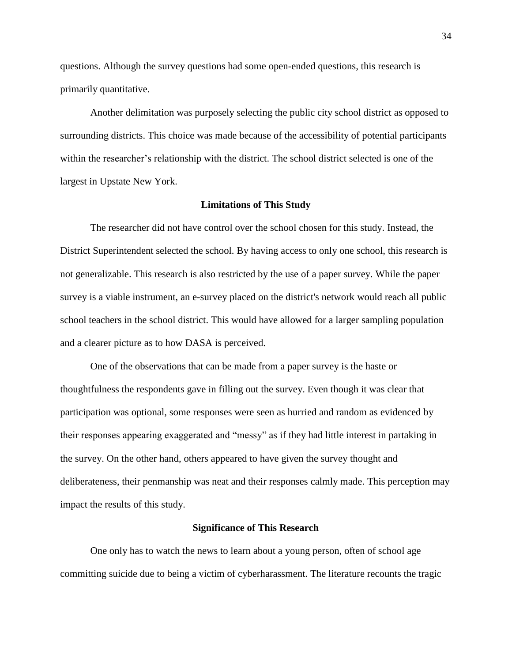questions. Although the survey questions had some open-ended questions, this research is primarily quantitative.

Another delimitation was purposely selecting the public city school district as opposed to surrounding districts. This choice was made because of the accessibility of potential participants within the researcher's relationship with the district. The school district selected is one of the largest in Upstate New York.

#### **Limitations of This Study**

<span id="page-31-0"></span>The researcher did not have control over the school chosen for this study. Instead, the District Superintendent selected the school. By having access to only one school, this research is not generalizable. This research is also restricted by the use of a paper survey. While the paper survey is a viable instrument, an e-survey placed on the district's network would reach all public school teachers in the school district. This would have allowed for a larger sampling population and a clearer picture as to how DASA is perceived.

One of the observations that can be made from a paper survey is the haste or thoughtfulness the respondents gave in filling out the survey. Even though it was clear that participation was optional, some responses were seen as hurried and random as evidenced by their responses appearing exaggerated and "messy" as if they had little interest in partaking in the survey. On the other hand, others appeared to have given the survey thought and deliberateness, their penmanship was neat and their responses calmly made. This perception may impact the results of this study.

#### **Significance of This Research**

<span id="page-31-1"></span>One only has to watch the news to learn about a young person, often of school age committing suicide due to being a victim of cyberharassment. The literature recounts the tragic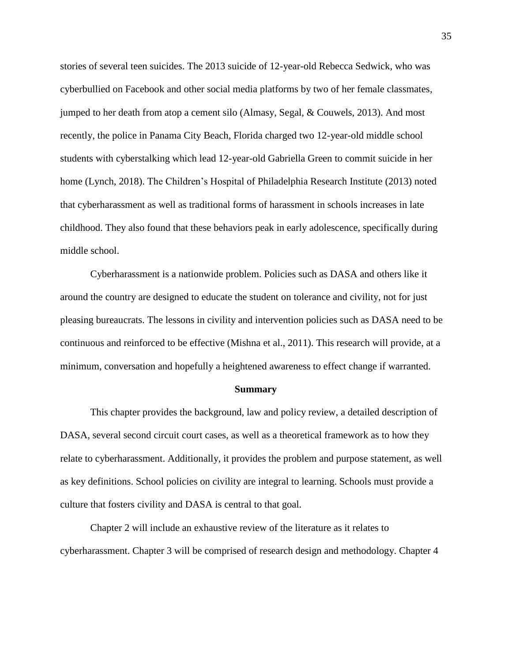stories of several teen suicides. The 2013 suicide of 12-year-old Rebecca Sedwick, who was cyberbullied on Facebook and other social media platforms by two of her female classmates, jumped to her death from atop a cement silo (Almasy, Segal, & Couwels, 2013). And most recently, the police in Panama City Beach, Florida charged two 12-year-old middle school students with cyberstalking which lead 12-year-old Gabriella Green to commit suicide in her home (Lynch, 2018). The Children's Hospital of Philadelphia Research Institute (2013) noted that cyberharassment as well as traditional forms of harassment in schools increases in late childhood. They also found that these behaviors peak in early adolescence, specifically during middle school.

Cyberharassment is a nationwide problem. Policies such as DASA and others like it around the country are designed to educate the student on tolerance and civility, not for just pleasing bureaucrats. The lessons in civility and intervention policies such as DASA need to be continuous and reinforced to be effective (Mishna et al., 2011). This research will provide, at a minimum, conversation and hopefully a heightened awareness to effect change if warranted.

#### **Summary**

<span id="page-32-0"></span>This chapter provides the background, law and policy review, a detailed description of DASA, several second circuit court cases, as well as a theoretical framework as to how they relate to cyberharassment. Additionally, it provides the problem and purpose statement, as well as key definitions. School policies on civility are integral to learning. Schools must provide a culture that fosters civility and DASA is central to that goal.

Chapter 2 will include an exhaustive review of the literature as it relates to cyberharassment. Chapter 3 will be comprised of research design and methodology. Chapter 4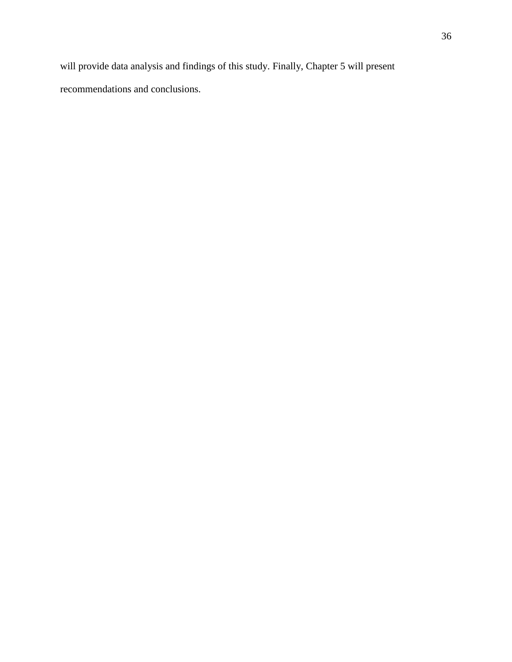will provide data analysis and findings of this study. Finally, Chapter 5 will present recommendations and conclusions.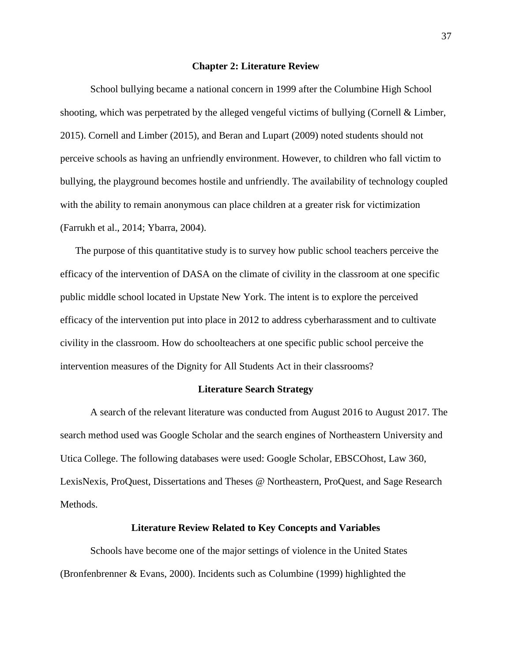#### **Chapter 2: Literature Review**

<span id="page-34-0"></span>School bullying became a national concern in 1999 after the Columbine High School shooting, which was perpetrated by the alleged vengeful victims of bullying (Cornell & Limber, 2015). Cornell and Limber (2015), and Beran and Lupart (2009) noted students should not perceive schools as having an unfriendly environment. However, to children who fall victim to bullying, the playground becomes hostile and unfriendly. The availability of technology coupled with the ability to remain anonymous can place children at a greater risk for victimization (Farrukh et al., 2014; Ybarra, 2004).

The purpose of this quantitative study is to survey how public school teachers perceive the efficacy of the intervention of DASA on the climate of civility in the classroom at one specific public middle school located in Upstate New York. The intent is to explore the perceived efficacy of the intervention put into place in 2012 to address cyberharassment and to cultivate civility in the classroom. How do schoolteachers at one specific public school perceive the intervention measures of the Dignity for All Students Act in their classrooms?

#### **Literature Search Strategy**

<span id="page-34-1"></span>A search of the relevant literature was conducted from August 2016 to August 2017. The search method used was Google Scholar and the search engines of Northeastern University and Utica College. The following databases were used: Google Scholar, EBSCOhost, Law 360, LexisNexis, ProQuest, Dissertations and Theses @ Northeastern, ProQuest, and Sage Research Methods.

#### **Literature Review Related to Key Concepts and Variables**

<span id="page-34-2"></span>Schools have become one of the major settings of violence in the United States (Bronfenbrenner & Evans, 2000). Incidents such as Columbine (1999) highlighted the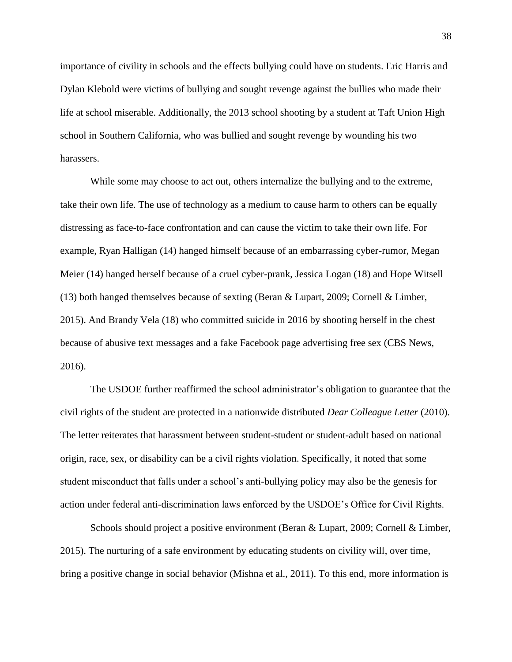importance of civility in schools and the effects bullying could have on students. Eric Harris and Dylan Klebold were victims of bullying and sought revenge against the bullies who made their life at school miserable. Additionally, the 2013 school shooting by a student at Taft Union High school in Southern California, who was bullied and sought revenge by wounding his two harassers.

While some may choose to act out, others internalize the bullying and to the extreme, take their own life. The use of technology as a medium to cause harm to others can be equally distressing as face-to-face confrontation and can cause the victim to take their own life. For example, Ryan Halligan (14) hanged himself because of an embarrassing cyber-rumor, Megan Meier (14) hanged herself because of a cruel cyber-prank, Jessica Logan (18) and Hope Witsell (13) both hanged themselves because of sexting (Beran & Lupart, 2009; Cornell & Limber, 2015). And Brandy Vela (18) who committed suicide in 2016 by shooting herself in the chest because of abusive text messages and a fake Facebook page advertising free sex (CBS News, 2016).

The USDOE further reaffirmed the school administrator's obligation to guarantee that the civil rights of the student are protected in a nationwide distributed *Dear Colleague Letter* (2010). The letter reiterates that harassment between student-student or student-adult based on national origin, race, sex, or disability can be a civil rights violation. Specifically, it noted that some student misconduct that falls under a school's anti-bullying policy may also be the genesis for action under federal anti-discrimination laws enforced by the USDOE's Office for Civil Rights.

Schools should project a positive environment (Beran & Lupart, 2009; Cornell & Limber, 2015). The nurturing of a safe environment by educating students on civility will, over time, bring a positive change in social behavior (Mishna et al., 2011). To this end, more information is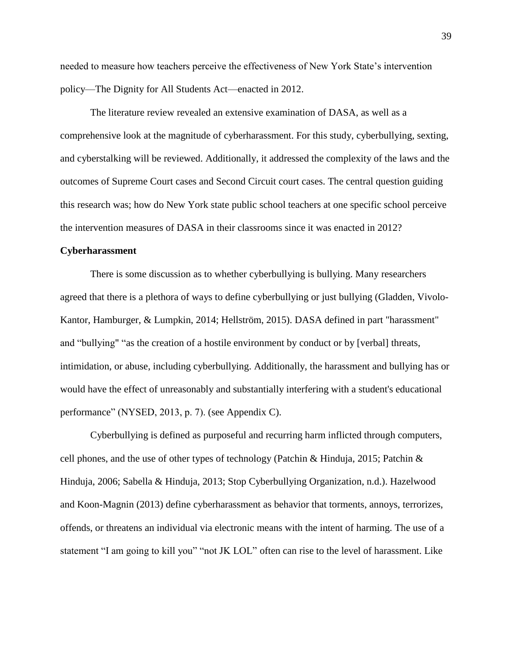needed to measure how teachers perceive the effectiveness of New York State's intervention policy—The Dignity for All Students Act—enacted in 2012.

The literature review revealed an extensive examination of DASA, as well as a comprehensive look at the magnitude of cyberharassment. For this study, cyberbullying, sexting, and cyberstalking will be reviewed. Additionally, it addressed the complexity of the laws and the outcomes of Supreme Court cases and Second Circuit court cases. The central question guiding this research was; how do New York state public school teachers at one specific school perceive the intervention measures of DASA in their classrooms since it was enacted in 2012?

#### **Cyberharassment**

There is some discussion as to whether cyberbullying is bullying. Many researchers agreed that there is a plethora of ways to define cyberbullying or just bullying (Gladden, Vivolo-Kantor, Hamburger, & Lumpkin, 2014; Hellström, 2015). DASA defined in part "harassment" and "bullying" "as the creation of a hostile environment by conduct or by [verbal] threats, intimidation, or abuse, including cyberbullying. Additionally, the harassment and bullying has or would have the effect of unreasonably and substantially interfering with a student's educational performance" (NYSED, 2013, p. 7). (see Appendix C).

Cyberbullying is defined as purposeful and recurring harm inflicted through computers, cell phones, and the use of other types of technology (Patchin & Hinduja, 2015; Patchin & Hinduja, 2006; Sabella & Hinduja, 2013; Stop Cyberbullying Organization, n.d.). Hazelwood and Koon-Magnin (2013) define cyberharassment as behavior that torments, annoys, terrorizes, offends, or threatens an individual via electronic means with the intent of harming. The use of a statement "I am going to kill you" "not JK LOL" often can rise to the level of harassment. Like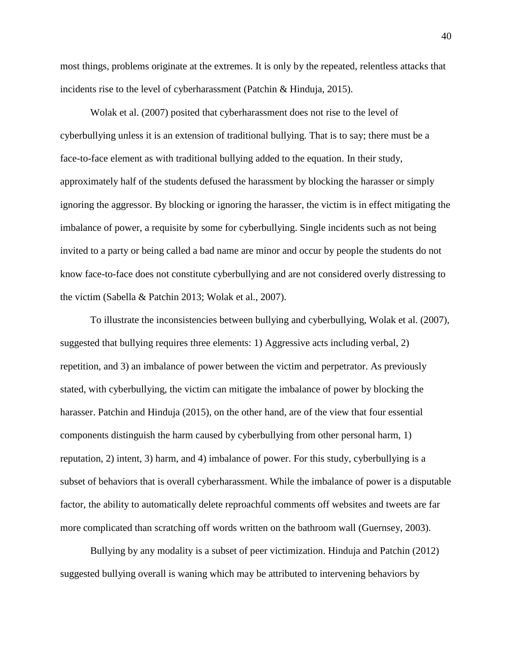most things, problems originate at the extremes. It is only by the repeated, relentless attacks that incidents rise to the level of cyberharassment (Patchin & Hinduja, 2015).

Wolak et al. (2007) posited that cyberharassment does not rise to the level of cyberbullying unless it is an extension of traditional bullying. That is to say; there must be a face-to-face element as with traditional bullying added to the equation. In their study, approximately half of the students defused the harassment by blocking the harasser or simply ignoring the aggressor. By blocking or ignoring the harasser, the victim is in effect mitigating the imbalance of power, a requisite by some for cyberbullying. Single incidents such as not being invited to a party or being called a bad name are minor and occur by people the students do not know face-to-face does not constitute cyberbullying and are not considered overly distressing to the victim (Sabella & Patchin 2013; Wolak et al., 2007).

To illustrate the inconsistencies between bullying and cyberbullying, Wolak et al. (2007), suggested that bullying requires three elements: 1) Aggressive acts including verbal, 2) repetition, and 3) an imbalance of power between the victim and perpetrator. As previously stated, with cyberbullying, the victim can mitigate the imbalance of power by blocking the harasser. Patchin and Hinduja (2015), on the other hand, are of the view that four essential components distinguish the harm caused by cyberbullying from other personal harm, 1) reputation, 2) intent, 3) harm, and 4) imbalance of power. For this study, cyberbullying is a subset of behaviors that is overall cyberharassment. While the imbalance of power is a disputable factor, the ability to automatically delete reproachful comments off websites and tweets are far more complicated than scratching off words written on the bathroom wall (Guernsey, 2003).

Bullying by any modality is a subset of peer victimization. Hinduja and Patchin (2012) suggested bullying overall is waning which may be attributed to intervening behaviors by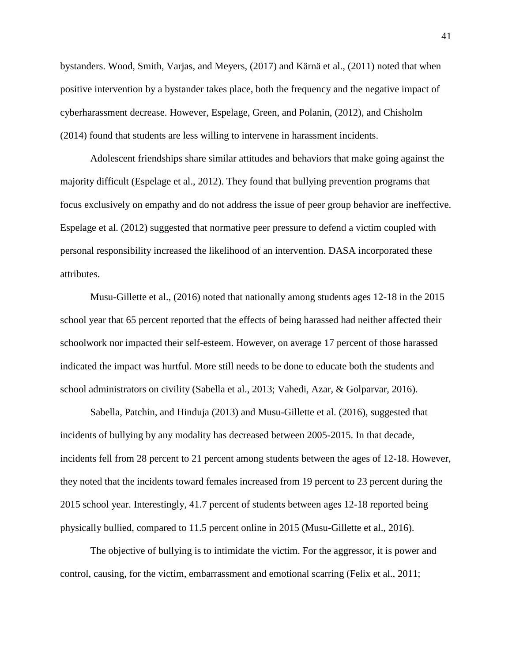bystanders. Wood, Smith, Varjas, and Meyers, (2017) and Kärnä et al., (2011) noted that when positive intervention by a bystander takes place, both the frequency and the negative impact of cyberharassment decrease. However, Espelage, Green, and Polanin, (2012), and Chisholm (2014) found that students are less willing to intervene in harassment incidents.

Adolescent friendships share similar attitudes and behaviors that make going against the majority difficult (Espelage et al., 2012). They found that bullying prevention programs that focus exclusively on empathy and do not address the issue of peer group behavior are ineffective. Espelage et al. (2012) suggested that normative peer pressure to defend a victim coupled with personal responsibility increased the likelihood of an intervention. DASA incorporated these attributes.

Musu-Gillette et al., (2016) noted that nationally among students ages 12-18 in the 2015 school year that 65 percent reported that the effects of being harassed had neither affected their schoolwork nor impacted their self-esteem. However, on average 17 percent of those harassed indicated the impact was hurtful. More still needs to be done to educate both the students and school administrators on civility (Sabella et al., 2013; Vahedi, Azar, & Golparvar, 2016).

Sabella, Patchin, and Hinduja (2013) and Musu-Gillette et al. (2016), suggested that incidents of bullying by any modality has decreased between 2005-2015. In that decade, incidents fell from 28 percent to 21 percent among students between the ages of 12-18. However, they noted that the incidents toward females increased from 19 percent to 23 percent during the 2015 school year. Interestingly, 41.7 percent of students between ages 12-18 reported being physically bullied, compared to 11.5 percent online in 2015 (Musu-Gillette et al., 2016).

The objective of bullying is to intimidate the victim. For the aggressor, it is power and control, causing, for the victim, embarrassment and emotional scarring (Felix et al., 2011;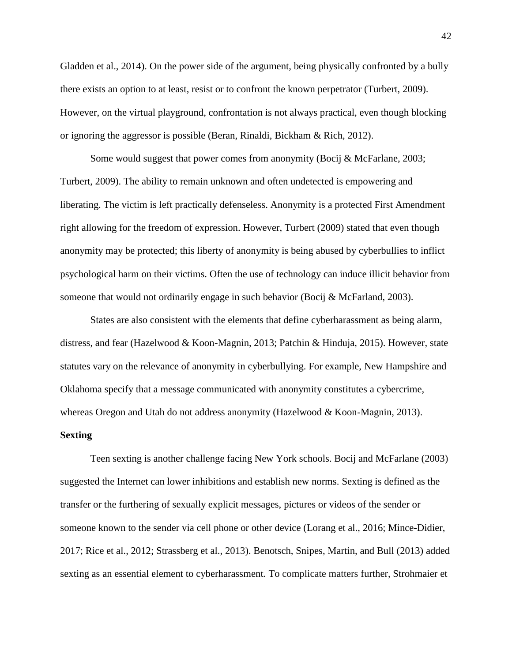Gladden et al., 2014). On the power side of the argument, being physically confronted by a bully there exists an option to at least, resist or to confront the known perpetrator (Turbert, 2009). However, on the virtual playground, confrontation is not always practical, even though blocking or ignoring the aggressor is possible (Beran, Rinaldi, Bickham & Rich, 2012).

Some would suggest that power comes from anonymity (Bocij & McFarlane, 2003; Turbert, 2009). The ability to remain unknown and often undetected is empowering and liberating. The victim is left practically defenseless. Anonymity is a protected First Amendment right allowing for the freedom of expression. However, Turbert (2009) stated that even though anonymity may be protected; this liberty of anonymity is being abused by cyberbullies to inflict psychological harm on their victims. Often the use of technology can induce illicit behavior from someone that would not ordinarily engage in such behavior (Bocij & McFarland, 2003).

States are also consistent with the elements that define cyberharassment as being alarm, distress, and fear (Hazelwood & Koon-Magnin, 2013; Patchin & Hinduja, 2015). However, state statutes vary on the relevance of anonymity in cyberbullying. For example, New Hampshire and Oklahoma specify that a message communicated with anonymity constitutes a cybercrime, whereas Oregon and Utah do not address anonymity (Hazelwood & Koon-Magnin, 2013).

#### **Sexting**

Teen sexting is another challenge facing New York schools. Bocij and McFarlane (2003) suggested the Internet can lower inhibitions and establish new norms. Sexting is defined as the transfer or the furthering of sexually explicit messages, pictures or videos of the sender or someone known to the sender via cell phone or other device (Lorang et al., 2016; Mince-Didier, 2017; Rice et al., 2012; Strassberg et al., 2013). Benotsch, Snipes, Martin, and Bull (2013) added sexting as an essential element to cyberharassment. To complicate matters further, Strohmaier et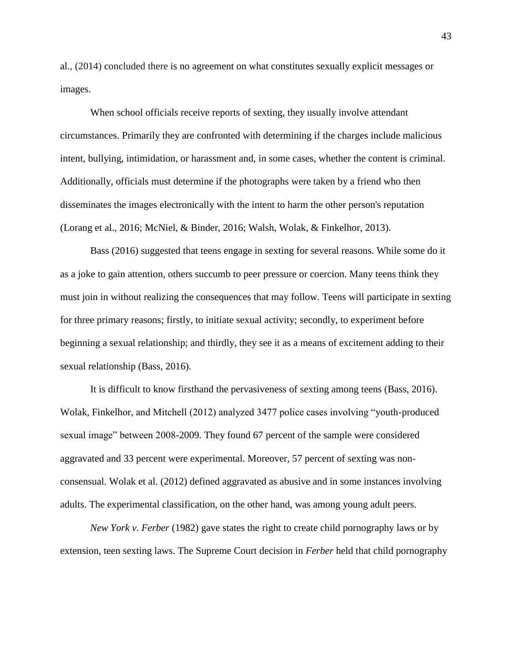al., (2014) concluded there is no agreement on what constitutes sexually explicit messages or images.

When school officials receive reports of sexting, they usually involve attendant circumstances. Primarily they are confronted with determining if the charges include malicious intent, bullying, intimidation, or harassment and, in some cases, whether the content is criminal. Additionally, officials must determine if the photographs were taken by a friend who then disseminates the images electronically with the intent to harm the other person's reputation (Lorang et al., 2016; McNiel, & Binder, 2016; Walsh, Wolak, & Finkelhor, 2013).

Bass (2016) suggested that teens engage in sexting for several reasons. While some do it as a joke to gain attention, others succumb to peer pressure or coercion. Many teens think they must join in without realizing the consequences that may follow. Teens will participate in sexting for three primary reasons; firstly, to initiate sexual activity; secondly, to experiment before beginning a sexual relationship; and thirdly, they see it as a means of excitement adding to their sexual relationship (Bass, 2016).

It is difficult to know firsthand the pervasiveness of sexting among teens (Bass, 2016). Wolak, Finkelhor, and Mitchell (2012) analyzed 3477 police cases involving "youth-produced sexual image" between 2008-2009. They found 67 percent of the sample were considered aggravated and 33 percent were experimental. Moreover, 57 percent of sexting was nonconsensual. Wolak et al. (2012) defined aggravated as abusive and in some instances involving adults. The experimental classification, on the other hand, was among young adult peers.

*New York v. Ferber* (1982) gave states the right to create child pornography laws or by extension, teen sexting laws. The Supreme Court decision in *Ferber* held that child pornography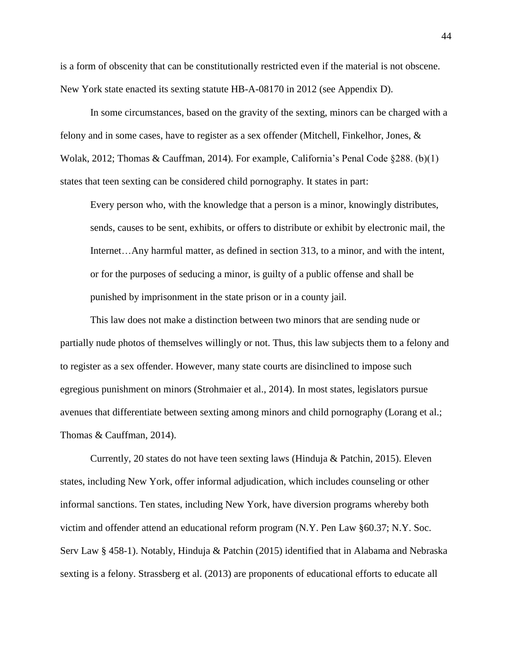is a form of obscenity that can be constitutionally restricted even if the material is not obscene. New York state enacted its sexting statute HB-A-08170 in 2012 (see Appendix D).

In some circumstances, based on the gravity of the sexting, minors can be charged with a felony and in some cases, have to register as a sex offender (Mitchell, Finkelhor, Jones, & Wolak, 2012; Thomas & Cauffman, 2014). For example, California's Penal Code §288. (b)(1) states that teen sexting can be considered child pornography. It states in part:

Every person who, with the knowledge that a person is a minor, knowingly distributes, sends, causes to be sent, exhibits, or offers to distribute or exhibit by electronic mail, the Internet…Any harmful matter, as defined in section 313, to a minor, and with the intent, or for the purposes of seducing a minor, is guilty of a public offense and shall be punished by imprisonment in the state prison or in a county jail.

This law does not make a distinction between two minors that are sending nude or partially nude photos of themselves willingly or not. Thus, this law subjects them to a felony and to register as a sex offender. However, many state courts are disinclined to impose such egregious punishment on minors (Strohmaier et al., 2014). In most states, legislators pursue avenues that differentiate between sexting among minors and child pornography (Lorang et al.; Thomas & Cauffman, 2014).

Currently, 20 states do not have teen sexting laws (Hinduja & Patchin, 2015). Eleven states, including New York, offer informal adjudication, which includes counseling or other informal sanctions. Ten states, including New York, have diversion programs whereby both victim and offender attend an educational reform program (N.Y. Pen Law §60.37; N.Y. Soc. Serv Law § 458-1). Notably, Hinduja & Patchin (2015) identified that in Alabama and Nebraska sexting is a felony. Strassberg et al. (2013) are proponents of educational efforts to educate all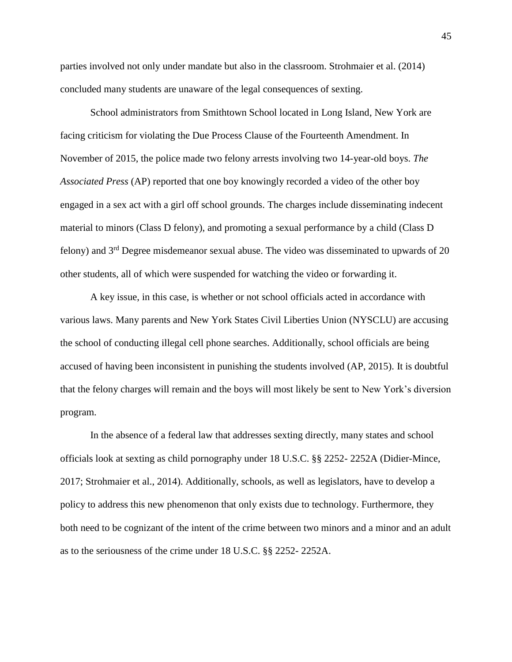parties involved not only under mandate but also in the classroom. Strohmaier et al. (2014) concluded many students are unaware of the legal consequences of sexting.

School administrators from Smithtown School located in Long Island, New York are facing criticism for violating the Due Process Clause of the Fourteenth Amendment. In November of 2015, the police made two felony arrests involving two 14-year-old boys. *The Associated Press* (AP) reported that one boy knowingly recorded a video of the other boy engaged in a sex act with a girl off school grounds. The charges include disseminating indecent material to minors (Class D felony), and promoting a sexual performance by a child (Class D felony) and 3<sup>rd</sup> Degree misdemeanor sexual abuse. The video was disseminated to upwards of 20 other students, all of which were suspended for watching the video or forwarding it.

A key issue, in this case, is whether or not school officials acted in accordance with various laws. Many parents and New York States Civil Liberties Union (NYSCLU) are accusing the school of conducting illegal cell phone searches. Additionally, school officials are being accused of having been inconsistent in punishing the students involved (AP, 2015). It is doubtful that the felony charges will remain and the boys will most likely be sent to New York's diversion program.

In the absence of a federal law that addresses sexting directly, many states and school officials look at sexting as child pornography under 18 U.S.C. §§ 2252- 2252A (Didier-Mince, 2017; Strohmaier et al., 2014). Additionally, schools, as well as legislators, have to develop a policy to address this new phenomenon that only exists due to technology. Furthermore, they both need to be cognizant of the intent of the crime between two minors and a minor and an adult as to the seriousness of the crime under 18 U.S.C. §§ 2252- 2252A.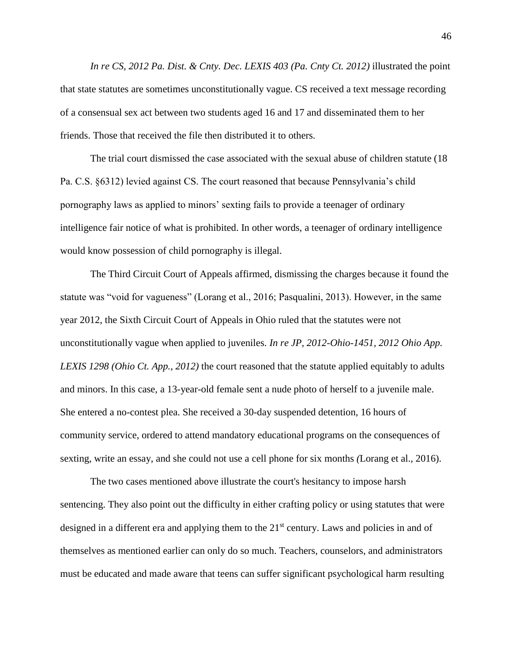*In re CS, 2012 Pa. Dist. & Cnty. Dec. LEXIS 403 (Pa. Cnty Ct. 2012)* illustrated the point that state statutes are sometimes unconstitutionally vague. CS received a text message recording of a consensual sex act between two students aged 16 and 17 and disseminated them to her friends. Those that received the file then distributed it to others.

The trial court dismissed the case associated with the sexual abuse of children statute (18 Pa. C.S. §6312) levied against CS. The court reasoned that because Pennsylvania's child pornography laws as applied to minors' sexting fails to provide a teenager of ordinary intelligence fair notice of what is prohibited. In other words, a teenager of ordinary intelligence would know possession of child pornography is illegal.

The Third Circuit Court of Appeals affirmed, dismissing the charges because it found the statute was "void for vagueness" (Lorang et al., 2016; Pasqualini, 2013). However, in the same year 2012, the Sixth Circuit Court of Appeals in Ohio ruled that the statutes were not unconstitutionally vague when applied to juveniles. *In re JP, 2012-Ohio-1451, 2012 Ohio App. LEXIS 1298 (Ohio Ct. App., 2012)* the court reasoned that the statute applied equitably to adults and minors. In this case, a 13-year-old female sent a nude photo of herself to a juvenile male. She entered a no-contest plea. She received a 30-day suspended detention, 16 hours of community service, ordered to attend mandatory educational programs on the consequences of sexting, write an essay, and she could not use a cell phone for six months *(*Lorang et al., 2016).

The two cases mentioned above illustrate the court's hesitancy to impose harsh sentencing. They also point out the difficulty in either crafting policy or using statutes that were designed in a different era and applying them to the 21<sup>st</sup> century. Laws and policies in and of themselves as mentioned earlier can only do so much. Teachers, counselors, and administrators must be educated and made aware that teens can suffer significant psychological harm resulting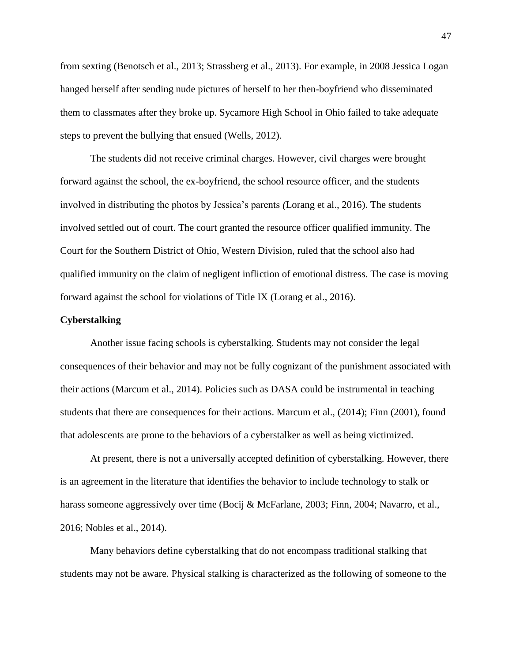from sexting (Benotsch et al., 2013; Strassberg et al., 2013). For example, in 2008 Jessica Logan hanged herself after sending nude pictures of herself to her then-boyfriend who disseminated them to classmates after they broke up. Sycamore High School in Ohio failed to take adequate steps to prevent the bullying that ensued (Wells, 2012).

The students did not receive criminal charges. However, civil charges were brought forward against the school, the ex-boyfriend, the school resource officer, and the students involved in distributing the photos by Jessica's parents *(*Lorang et al., 2016). The students involved settled out of court. The court granted the resource officer qualified immunity. The Court for the Southern District of Ohio, Western Division, ruled that the school also had qualified immunity on the claim of negligent infliction of emotional distress. The case is moving forward against the school for violations of Title IX (Lorang et al., 2016).

## **Cyberstalking**

Another issue facing schools is cyberstalking. Students may not consider the legal consequences of their behavior and may not be fully cognizant of the punishment associated with their actions (Marcum et al., 2014). Policies such as DASA could be instrumental in teaching students that there are consequences for their actions. Marcum et al., (2014); Finn (2001), found that adolescents are prone to the behaviors of a cyberstalker as well as being victimized.

At present, there is not a universally accepted definition of cyberstalking. However, there is an agreement in the literature that identifies the behavior to include technology to stalk or harass someone aggressively over time (Bocij & McFarlane, 2003; Finn, 2004; Navarro, et al., 2016; Nobles et al., 2014).

Many behaviors define cyberstalking that do not encompass traditional stalking that students may not be aware. Physical stalking is characterized as the following of someone to the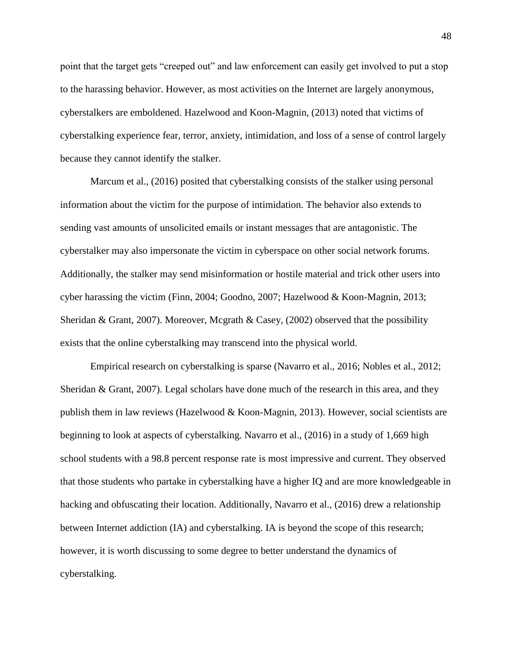point that the target gets "creeped out" and law enforcement can easily get involved to put a stop to the harassing behavior. However, as most activities on the Internet are largely anonymous, cyberstalkers are emboldened. Hazelwood and Koon-Magnin, (2013) noted that victims of cyberstalking experience fear, terror, anxiety, intimidation, and loss of a sense of control largely because they cannot identify the stalker.

Marcum et al., (2016) posited that cyberstalking consists of the stalker using personal information about the victim for the purpose of intimidation. The behavior also extends to sending vast amounts of unsolicited emails or instant messages that are antagonistic. The cyberstalker may also impersonate the victim in cyberspace on other social network forums. Additionally, the stalker may send misinformation or hostile material and trick other users into cyber harassing the victim (Finn, 2004; Goodno, 2007; Hazelwood & Koon-Magnin, 2013; Sheridan & Grant, 2007). Moreover, Mcgrath & Casey, (2002) observed that the possibility exists that the online cyberstalking may transcend into the physical world.

Empirical research on cyberstalking is sparse (Navarro et al., 2016; Nobles et al., 2012; Sheridan & Grant, 2007). Legal scholars have done much of the research in this area, and they publish them in law reviews (Hazelwood & Koon-Magnin, 2013). However, social scientists are beginning to look at aspects of cyberstalking. Navarro et al., (2016) in a study of 1,669 high school students with a 98.8 percent response rate is most impressive and current. They observed that those students who partake in cyberstalking have a higher IQ and are more knowledgeable in hacking and obfuscating their location. Additionally, Navarro et al., (2016) drew a relationship between Internet addiction (IA) and cyberstalking. IA is beyond the scope of this research; however, it is worth discussing to some degree to better understand the dynamics of cyberstalking.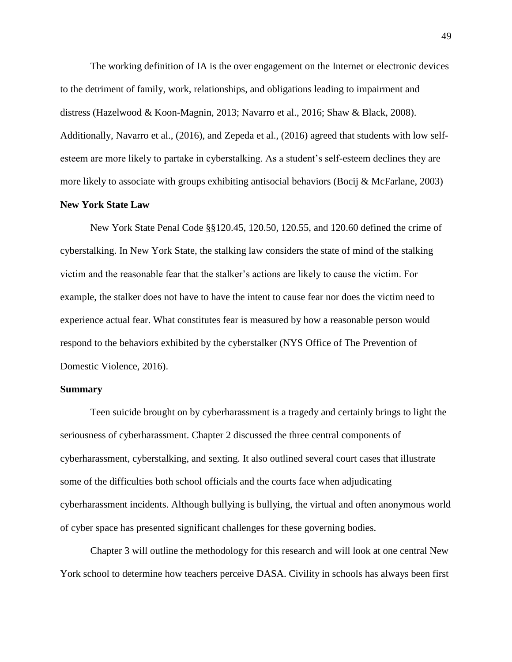The working definition of IA is the over engagement on the Internet or electronic devices to the detriment of family, work, relationships, and obligations leading to impairment and distress (Hazelwood & Koon-Magnin, 2013; Navarro et al., 2016; Shaw & Black, 2008). Additionally, Navarro et al., (2016), and Zepeda et al., (2016) agreed that students with low selfesteem are more likely to partake in cyberstalking. As a student's self-esteem declines they are more likely to associate with groups exhibiting antisocial behaviors (Bocij & McFarlane, 2003)

### **New York State Law**

New York State Penal Code §§120.45, 120.50, 120.55, and 120.60 defined the crime of cyberstalking. In New York State, the stalking law considers the state of mind of the stalking victim and the reasonable fear that the stalker's actions are likely to cause the victim. For example, the stalker does not have to have the intent to cause fear nor does the victim need to experience actual fear. What constitutes fear is measured by how a reasonable person would respond to the behaviors exhibited by the cyberstalker (NYS Office of The Prevention of Domestic Violence, 2016).

#### **Summary**

Teen suicide brought on by cyberharassment is a tragedy and certainly brings to light the seriousness of cyberharassment. Chapter 2 discussed the three central components of cyberharassment, cyberstalking, and sexting. It also outlined several court cases that illustrate some of the difficulties both school officials and the courts face when adjudicating cyberharassment incidents. Although bullying is bullying, the virtual and often anonymous world of cyber space has presented significant challenges for these governing bodies.

Chapter 3 will outline the methodology for this research and will look at one central New York school to determine how teachers perceive DASA. Civility in schools has always been first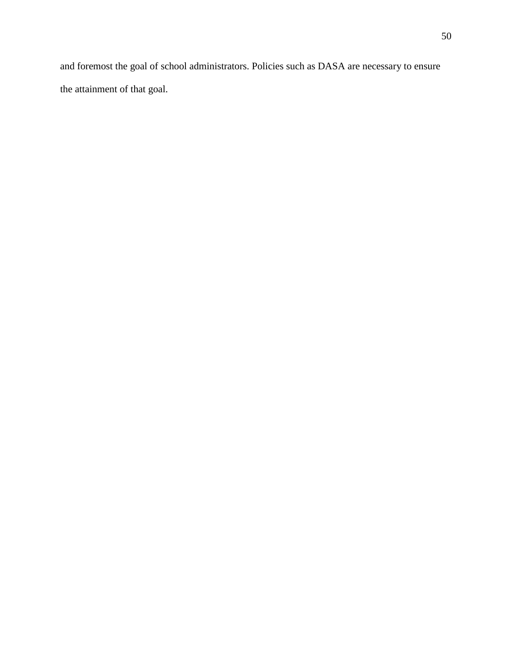and foremost the goal of school administrators. Policies such as DASA are necessary to ensure the attainment of that goal.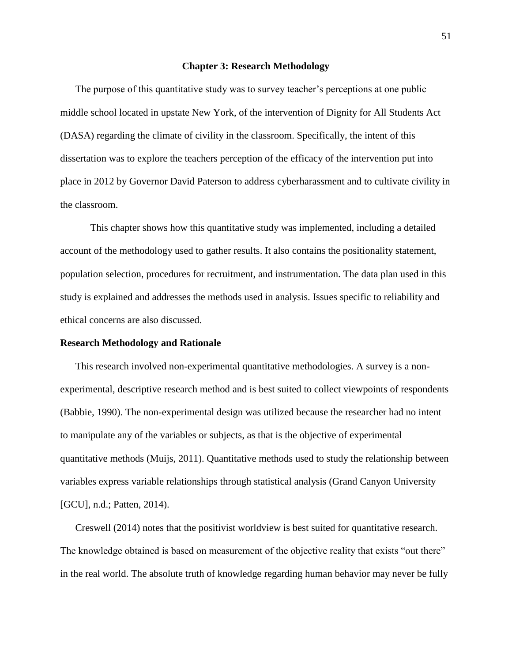#### **Chapter 3: Research Methodology**

The purpose of this quantitative study was to survey teacher's perceptions at one public middle school located in upstate New York, of the intervention of Dignity for All Students Act (DASA) regarding the climate of civility in the classroom. Specifically, the intent of this dissertation was to explore the teachers perception of the efficacy of the intervention put into place in 2012 by Governor David Paterson to address cyberharassment and to cultivate civility in the classroom.

This chapter shows how this quantitative study was implemented, including a detailed account of the methodology used to gather results. It also contains the positionality statement, population selection, procedures for recruitment, and instrumentation. The data plan used in this study is explained and addresses the methods used in analysis. Issues specific to reliability and ethical concerns are also discussed.

## **Research Methodology and Rationale**

This research involved non-experimental quantitative methodologies. A survey is a nonexperimental, descriptive research method and is best suited to collect viewpoints of respondents (Babbie, 1990). The non-experimental design was utilized because the researcher had no intent to manipulate any of the variables or subjects, as that is the objective of experimental quantitative methods (Muijs, 2011). Quantitative methods used to study the relationship between variables express variable relationships through statistical analysis (Grand Canyon University [GCU], n.d.; Patten, 2014).

Creswell (2014) notes that the positivist worldview is best suited for quantitative research. The knowledge obtained is based on measurement of the objective reality that exists "out there" in the real world. The absolute truth of knowledge regarding human behavior may never be fully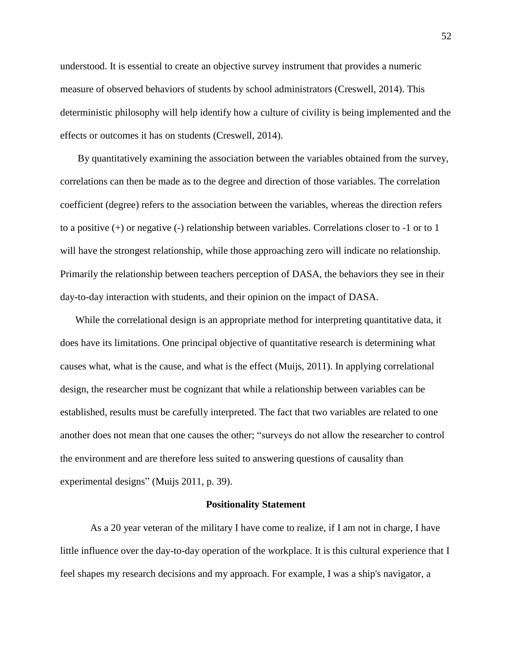understood. It is essential to create an objective survey instrument that provides a numeric measure of observed behaviors of students by school administrators (Creswell, 2014). This deterministic philosophy will help identify how a culture of civility is being implemented and the effects or outcomes it has on students (Creswell, 2014).

By quantitatively examining the association between the variables obtained from the survey, correlations can then be made as to the degree and direction of those variables. The correlation coefficient (degree) refers to the association between the variables, whereas the direction refers to a positive (+) or negative (-) relationship between variables. Correlations closer to -1 or to 1 will have the strongest relationship, while those approaching zero will indicate no relationship. Primarily the relationship between teachers perception of DASA, the behaviors they see in their day-to-day interaction with students, and their opinion on the impact of DASA.

While the correlational design is an appropriate method for interpreting quantitative data, it does have its limitations. One principal objective of quantitative research is determining what causes what, what is the cause, and what is the effect (Muijs, 2011). In applying correlational design, the researcher must be cognizant that while a relationship between variables can be established, results must be carefully interpreted. The fact that two variables are related to one another does not mean that one causes the other; "surveys do not allow the researcher to control the environment and are therefore less suited to answering questions of causality than experimental designs" (Muijs 2011, p. 39).

#### **Positionality Statement**

As a 20 year veteran of the military I have come to realize, if I am not in charge, I have little influence over the day-to-day operation of the workplace. It is this cultural experience that I feel shapes my research decisions and my approach. For example, I was a ship's navigator, a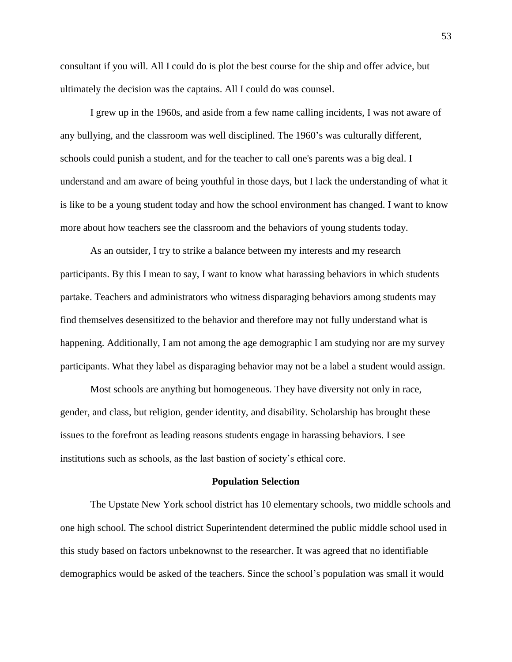consultant if you will. All I could do is plot the best course for the ship and offer advice, but ultimately the decision was the captains. All I could do was counsel.

I grew up in the 1960s, and aside from a few name calling incidents, I was not aware of any bullying, and the classroom was well disciplined. The 1960's was culturally different, schools could punish a student, and for the teacher to call one's parents was a big deal. I understand and am aware of being youthful in those days, but I lack the understanding of what it is like to be a young student today and how the school environment has changed. I want to know more about how teachers see the classroom and the behaviors of young students today.

As an outsider, I try to strike a balance between my interests and my research participants. By this I mean to say, I want to know what harassing behaviors in which students partake. Teachers and administrators who witness disparaging behaviors among students may find themselves desensitized to the behavior and therefore may not fully understand what is happening. Additionally, I am not among the age demographic I am studying nor are my survey participants. What they label as disparaging behavior may not be a label a student would assign.

Most schools are anything but homogeneous. They have diversity not only in race, gender, and class, but religion, gender identity, and disability. Scholarship has brought these issues to the forefront as leading reasons students engage in harassing behaviors. I see institutions such as schools, as the last bastion of society's ethical core.

#### **Population Selection**

The Upstate New York school district has 10 elementary schools, two middle schools and one high school. The school district Superintendent determined the public middle school used in this study based on factors unbeknownst to the researcher. It was agreed that no identifiable demographics would be asked of the teachers. Since the school's population was small it would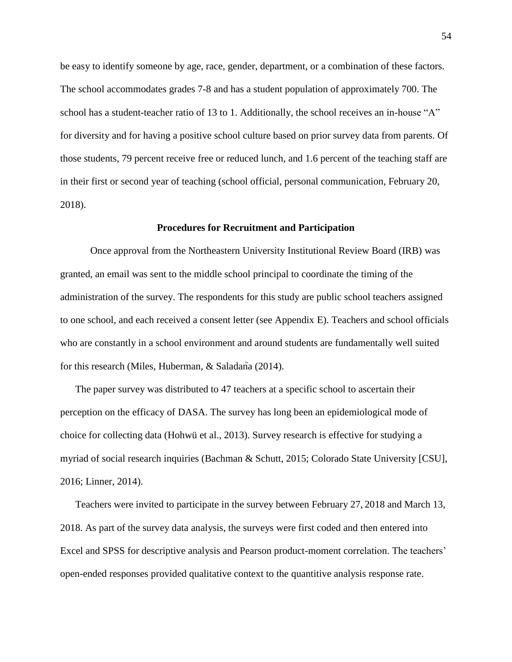be easy to identify someone by age, race, gender, department, or a combination of these factors. The school accommodates grades 7-8 and has a student population of approximately 700. The school has a student-teacher ratio of 13 to 1. Additionally, the school receives an in-house "A" for diversity and for having a positive school culture based on prior survey data from parents. Of those students, 79 percent receive free or reduced lunch, and 1.6 percent of the teaching staff are in their first or second year of teaching (school official, personal communication, February 20, 2018).

### **Procedures for Recruitment and Participation**

Once approval from the Northeastern University Institutional Review Board (IRB) was granted, an email was sent to the middle school principal to coordinate the timing of the administration of the survey. The respondents for this study are public school teachers assigned to one school, and each received a consent letter (see Appendix E). Teachers and school officials who are constantly in a school environment and around students are fundamentally well suited for this research (Miles, Huberman,  $\&$  Saladana (2014).

The paper survey was distributed to 47 teachers at a specific school to ascertain their perception on the efficacy of DASA. The survey has long been an epidemiological mode of choice for collecting data (Hohwü et al., 2013). Survey research is effective for studying a myriad of social research inquiries (Bachman & Schutt, 2015; Colorado State University [CSU], 2016; Linner, 2014).

Teachers were invited to participate in the survey between February 27, 2018 and March 13, 2018. As part of the survey data analysis, the surveys were first coded and then entered into Excel and SPSS for descriptive analysis and Pearson product-moment correlation. The teachers' open-ended responses provided qualitative context to the quantitive analysis response rate.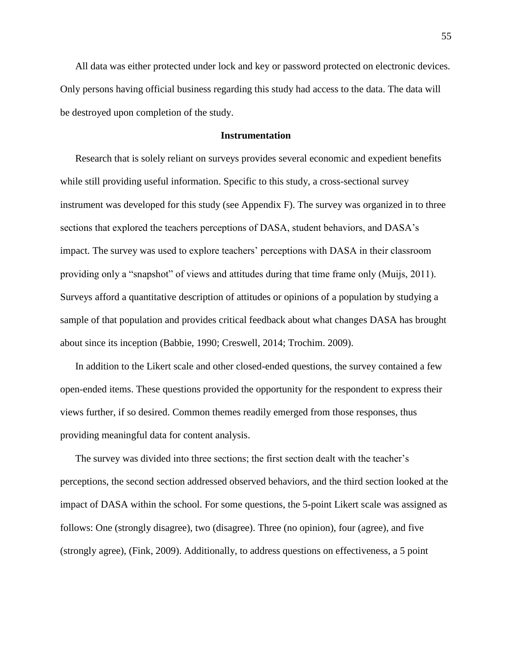All data was either protected under lock and key or password protected on electronic devices. Only persons having official business regarding this study had access to the data. The data will be destroyed upon completion of the study.

## **Instrumentation**

Research that is solely reliant on surveys provides several economic and expedient benefits while still providing useful information. Specific to this study, a cross-sectional survey instrument was developed for this study (see Appendix F). The survey was organized in to three sections that explored the teachers perceptions of DASA, student behaviors, and DASA's impact. The survey was used to explore teachers' perceptions with DASA in their classroom providing only a "snapshot" of views and attitudes during that time frame only (Muijs, 2011). Surveys afford a quantitative description of attitudes or opinions of a population by studying a sample of that population and provides critical feedback about what changes DASA has brought about since its inception (Babbie, 1990; Creswell, 2014; Trochim. 2009).

In addition to the Likert scale and other closed-ended questions, the survey contained a few open-ended items. These questions provided the opportunity for the respondent to express their views further, if so desired. Common themes readily emerged from those responses, thus providing meaningful data for content analysis.

The survey was divided into three sections; the first section dealt with the teacher's perceptions, the second section addressed observed behaviors, and the third section looked at the impact of DASA within the school. For some questions, the 5-point Likert scale was assigned as follows: One (strongly disagree), two (disagree). Three (no opinion), four (agree), and five (strongly agree), (Fink, 2009). Additionally, to address questions on effectiveness, a 5 point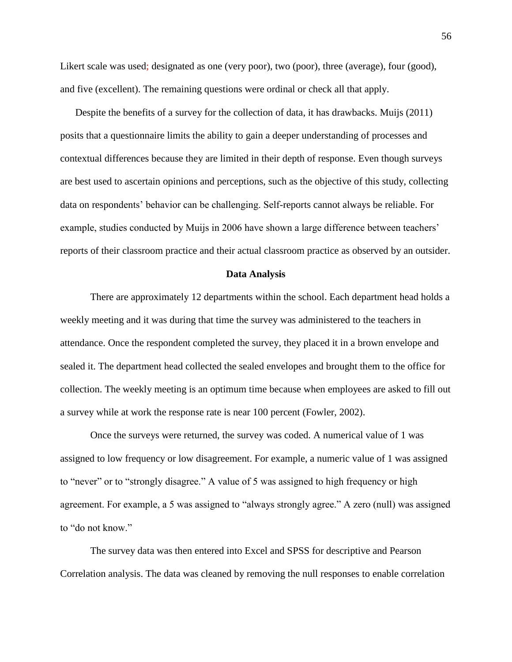Likert scale was used; designated as one (very poor), two (poor), three (average), four (good), and five (excellent). The remaining questions were ordinal or check all that apply.

Despite the benefits of a survey for the collection of data, it has drawbacks. Muijs (2011) posits that a questionnaire limits the ability to gain a deeper understanding of processes and contextual differences because they are limited in their depth of response. Even though surveys are best used to ascertain opinions and perceptions, such as the objective of this study, collecting data on respondents' behavior can be challenging. Self-reports cannot always be reliable. For example, studies conducted by Muijs in 2006 have shown a large difference between teachers' reports of their classroom practice and their actual classroom practice as observed by an outsider.

#### **Data Analysis**

There are approximately 12 departments within the school. Each department head holds a weekly meeting and it was during that time the survey was administered to the teachers in attendance. Once the respondent completed the survey, they placed it in a brown envelope and sealed it. The department head collected the sealed envelopes and brought them to the office for collection. The weekly meeting is an optimum time because when employees are asked to fill out a survey while at work the response rate is near 100 percent (Fowler, 2002).

Once the surveys were returned, the survey was coded. A numerical value of 1 was assigned to low frequency or low disagreement. For example, a numeric value of 1 was assigned to "never" or to "strongly disagree." A value of 5 was assigned to high frequency or high agreement. For example, a 5 was assigned to "always strongly agree." A zero (null) was assigned to "do not know."

The survey data was then entered into Excel and SPSS for descriptive and Pearson Correlation analysis. The data was cleaned by removing the null responses to enable correlation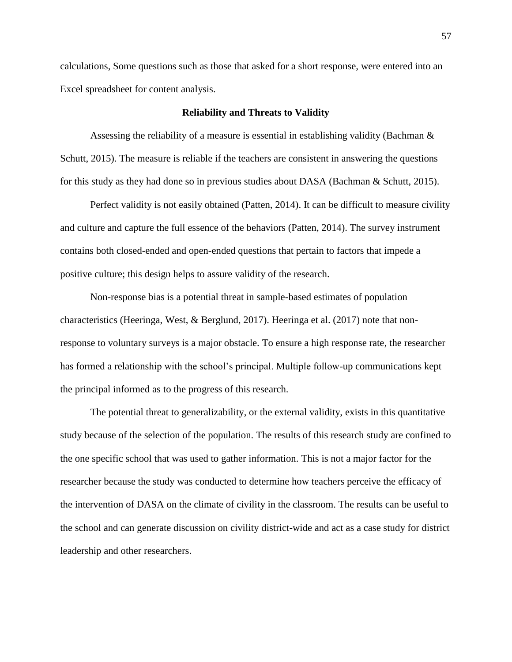calculations, Some questions such as those that asked for a short response, were entered into an Excel spreadsheet for content analysis.

### **Reliability and Threats to Validity**

Assessing the reliability of a measure is essential in establishing validity (Bachman  $\&$ Schutt, 2015). The measure is reliable if the teachers are consistent in answering the questions for this study as they had done so in previous studies about DASA (Bachman & Schutt, 2015).

Perfect validity is not easily obtained (Patten, 2014). It can be difficult to measure civility and culture and capture the full essence of the behaviors (Patten, 2014). The survey instrument contains both closed-ended and open-ended questions that pertain to factors that impede a positive culture; this design helps to assure validity of the research.

Non-response bias is a potential threat in sample-based estimates of population characteristics (Heeringa, West, & Berglund, 2017). Heeringa et al. (2017) note that nonresponse to voluntary surveys is a major obstacle. To ensure a high response rate, the researcher has formed a relationship with the school's principal. Multiple follow-up communications kept the principal informed as to the progress of this research.

The potential threat to generalizability, or the external validity, exists in this quantitative study because of the selection of the population. The results of this research study are confined to the one specific school that was used to gather information. This is not a major factor for the researcher because the study was conducted to determine how teachers perceive the efficacy of the intervention of DASA on the climate of civility in the classroom. The results can be useful to the school and can generate discussion on civility district-wide and act as a case study for district leadership and other researchers.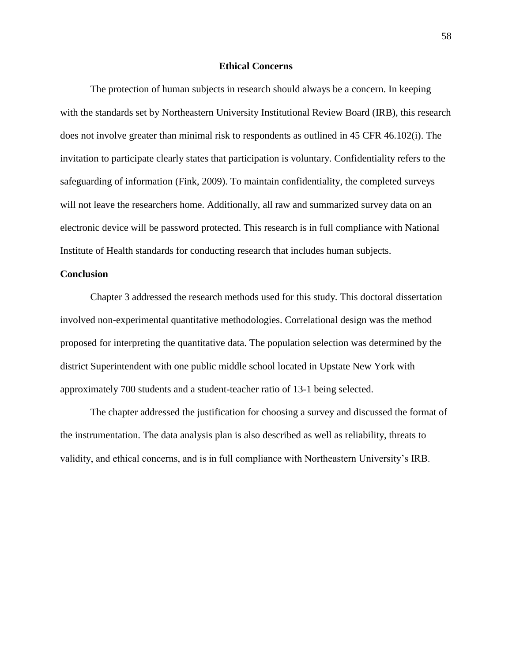## **Ethical Concerns**

The protection of human subjects in research should always be a concern. In keeping with the standards set by Northeastern University Institutional Review Board (IRB), this research does not involve greater than minimal risk to respondents as outlined in 45 CFR 46.102(i). The invitation to participate clearly states that participation is voluntary. Confidentiality refers to the safeguarding of information (Fink, 2009). To maintain confidentiality, the completed surveys will not leave the researchers home. Additionally, all raw and summarized survey data on an electronic device will be password protected. This research is in full compliance with National Institute of Health standards for conducting research that includes human subjects.

## **Conclusion**

Chapter 3 addressed the research methods used for this study. This doctoral dissertation involved non-experimental quantitative methodologies. Correlational design was the method proposed for interpreting the quantitative data. The population selection was determined by the district Superintendent with one public middle school located in Upstate New York with approximately 700 students and a student-teacher ratio of 13-1 being selected.

The chapter addressed the justification for choosing a survey and discussed the format of the instrumentation. The data analysis plan is also described as well as reliability, threats to validity, and ethical concerns, and is in full compliance with Northeastern University's IRB.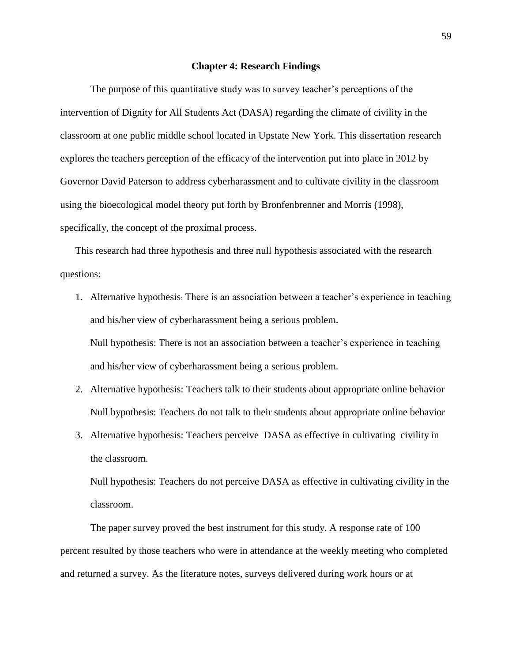#### **Chapter 4: Research Findings**

The purpose of this quantitative study was to survey teacher's perceptions of the intervention of Dignity for All Students Act (DASA) regarding the climate of civility in the classroom at one public middle school located in Upstate New York. This dissertation research explores the teachers perception of the efficacy of the intervention put into place in 2012 by Governor David Paterson to address cyberharassment and to cultivate civility in the classroom using the bioecological model theory put forth by Bronfenbrenner and Morris (1998), specifically, the concept of the proximal process.

This research had three hypothesis and three null hypothesis associated with the research questions:

1. Alternative hypothesis: There is an association between a teacher's experience in teaching and his/her view of cyberharassment being a serious problem.

Null hypothesis: There is not an association between a teacher's experience in teaching and his/her view of cyberharassment being a serious problem.

- 2. Alternative hypothesis: Teachers talk to their students about appropriate online behavior Null hypothesis: Teachers do not talk to their students about appropriate online behavior
- 3. Alternative hypothesis: Teachers perceive DASA as effective in cultivating civility in the classroom.

Null hypothesis: Teachers do not perceive DASA as effective in cultivating civility in the classroom.

The paper survey proved the best instrument for this study. A response rate of 100 percent resulted by those teachers who were in attendance at the weekly meeting who completed and returned a survey. As the literature notes, surveys delivered during work hours or at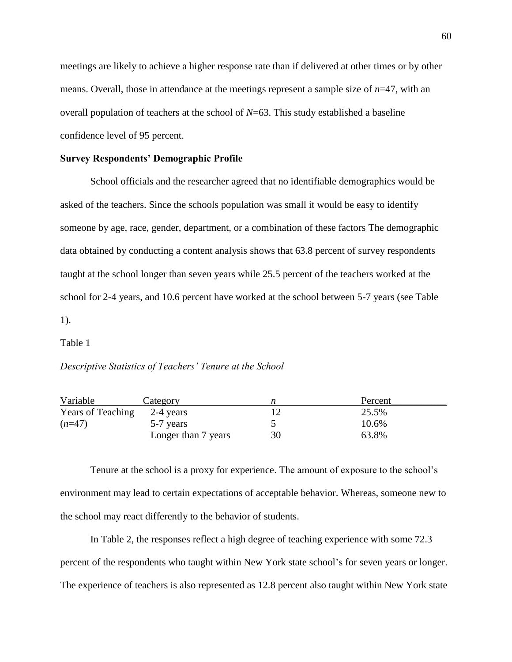meetings are likely to achieve a higher response rate than if delivered at other times or by other means. Overall, those in attendance at the meetings represent a sample size of *n*=47, with an overall population of teachers at the school of *N*=63. This study established a baseline confidence level of 95 percent.

## **Survey Respondents' Demographic Profile**

School officials and the researcher agreed that no identifiable demographics would be asked of the teachers. Since the schools population was small it would be easy to identify someone by age, race, gender, department, or a combination of these factors The demographic data obtained by conducting a content analysis shows that 63.8 percent of survey respondents taught at the school longer than seven years while 25.5 percent of the teachers worked at the school for 2-4 years, and 10.6 percent have worked at the school between 5-7 years (see Table 1).

#### Table 1

## *Descriptive Statistics of Teachers' Tenure at the School*

| Variable                 | Category            |    | Percent |
|--------------------------|---------------------|----|---------|
| <b>Years of Teaching</b> | 2-4 years           |    | 25.5%   |
| $(n=47)$                 | 5-7 years           |    | 10.6%   |
|                          | Longer than 7 years | 30 | 63.8%   |

Tenure at the school is a proxy for experience. The amount of exposure to the school's environment may lead to certain expectations of acceptable behavior. Whereas, someone new to the school may react differently to the behavior of students.

In Table 2, the responses reflect a high degree of teaching experience with some 72.3 percent of the respondents who taught within New York state school's for seven years or longer. The experience of teachers is also represented as 12.8 percent also taught within New York state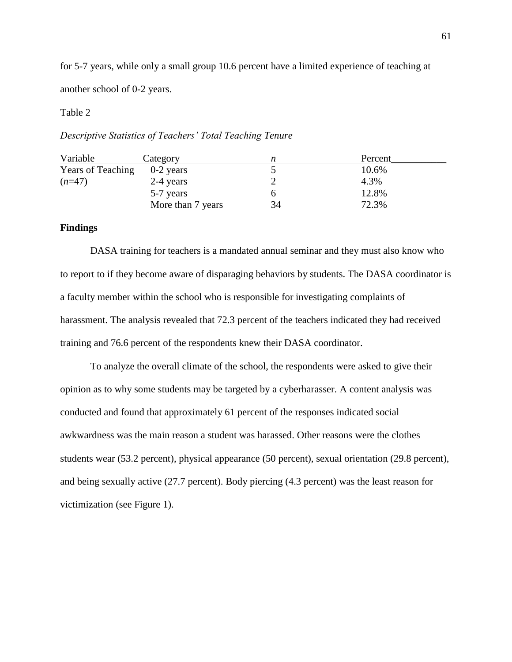for 5-7 years, while only a small group 10.6 percent have a limited experience of teaching at another school of 0-2 years.

## Table 2

*Descriptive Statistics of Teachers' Total Teaching Tenure*

| Variable                 | Category          |    | Percent |
|--------------------------|-------------------|----|---------|
| <b>Years of Teaching</b> | $0-2$ years       |    | 10.6%   |
| $(n=47)$                 | 2-4 years         |    | 4.3%    |
|                          | 5-7 years         |    | 12.8%   |
|                          | More than 7 years | 34 | 72.3%   |

## **Findings**

DASA training for teachers is a mandated annual seminar and they must also know who to report to if they become aware of disparaging behaviors by students. The DASA coordinator is a faculty member within the school who is responsible for investigating complaints of harassment. The analysis revealed that 72.3 percent of the teachers indicated they had received training and 76.6 percent of the respondents knew their DASA coordinator.

To analyze the overall climate of the school, the respondents were asked to give their opinion as to why some students may be targeted by a cyberharasser. A content analysis was conducted and found that approximately 61 percent of the responses indicated social awkwardness was the main reason a student was harassed. Other reasons were the clothes students wear (53.2 percent), physical appearance (50 percent), sexual orientation (29.8 percent), and being sexually active (27.7 percent). Body piercing (4.3 percent) was the least reason for victimization (see Figure 1).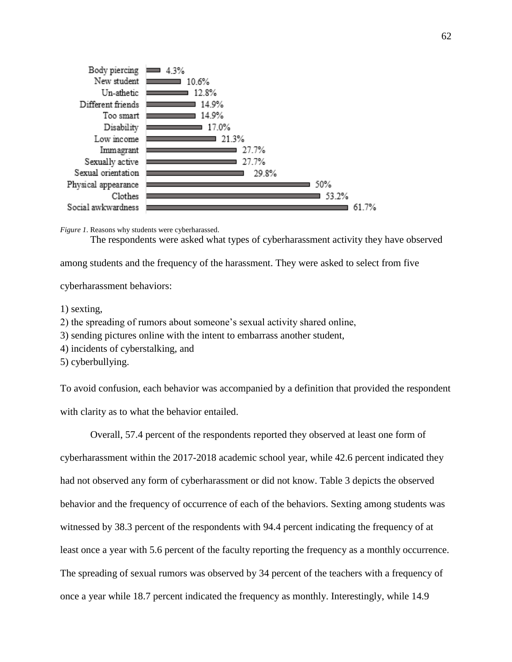

*Figure 1*. Reasons why students were cyberharassed.

The respondents were asked what types of cyberharassment activity they have observed

among students and the frequency of the harassment. They were asked to select from five

cyberharassment behaviors:

1) sexting,

2) the spreading of rumors about someone's sexual activity shared online,

3) sending pictures online with the intent to embarrass another student,

4) incidents of cyberstalking, and

5) cyberbullying.

To avoid confusion, each behavior was accompanied by a definition that provided the respondent with clarity as to what the behavior entailed.

Overall, 57.4 percent of the respondents reported they observed at least one form of cyberharassment within the 2017-2018 academic school year, while 42.6 percent indicated they had not observed any form of cyberharassment or did not know. Table 3 depicts the observed behavior and the frequency of occurrence of each of the behaviors. Sexting among students was witnessed by 38.3 percent of the respondents with 94.4 percent indicating the frequency of at least once a year with 5.6 percent of the faculty reporting the frequency as a monthly occurrence. The spreading of sexual rumors was observed by 34 percent of the teachers with a frequency of once a year while 18.7 percent indicated the frequency as monthly. Interestingly, while 14.9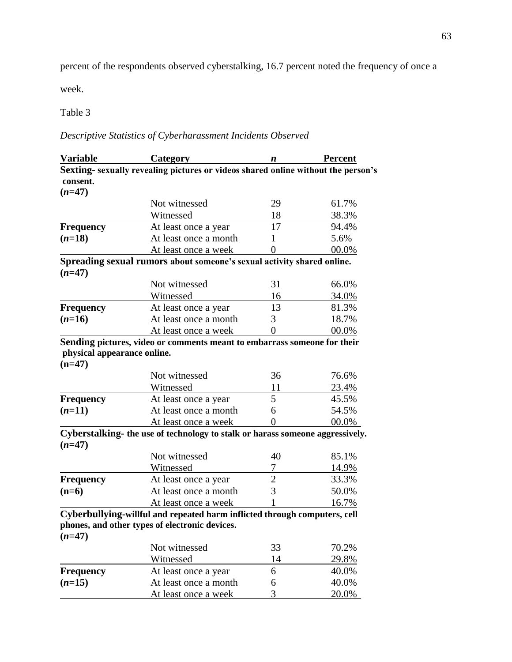percent of the respondents observed cyberstalking, 16.7 percent noted the frequency of once a

week.

Table 3

*Descriptive Statistics of Cyberharassment Incidents Observed*

| <b>Variable</b>                         | <b>Category</b>                                                                  | n  | <b>Percent</b> |
|-----------------------------------------|----------------------------------------------------------------------------------|----|----------------|
|                                         | Sexting-sexually revealing pictures or videos shared online without the person's |    |                |
| consent.                                |                                                                                  |    |                |
| $(n=47)$                                |                                                                                  |    |                |
|                                         | Not witnessed                                                                    | 29 | 61.7%          |
|                                         | Witnessed                                                                        | 18 | 38.3%          |
| <b>Frequency</b>                        | At least once a year                                                             | 17 | 94.4%          |
| $(n=18)$                                | At least once a month                                                            | 1  | 5.6%           |
|                                         | At least once a week                                                             | 0  | 00.0%          |
| $(n=47)$                                | Spreading sexual rumors about someone's sexual activity shared online.           |    |                |
|                                         | Not witnessed                                                                    | 31 | 66.0%          |
|                                         | Witnessed                                                                        | 16 | <u>34.0%</u>   |
| <b>Frequency</b>                        | At least once a year                                                             | 13 | 81.3%          |
| $(n=16)$                                | At least once a month                                                            | 3  | 18.7%          |
|                                         | At least once a week                                                             | 0  | 00.0%          |
|                                         | Sending pictures, video or comments meant to embarrass someone for their         |    |                |
| physical appearance online.<br>$(n=47)$ |                                                                                  |    |                |
|                                         | Not witnessed                                                                    | 36 | 76.6%          |
|                                         | Witnessed                                                                        | 11 | 23.4%          |
| <b>Frequency</b>                        | At least once a year                                                             | 5  | 45.5%          |
| $(n=11)$                                | At least once a month                                                            | 6  | 54.5%          |
|                                         | At least once a week                                                             | 0  | 00.0%          |
| $(n=47)$                                | Cyberstalking- the use of technology to stalk or harass someone aggressively.    |    |                |
|                                         | Not witnessed                                                                    | 40 | 85.1%          |
|                                         | Witnessed                                                                        | 7  | 14.9%          |
| <b>Frequency</b>                        | At least once a year                                                             | 2  | 33.3%          |
| $(n=6)$                                 | At least once a month                                                            | 3  | 50.0%          |
|                                         | At least once a week                                                             |    | 16.7%          |
|                                         | Cyberbullying-willful and repeated harm inflicted through computers, cell        |    |                |
|                                         | phones, and other types of electronic devices.                                   |    |                |
| $(n=47)$                                |                                                                                  |    |                |
|                                         | Not witnessed                                                                    | 33 | 70.2%          |
|                                         | Witnessed                                                                        | 14 | 29.8%          |
| <b>Frequency</b>                        | At least once a year                                                             | 6  | 40.0%          |
|                                         |                                                                                  |    |                |
| $(n=15)$                                | At least once a month                                                            | 6  | 40.0%          |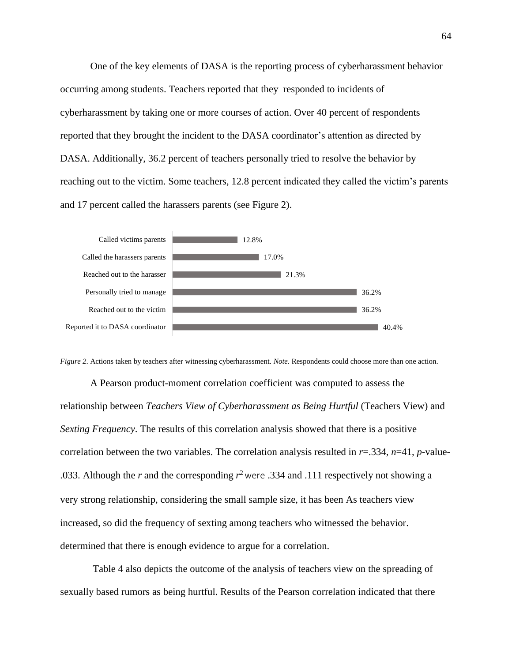One of the key elements of DASA is the reporting process of cyberharassment behavior occurring among students. Teachers reported that they responded to incidents of cyberharassment by taking one or more courses of action. Over 40 percent of respondents reported that they brought the incident to the DASA coordinator's attention as directed by DASA. Additionally, 36.2 percent of teachers personally tried to resolve the behavior by reaching out to the victim. Some teachers, 12.8 percent indicated they called the victim's parents and 17 percent called the harassers parents (see Figure 2).



*Figure 2*. Actions taken by teachers after witnessing cyberharassment. *Note*. Respondents could choose more than one action.

A Pearson product-moment correlation coefficient was computed to assess the relationship between *Teachers View of Cyberharassment as Being Hurtful* (Teachers View) and *Sexting Frequency*. The results of this correlation analysis showed that there is a positive correlation between the two variables. The correlation analysis resulted in *r*=.334, *n*=41, *p*-value- .033. Although the *r* and the corresponding  $r^2$  were .334 and .111 respectively not showing a very strong relationship, considering the small sample size, it has been As teachers view increased, so did the frequency of sexting among teachers who witnessed the behavior. determined that there is enough evidence to argue for a correlation.

Table 4 also depicts the outcome of the analysis of teachers view on the spreading of sexually based rumors as being hurtful. Results of the Pearson correlation indicated that there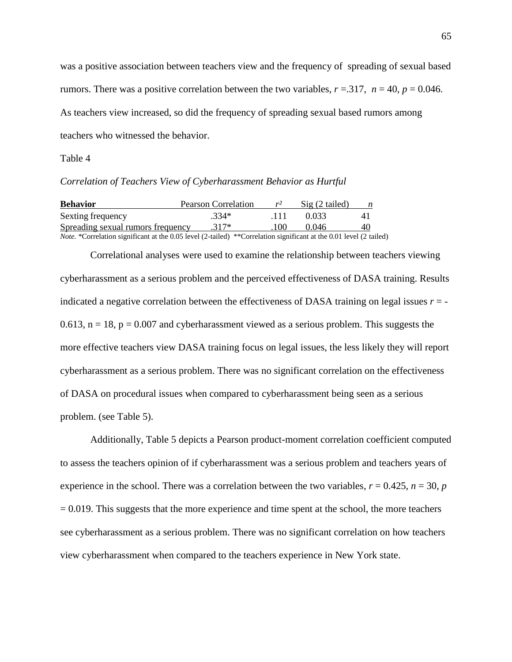was a positive association between teachers view and the frequency of spreading of sexual based rumors. There was a positive correlation between the two variables,  $r = 0.317$ ,  $n = 40$ ,  $p = 0.046$ . As teachers view increased, so did the frequency of spreading sexual based rumors among teachers who witnessed the behavior.

Table 4

*Correlation of Teachers View of Cyberharassment Behavior as Hurtful*

| <b>Behavior</b>                                                                                                           | Pearson Correlation | $r^2$ | Sig (2 tailed) | n  |
|---------------------------------------------------------------------------------------------------------------------------|---------------------|-------|----------------|----|
| Sexting frequency                                                                                                         | $.334*$             | -111  | 0.033          | 41 |
| Spreading sexual rumors frequency                                                                                         | $.317*$             | 100   | 0.046          | 40 |
| <i>Note.</i> *Correlation significant at the 0.05 level (2-tailed) **Correlation significant at the 0.01 level (2 tailed) |                     |       |                |    |

Correlational analyses were used to examine the relationship between teachers viewing cyberharassment as a serious problem and the perceived effectiveness of DASA training. Results indicated a negative correlation between the effectiveness of DASA training on legal issues  $r = -$ 0.613,  $n = 18$ ,  $p = 0.007$  and cyberharassment viewed as a serious problem. This suggests the more effective teachers view DASA training focus on legal issues, the less likely they will report cyberharassment as a serious problem. There was no significant correlation on the effectiveness of DASA on procedural issues when compared to cyberharassment being seen as a serious problem. (see Table 5).

Additionally, Table 5 depicts a Pearson product-moment correlation coefficient computed to assess the teachers opinion of if cyberharassment was a serious problem and teachers years of experience in the school. There was a correlation between the two variables,  $r = 0.425$ ,  $n = 30$ ,  $p = 0.425$  $= 0.019$ . This suggests that the more experience and time spent at the school, the more teachers see cyberharassment as a serious problem. There was no significant correlation on how teachers view cyberharassment when compared to the teachers experience in New York state.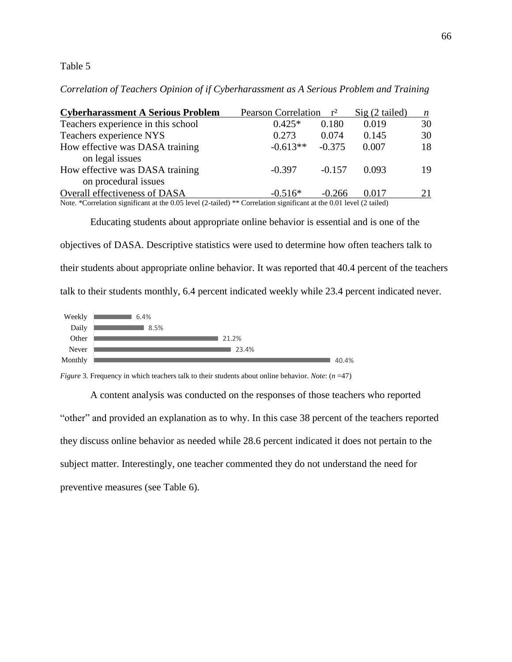## Table 5

*Correlation of Teachers Opinion of if Cyberharassment as A Serious Problem and Training*

| <b>Cyberharassment A Serious Problem</b>                                                                                                                                                                                                                                                                    | Pearson Correlation r <sup>2</sup> |          | $Sig(2-tailed)$ | n  |
|-------------------------------------------------------------------------------------------------------------------------------------------------------------------------------------------------------------------------------------------------------------------------------------------------------------|------------------------------------|----------|-----------------|----|
| Teachers experience in this school                                                                                                                                                                                                                                                                          | $0.425*$                           | 0.180    | 0.019           | 30 |
| Teachers experience NYS                                                                                                                                                                                                                                                                                     | 0.273                              | 0.074    | 0.145           | 30 |
| How effective was DASA training                                                                                                                                                                                                                                                                             | $-0.613**$                         | $-0.375$ | 0.007           | 18 |
| on legal issues                                                                                                                                                                                                                                                                                             |                                    |          |                 |    |
| How effective was DASA training                                                                                                                                                                                                                                                                             | $-0.397$                           | $-0.157$ | 0.093           | 19 |
| on procedural issues                                                                                                                                                                                                                                                                                        |                                    |          |                 |    |
| Overall effectiveness of DASA                                                                                                                                                                                                                                                                               | $-0.516*$                          | $-0.266$ | 0.017           | 21 |
| $\mathbf{M}$ , $\mathbf{A}$ , $\mathbf{M}$ , $\mathbf{M}$ , $\mathbf{M}$ , $\mathbf{M}$ , $\mathbf{M}$ , $\mathbf{M}$ , $\mathbf{M}$ , $\mathbf{M}$ , $\mathbf{M}$ , $\mathbf{M}$ , $\mathbf{M}$ , $\mathbf{M}$ , $\mathbf{M}$ , $\mathbf{M}$ , $\mathbf{M}$ , $\mathbf{M}$ , $\mathbf{M}$ , $\mathbf{M}$ , |                                    |          |                 |    |

Note. \*Correlation significant at the 0.05 level (2-tailed) \*\* Correlation significant at the 0.01 level (2 tailed)

Educating students about appropriate online behavior is essential and is one of the objectives of DASA. Descriptive statistics were used to determine how often teachers talk to their students about appropriate online behavior. It was reported that 40.4 percent of the teachers talk to their students monthly, 6.4 percent indicated weekly while 23.4 percent indicated never.



*Figure* 3. Frequency in which teachers talk to their students about online behavior. *Note*: (*n* =47)

A content analysis was conducted on the responses of those teachers who reported "other" and provided an explanation as to why. In this case 38 percent of the teachers reported they discuss online behavior as needed while 28.6 percent indicated it does not pertain to the subject matter. Interestingly, one teacher commented they do not understand the need for preventive measures (see Table 6).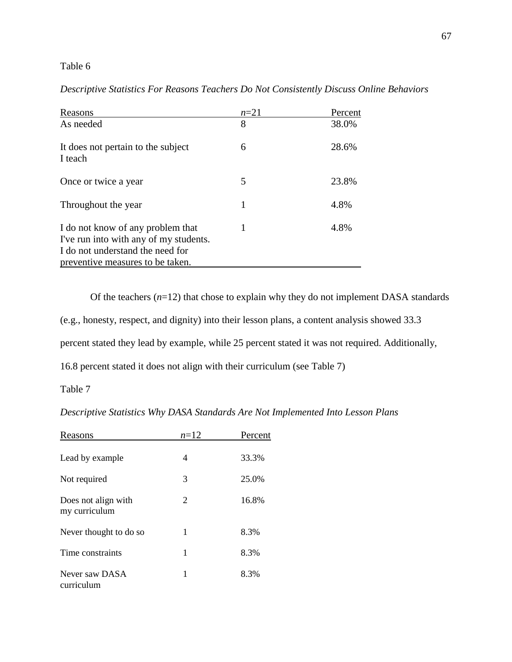# Table 6

| Reasons                                                                                                                                             | $n=21$ | Percent |
|-----------------------------------------------------------------------------------------------------------------------------------------------------|--------|---------|
| As needed                                                                                                                                           | 8      | 38.0%   |
| It does not pertain to the subject<br>I teach                                                                                                       | 6      | 28.6%   |
| Once or twice a year                                                                                                                                | 5      | 23.8%   |
| Throughout the year                                                                                                                                 | 1      | 4.8%    |
| I do not know of any problem that<br>I've run into with any of my students.<br>I do not understand the need for<br>preventive measures to be taken. | 1      | 4.8%    |

# *Descriptive Statistics For Reasons Teachers Do Not Consistently Discuss Online Behaviors*

Of the teachers  $(n=12)$  that chose to explain why they do not implement DASA standards

(e.g., honesty, respect, and dignity) into their lesson plans, a content analysis showed 33.3

percent stated they lead by example, while 25 percent stated it was not required. Additionally,

16.8 percent stated it does not align with their curriculum (see Table 7)

Table 7

*Descriptive Statistics Why DASA Standards Are Not Implemented Into Lesson Plans*

| Reasons                              | $n=12$ | Percent |
|--------------------------------------|--------|---------|
| Lead by example.                     | 4      | 33.3%   |
| Not required                         | 3      | 25.0%   |
| Does not align with<br>my curriculum | 2      | 16.8%   |
| Never thought to do so               | 1      | 8.3%    |
| Time constraints                     | 1      | 8.3%    |
| Never saw DASA<br>curriculum         | 1      | 8.3%    |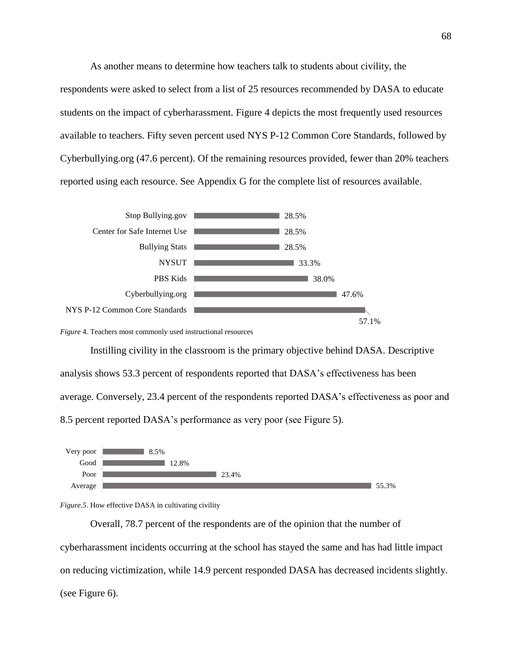As another means to determine how teachers talk to students about civility, the respondents were asked to select from a list of 25 resources recommended by DASA to educate students on the impact of cyberharassment. Figure 4 depicts the most frequently used resources available to teachers. Fifty seven percent used NYS P-12 Common Core Standards, followed by Cyberbullying.org (47.6 percent). Of the remaining resources provided, fewer than 20% teachers reported using each resource. See Appendix G for the complete list of resources available.



*Figure* 4*.* Teachers most commonly used instructional resources

Instilling civility in the classroom is the primary objective behind DASA. Descriptive analysis shows 53.3 percent of respondents reported that DASA's effectiveness has been average. Conversely, 23.4 percent of the respondents reported DASA's effectiveness as poor and 8.5 percent reported DASA's performance as very poor (see Figure 5).





Overall, 78.7 percent of the respondents are of the opinion that the number of cyberharassment incidents occurring at the school has stayed the same and has had little impact on reducing victimization, while 14.9 percent responded DASA has decreased incidents slightly. (see Figure 6).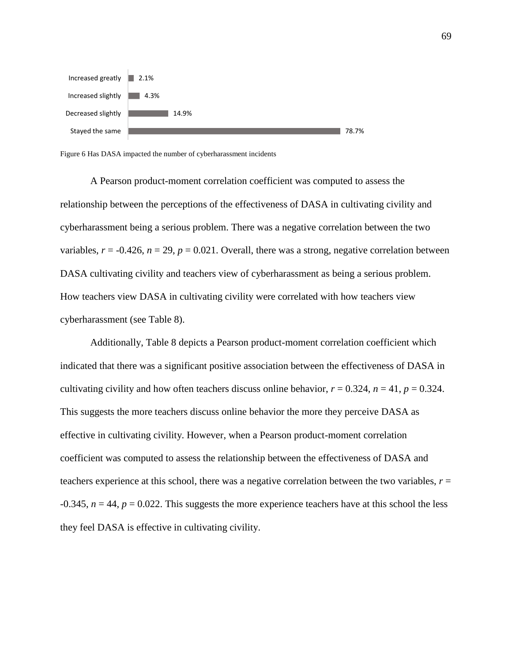

Figure 6 Has DASA impacted the number of cyberharassment incidents

A Pearson product-moment correlation coefficient was computed to assess the relationship between the perceptions of the effectiveness of DASA in cultivating civility and cyberharassment being a serious problem. There was a negative correlation between the two variables,  $r = -0.426$ ,  $n = 29$ ,  $p = 0.021$ . Overall, there was a strong, negative correlation between DASA cultivating civility and teachers view of cyberharassment as being a serious problem. How teachers view DASA in cultivating civility were correlated with how teachers view cyberharassment (see Table 8).

Additionally, Table 8 depicts a Pearson product-moment correlation coefficient which indicated that there was a significant positive association between the effectiveness of DASA in cultivating civility and how often teachers discuss online behavior,  $r = 0.324$ ,  $n = 41$ ,  $p = 0.324$ . This suggests the more teachers discuss online behavior the more they perceive DASA as effective in cultivating civility. However, when a Pearson product-moment correlation coefficient was computed to assess the relationship between the effectiveness of DASA and teachers experience at this school, there was a negative correlation between the two variables, *r* =  $-0.345$ ,  $n = 44$ ,  $p = 0.022$ . This suggests the more experience teachers have at this school the less they feel DASA is effective in cultivating civility.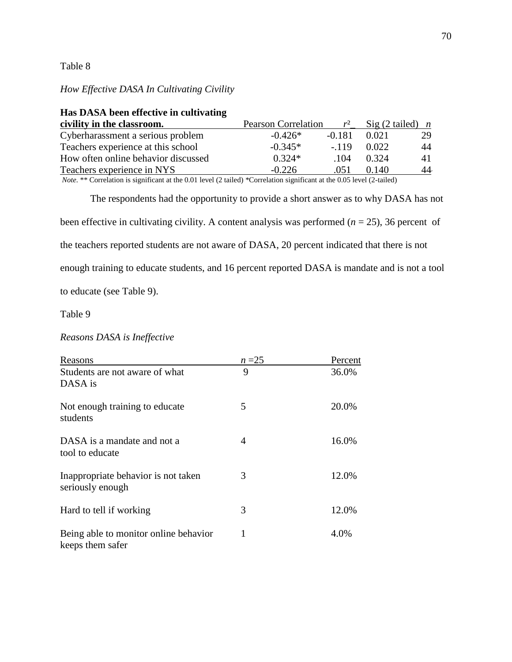## Table 8

## *How Effective DASA In Cultivating Civility*

| <b>THE DADA DEER CHECHVE IN CURTY ARTIS</b> |                            |              |                                         |    |
|---------------------------------------------|----------------------------|--------------|-----------------------------------------|----|
| civility in the classroom.                  | <b>Pearson Correlation</b> | $r^2$        | $\text{Sig}(2 \text{ tailed})$ <i>n</i> |    |
| Cyberharassment a serious problem           | $-0.426*$                  | $-0.181$     | 0.021                                   | 29 |
| Teachers experience at this school          | $-0.345*$                  | $-119$       | 0.022                                   | 44 |
| How often online behavior discussed         | $0.324*$                   | $\sqrt{104}$ | 0.324                                   | 41 |
| Teachers experience in NYS                  | $-0.226$                   | .051         | 0.140                                   | 44 |
|                                             |                            |              |                                         |    |

# **Has DASA been effective in cultivating**

*Note.* \*\* Correlation is significant at the 0.01 level (2 tailed) \*Correlation significant at the 0.05 level (2-tailed)

The respondents had the opportunity to provide a short answer as to why DASA has not been effective in cultivating civility. A content analysis was performed (*n* = 25), 36 percent of the teachers reported students are not aware of DASA, 20 percent indicated that there is not enough training to educate students, and 16 percent reported DASA is mandate and is not a tool to educate (see Table 9).

Table 9

*Reasons DASA is Ineffective*

| Reasons                                                   | $n = 25$ | Percent |
|-----------------------------------------------------------|----------|---------|
| Students are not aware of what<br>DASA is                 | 9        | 36.0%   |
|                                                           |          |         |
| Not enough training to educate<br>students                | 5        | 20.0%   |
| DASA is a mandate and not a<br>tool to educate            | 4        | 16.0%   |
| Inappropriate behavior is not taken<br>seriously enough   | 3        | 12.0%   |
| Hard to tell if working                                   | 3        | 12.0%   |
| Being able to monitor online behavior<br>keeps them safer | 1        | 4.0%    |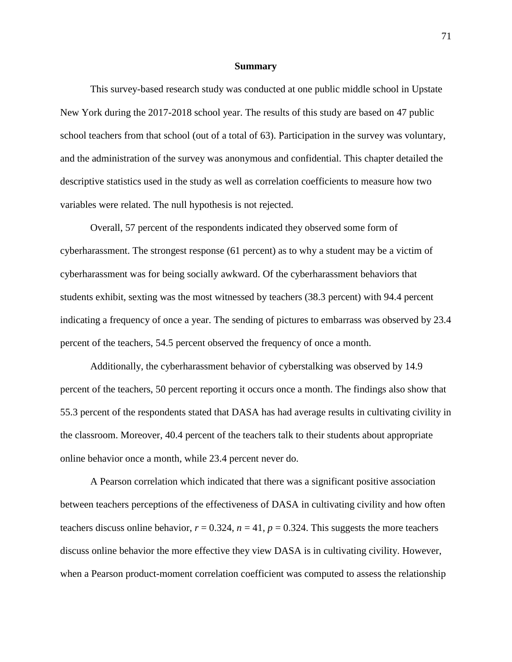#### **Summary**

This survey-based research study was conducted at one public middle school in Upstate New York during the 2017-2018 school year. The results of this study are based on 47 public school teachers from that school (out of a total of 63). Participation in the survey was voluntary, and the administration of the survey was anonymous and confidential. This chapter detailed the descriptive statistics used in the study as well as correlation coefficients to measure how two variables were related. The null hypothesis is not rejected.

Overall, 57 percent of the respondents indicated they observed some form of cyberharassment. The strongest response (61 percent) as to why a student may be a victim of cyberharassment was for being socially awkward. Of the cyberharassment behaviors that students exhibit, sexting was the most witnessed by teachers (38.3 percent) with 94.4 percent indicating a frequency of once a year. The sending of pictures to embarrass was observed by 23.4 percent of the teachers, 54.5 percent observed the frequency of once a month.

Additionally, the cyberharassment behavior of cyberstalking was observed by 14.9 percent of the teachers, 50 percent reporting it occurs once a month. The findings also show that 55.3 percent of the respondents stated that DASA has had average results in cultivating civility in the classroom. Moreover, 40.4 percent of the teachers talk to their students about appropriate online behavior once a month, while 23.4 percent never do.

A Pearson correlation which indicated that there was a significant positive association between teachers perceptions of the effectiveness of DASA in cultivating civility and how often teachers discuss online behavior,  $r = 0.324$ ,  $n = 41$ ,  $p = 0.324$ . This suggests the more teachers discuss online behavior the more effective they view DASA is in cultivating civility. However, when a Pearson product-moment correlation coefficient was computed to assess the relationship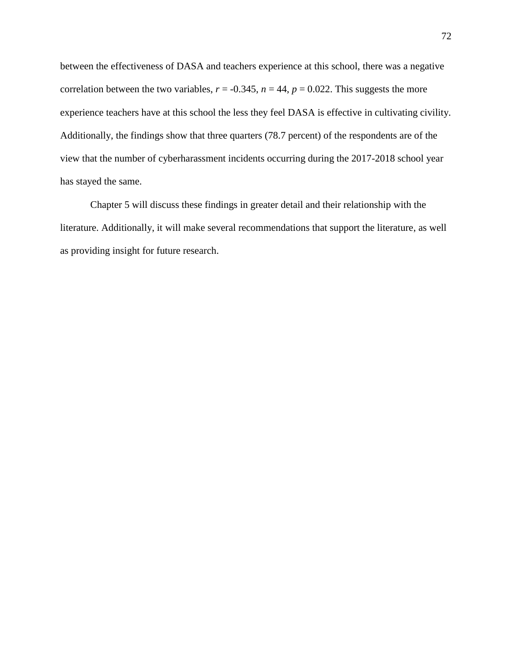between the effectiveness of DASA and teachers experience at this school, there was a negative correlation between the two variables,  $r = -0.345$ ,  $n = 44$ ,  $p = 0.022$ . This suggests the more experience teachers have at this school the less they feel DASA is effective in cultivating civility. Additionally, the findings show that three quarters (78.7 percent) of the respondents are of the view that the number of cyberharassment incidents occurring during the 2017-2018 school year has stayed the same.

Chapter 5 will discuss these findings in greater detail and their relationship with the literature. Additionally, it will make several recommendations that support the literature, as well as providing insight for future research.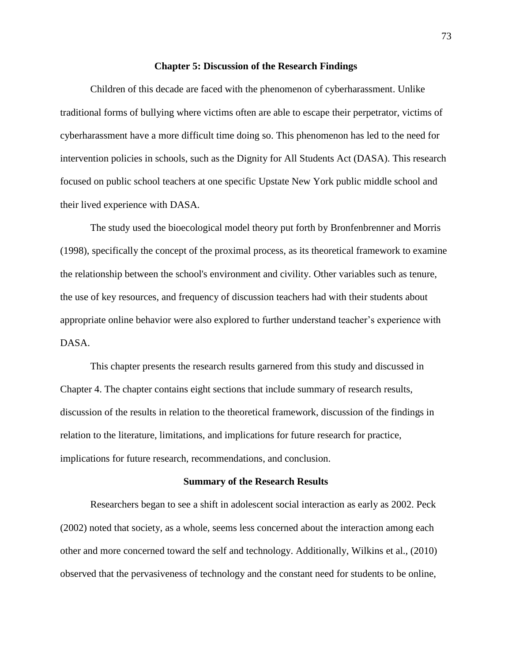#### **Chapter 5: Discussion of the Research Findings**

Children of this decade are faced with the phenomenon of cyberharassment. Unlike traditional forms of bullying where victims often are able to escape their perpetrator, victims of cyberharassment have a more difficult time doing so. This phenomenon has led to the need for intervention policies in schools, such as the Dignity for All Students Act (DASA). This research focused on public school teachers at one specific Upstate New York public middle school and their lived experience with DASA.

The study used the bioecological model theory put forth by Bronfenbrenner and Morris (1998), specifically the concept of the proximal process, as its theoretical framework to examine the relationship between the school's environment and civility. Other variables such as tenure, the use of key resources, and frequency of discussion teachers had with their students about appropriate online behavior were also explored to further understand teacher's experience with DASA.

This chapter presents the research results garnered from this study and discussed in Chapter 4. The chapter contains eight sections that include summary of research results, discussion of the results in relation to the theoretical framework, discussion of the findings in relation to the literature, limitations, and implications for future research for practice, implications for future research, recommendations, and conclusion.

#### **Summary of the Research Results**

Researchers began to see a shift in adolescent social interaction as early as 2002. Peck (2002) noted that society, as a whole, seems less concerned about the interaction among each other and more concerned toward the self and technology. Additionally, Wilkins et al., (2010) observed that the pervasiveness of technology and the constant need for students to be online,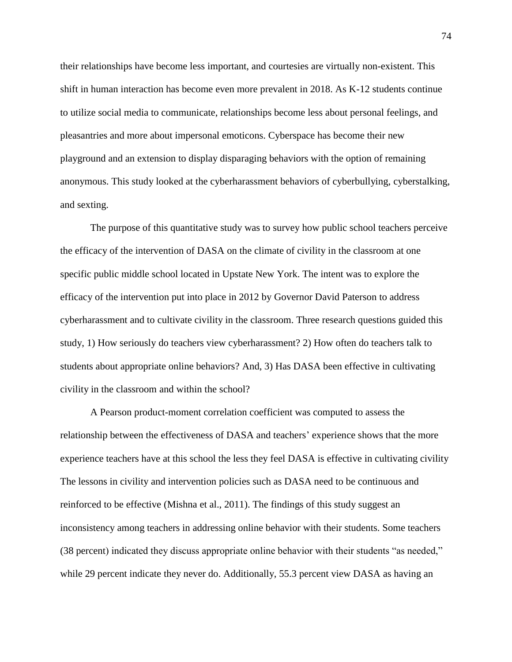their relationships have become less important, and courtesies are virtually non-existent. This shift in human interaction has become even more prevalent in 2018. As K-12 students continue to utilize social media to communicate, relationships become less about personal feelings, and pleasantries and more about impersonal emoticons. Cyberspace has become their new playground and an extension to display disparaging behaviors with the option of remaining anonymous. This study looked at the cyberharassment behaviors of cyberbullying, cyberstalking, and sexting.

The purpose of this quantitative study was to survey how public school teachers perceive the efficacy of the intervention of DASA on the climate of civility in the classroom at one specific public middle school located in Upstate New York. The intent was to explore the efficacy of the intervention put into place in 2012 by Governor David Paterson to address cyberharassment and to cultivate civility in the classroom. Three research questions guided this study, 1) How seriously do teachers view cyberharassment? 2) How often do teachers talk to students about appropriate online behaviors? And, 3) Has DASA been effective in cultivating civility in the classroom and within the school?

A Pearson product-moment correlation coefficient was computed to assess the relationship between the effectiveness of DASA and teachers' experience shows that the more experience teachers have at this school the less they feel DASA is effective in cultivating civility The lessons in civility and intervention policies such as DASA need to be continuous and reinforced to be effective (Mishna et al., 2011). The findings of this study suggest an inconsistency among teachers in addressing online behavior with their students. Some teachers (38 percent) indicated they discuss appropriate online behavior with their students "as needed," while 29 percent indicate they never do. Additionally, 55.3 percent view DASA as having an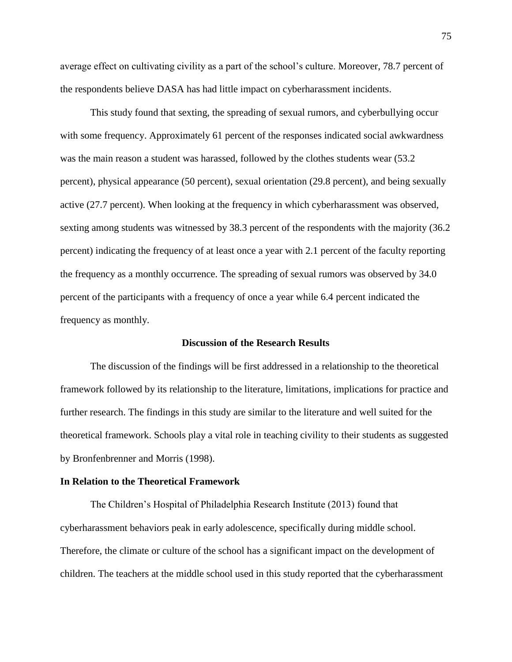average effect on cultivating civility as a part of the school's culture. Moreover, 78.7 percent of the respondents believe DASA has had little impact on cyberharassment incidents.

This study found that sexting, the spreading of sexual rumors, and cyberbullying occur with some frequency. Approximately 61 percent of the responses indicated social awkwardness was the main reason a student was harassed, followed by the clothes students wear (53.2) percent), physical appearance (50 percent), sexual orientation (29.8 percent), and being sexually active (27.7 percent). When looking at the frequency in which cyberharassment was observed, sexting among students was witnessed by 38.3 percent of the respondents with the majority (36.2 percent) indicating the frequency of at least once a year with 2.1 percent of the faculty reporting the frequency as a monthly occurrence. The spreading of sexual rumors was observed by 34.0 percent of the participants with a frequency of once a year while 6.4 percent indicated the frequency as monthly.

#### **Discussion of the Research Results**

The discussion of the findings will be first addressed in a relationship to the theoretical framework followed by its relationship to the literature, limitations, implications for practice and further research. The findings in this study are similar to the literature and well suited for the theoretical framework. Schools play a vital role in teaching civility to their students as suggested by Bronfenbrenner and Morris (1998).

#### **In Relation to the Theoretical Framework**

The Children's Hospital of Philadelphia Research Institute (2013) found that cyberharassment behaviors peak in early adolescence, specifically during middle school. Therefore, the climate or culture of the school has a significant impact on the development of children. The teachers at the middle school used in this study reported that the cyberharassment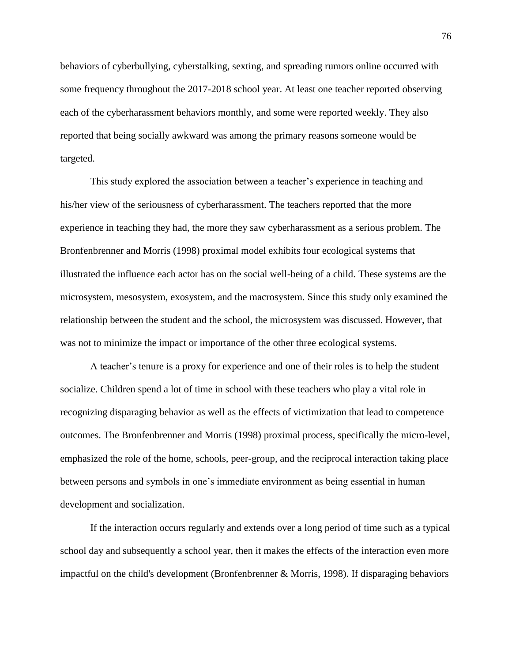behaviors of cyberbullying, cyberstalking, sexting, and spreading rumors online occurred with some frequency throughout the 2017-2018 school year. At least one teacher reported observing each of the cyberharassment behaviors monthly, and some were reported weekly. They also reported that being socially awkward was among the primary reasons someone would be targeted.

This study explored the association between a teacher's experience in teaching and his/her view of the seriousness of cyberharassment. The teachers reported that the more experience in teaching they had, the more they saw cyberharassment as a serious problem. The Bronfenbrenner and Morris (1998) proximal model exhibits four ecological systems that illustrated the influence each actor has on the social well-being of a child. These systems are the microsystem, mesosystem, exosystem, and the macrosystem*.* Since this study only examined the relationship between the student and the school, the microsystem was discussed. However, that was not to minimize the impact or importance of the other three ecological systems.

A teacher's tenure is a proxy for experience and one of their roles is to help the student socialize. Children spend a lot of time in school with these teachers who play a vital role in recognizing disparaging behavior as well as the effects of victimization that lead to competence outcomes. The Bronfenbrenner and Morris (1998) proximal process, specifically the micro-level, emphasized the role of the home, schools, peer-group, and the reciprocal interaction taking place between persons and symbols in one's immediate environment as being essential in human development and socialization.

If the interaction occurs regularly and extends over a long period of time such as a typical school day and subsequently a school year, then it makes the effects of the interaction even more impactful on the child's development (Bronfenbrenner & Morris, 1998). If disparaging behaviors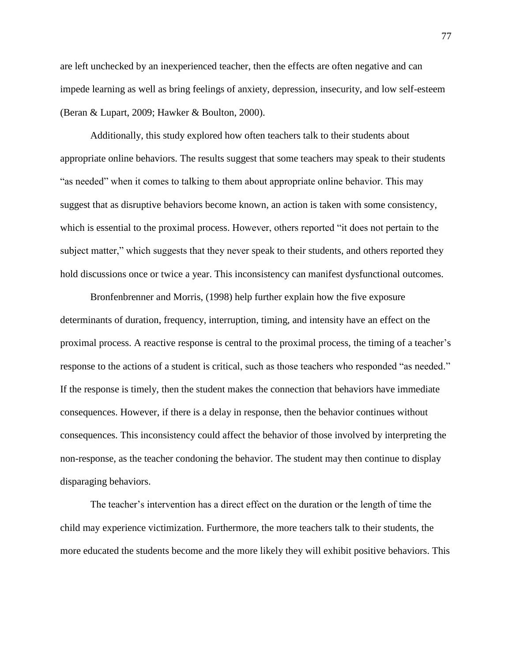are left unchecked by an inexperienced teacher, then the effects are often negative and can impede learning as well as bring feelings of anxiety, depression, insecurity, and low self-esteem (Beran & Lupart, 2009; Hawker & Boulton, 2000).

Additionally, this study explored how often teachers talk to their students about appropriate online behaviors. The results suggest that some teachers may speak to their students "as needed" when it comes to talking to them about appropriate online behavior. This may suggest that as disruptive behaviors become known, an action is taken with some consistency, which is essential to the proximal process. However, others reported "it does not pertain to the subject matter," which suggests that they never speak to their students, and others reported they hold discussions once or twice a year. This inconsistency can manifest dysfunctional outcomes.

Bronfenbrenner and Morris, (1998) help further explain how the five exposure determinants of duration, frequency, interruption, timing, and intensity have an effect on the proximal process. A reactive response is central to the proximal process, the timing of a teacher's response to the actions of a student is critical, such as those teachers who responded "as needed." If the response is timely, then the student makes the connection that behaviors have immediate consequences. However, if there is a delay in response, then the behavior continues without consequences. This inconsistency could affect the behavior of those involved by interpreting the non-response, as the teacher condoning the behavior. The student may then continue to display disparaging behaviors.

The teacher's intervention has a direct effect on the duration or the length of time the child may experience victimization. Furthermore, the more teachers talk to their students, the more educated the students become and the more likely they will exhibit positive behaviors. This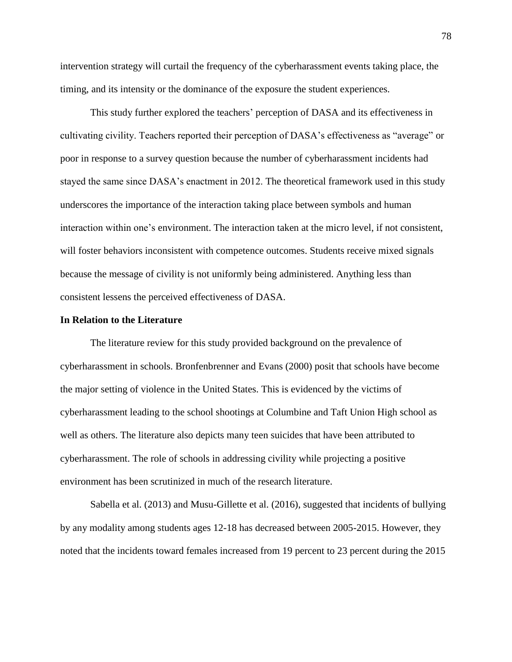intervention strategy will curtail the frequency of the cyberharassment events taking place, the timing, and its intensity or the dominance of the exposure the student experiences.

This study further explored the teachers' perception of DASA and its effectiveness in cultivating civility. Teachers reported their perception of DASA's effectiveness as "average" or poor in response to a survey question because the number of cyberharassment incidents had stayed the same since DASA's enactment in 2012. The theoretical framework used in this study underscores the importance of the interaction taking place between symbols and human interaction within one's environment. The interaction taken at the micro level, if not consistent, will foster behaviors inconsistent with competence outcomes. Students receive mixed signals because the message of civility is not uniformly being administered. Anything less than consistent lessens the perceived effectiveness of DASA.

### **In Relation to the Literature**

The literature review for this study provided background on the prevalence of cyberharassment in schools. Bronfenbrenner and Evans (2000) posit that schools have become the major setting of violence in the United States. This is evidenced by the victims of cyberharassment leading to the school shootings at Columbine and Taft Union High school as well as others. The literature also depicts many teen suicides that have been attributed to cyberharassment. The role of schools in addressing civility while projecting a positive environment has been scrutinized in much of the research literature.

Sabella et al. (2013) and Musu-Gillette et al. (2016), suggested that incidents of bullying by any modality among students ages 12-18 has decreased between 2005-2015. However, they noted that the incidents toward females increased from 19 percent to 23 percent during the 2015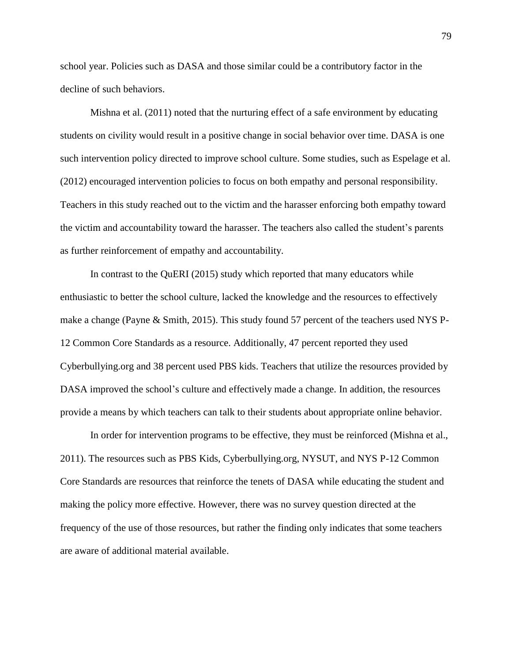school year. Policies such as DASA and those similar could be a contributory factor in the decline of such behaviors.

Mishna et al. (2011) noted that the nurturing effect of a safe environment by educating students on civility would result in a positive change in social behavior over time. DASA is one such intervention policy directed to improve school culture. Some studies, such as Espelage et al. (2012) encouraged intervention policies to focus on both empathy and personal responsibility. Teachers in this study reached out to the victim and the harasser enforcing both empathy toward the victim and accountability toward the harasser. The teachers also called the student's parents as further reinforcement of empathy and accountability.

In contrast to the QuERI (2015) study which reported that many educators while enthusiastic to better the school culture, lacked the knowledge and the resources to effectively make a change (Payne & Smith, 2015). This study found 57 percent of the teachers used NYS P-12 Common Core Standards as a resource. Additionally, 47 percent reported they used Cyberbullying.org and 38 percent used PBS kids. Teachers that utilize the resources provided by DASA improved the school's culture and effectively made a change. In addition, the resources provide a means by which teachers can talk to their students about appropriate online behavior.

In order for intervention programs to be effective, they must be reinforced (Mishna et al., 2011). The resources such as PBS Kids, Cyberbullying.org, NYSUT, and NYS P-12 Common Core Standards are resources that reinforce the tenets of DASA while educating the student and making the policy more effective. However, there was no survey question directed at the frequency of the use of those resources, but rather the finding only indicates that some teachers are aware of additional material available.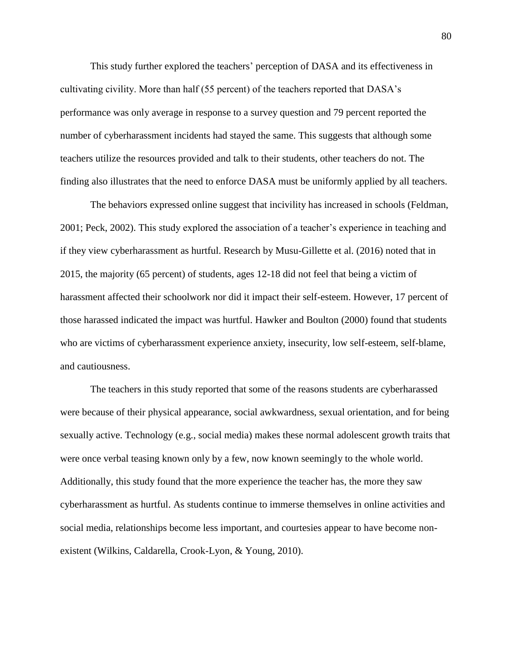This study further explored the teachers' perception of DASA and its effectiveness in cultivating civility. More than half (55 percent) of the teachers reported that DASA's performance was only average in response to a survey question and 79 percent reported the number of cyberharassment incidents had stayed the same. This suggests that although some teachers utilize the resources provided and talk to their students, other teachers do not. The finding also illustrates that the need to enforce DASA must be uniformly applied by all teachers.

The behaviors expressed online suggest that incivility has increased in schools (Feldman, 2001; Peck, 2002). This study explored the association of a teacher's experience in teaching and if they view cyberharassment as hurtful. Research by Musu-Gillette et al. (2016) noted that in 2015, the majority (65 percent) of students, ages 12-18 did not feel that being a victim of harassment affected their schoolwork nor did it impact their self-esteem. However, 17 percent of those harassed indicated the impact was hurtful. Hawker and Boulton (2000) found that students who are victims of cyberharassment experience anxiety, insecurity, low self-esteem, self-blame, and cautiousness.

The teachers in this study reported that some of the reasons students are cyberharassed were because of their physical appearance, social awkwardness, sexual orientation, and for being sexually active. Technology (e.g., social media) makes these normal adolescent growth traits that were once verbal teasing known only by a few, now known seemingly to the whole world. Additionally, this study found that the more experience the teacher has, the more they saw cyberharassment as hurtful. As students continue to immerse themselves in online activities and social media, relationships become less important, and courtesies appear to have become nonexistent (Wilkins, Caldarella, Crook-Lyon, & Young, 2010).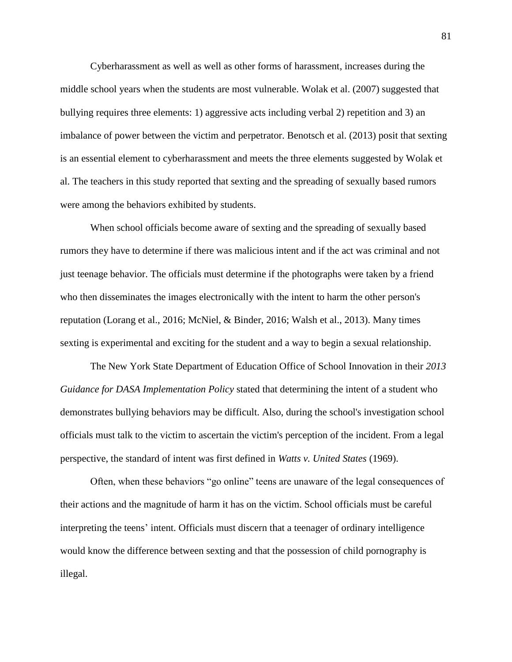Cyberharassment as well as well as other forms of harassment, increases during the middle school years when the students are most vulnerable. Wolak et al. (2007) suggested that bullying requires three elements: 1) aggressive acts including verbal 2) repetition and 3) an imbalance of power between the victim and perpetrator. Benotsch et al. (2013) posit that sexting is an essential element to cyberharassment and meets the three elements suggested by Wolak et al. The teachers in this study reported that sexting and the spreading of sexually based rumors were among the behaviors exhibited by students.

When school officials become aware of sexting and the spreading of sexually based rumors they have to determine if there was malicious intent and if the act was criminal and not just teenage behavior. The officials must determine if the photographs were taken by a friend who then disseminates the images electronically with the intent to harm the other person's reputation (Lorang et al., 2016; McNiel, & Binder, 2016; Walsh et al., 2013). Many times sexting is experimental and exciting for the student and a way to begin a sexual relationship.

The New York State Department of Education Office of School Innovation in their *2013 Guidance for DASA Implementation Policy* stated that determining the intent of a student who demonstrates bullying behaviors may be difficult. Also, during the school's investigation school officials must talk to the victim to ascertain the victim's perception of the incident. From a legal perspective, the standard of intent was first defined in *Watts v. United States* (1969).

Often, when these behaviors "go online" teens are unaware of the legal consequences of their actions and the magnitude of harm it has on the victim. School officials must be careful interpreting the teens' intent. Officials must discern that a teenager of ordinary intelligence would know the difference between sexting and that the possession of child pornography is illegal.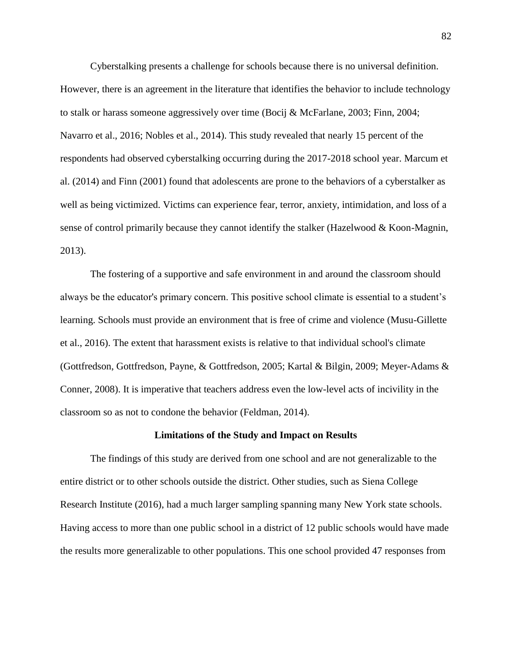Cyberstalking presents a challenge for schools because there is no universal definition. However, there is an agreement in the literature that identifies the behavior to include technology to stalk or harass someone aggressively over time (Bocij & McFarlane, 2003; Finn, 2004; Navarro et al., 2016; Nobles et al., 2014). This study revealed that nearly 15 percent of the respondents had observed cyberstalking occurring during the 2017-2018 school year. Marcum et al. (2014) and Finn (2001) found that adolescents are prone to the behaviors of a cyberstalker as well as being victimized. Victims can experience fear, terror, anxiety, intimidation, and loss of a sense of control primarily because they cannot identify the stalker (Hazelwood & Koon-Magnin, 2013).

The fostering of a supportive and safe environment in and around the classroom should always be the educator's primary concern. This positive school climate is essential to a student's learning. Schools must provide an environment that is free of crime and violence (Musu-Gillette et al., 2016). The extent that harassment exists is relative to that individual school's climate (Gottfredson, Gottfredson, Payne, & Gottfredson, 2005; Kartal & Bilgin, 2009; Meyer-Adams & Conner, 2008). It is imperative that teachers address even the low-level acts of incivility in the classroom so as not to condone the behavior (Feldman, 2014).

#### **Limitations of the Study and Impact on Results**

The findings of this study are derived from one school and are not generalizable to the entire district or to other schools outside the district. Other studies, such as Siena College Research Institute (2016), had a much larger sampling spanning many New York state schools. Having access to more than one public school in a district of 12 public schools would have made the results more generalizable to other populations. This one school provided 47 responses from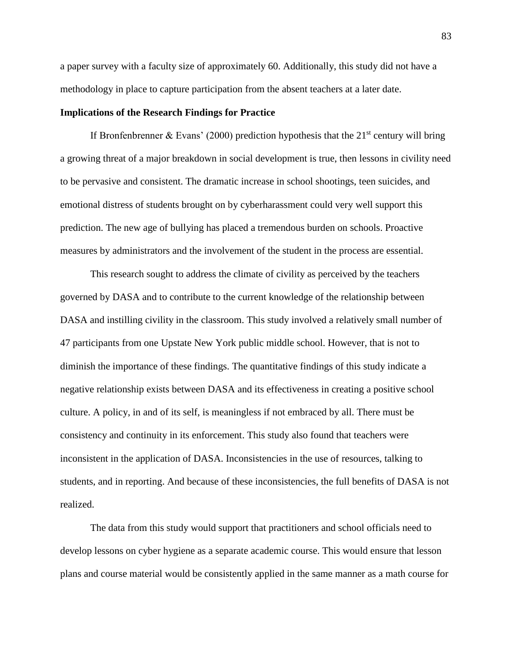a paper survey with a faculty size of approximately 60. Additionally, this study did not have a methodology in place to capture participation from the absent teachers at a later date.

# **Implications of the Research Findings for Practice**

If Bronfenbrenner & Evans' (2000) prediction hypothesis that the  $21<sup>st</sup>$  century will bring a growing threat of a major breakdown in social development is true, then lessons in civility need to be pervasive and consistent. The dramatic increase in school shootings, teen suicides, and emotional distress of students brought on by cyberharassment could very well support this prediction. The new age of bullying has placed a tremendous burden on schools. Proactive measures by administrators and the involvement of the student in the process are essential.

This research sought to address the climate of civility as perceived by the teachers governed by DASA and to contribute to the current knowledge of the relationship between DASA and instilling civility in the classroom. This study involved a relatively small number of 47 participants from one Upstate New York public middle school. However, that is not to diminish the importance of these findings. The quantitative findings of this study indicate a negative relationship exists between DASA and its effectiveness in creating a positive school culture. A policy, in and of its self, is meaningless if not embraced by all. There must be consistency and continuity in its enforcement. This study also found that teachers were inconsistent in the application of DASA. Inconsistencies in the use of resources, talking to students, and in reporting. And because of these inconsistencies, the full benefits of DASA is not realized.

The data from this study would support that practitioners and school officials need to develop lessons on cyber hygiene as a separate academic course. This would ensure that lesson plans and course material would be consistently applied in the same manner as a math course for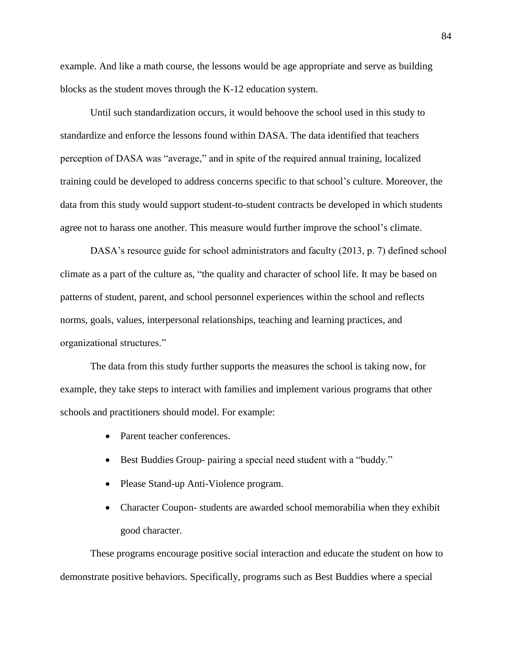example. And like a math course, the lessons would be age appropriate and serve as building blocks as the student moves through the K-12 education system.

Until such standardization occurs, it would behoove the school used in this study to standardize and enforce the lessons found within DASA. The data identified that teachers perception of DASA was "average," and in spite of the required annual training, localized training could be developed to address concerns specific to that school's culture. Moreover, the data from this study would support student-to-student contracts be developed in which students agree not to harass one another. This measure would further improve the school's climate.

DASA's resource guide for school administrators and faculty (2013, p. 7) defined school climate as a part of the culture as, "the quality and character of school life. It may be based on patterns of student, parent, and school personnel experiences within the school and reflects norms, goals, values, interpersonal relationships, teaching and learning practices, and organizational structures."

The data from this study further supports the measures the school is taking now, for example, they take steps to interact with families and implement various programs that other schools and practitioners should model. For example:

- Parent teacher conferences.
- Best Buddies Group- pairing a special need student with a "buddy."
- Please Stand-up Anti-Violence program.
- Character Coupon-students are awarded school memorabilia when they exhibit good character.

These programs encourage positive social interaction and educate the student on how to demonstrate positive behaviors. Specifically, programs such as Best Buddies where a special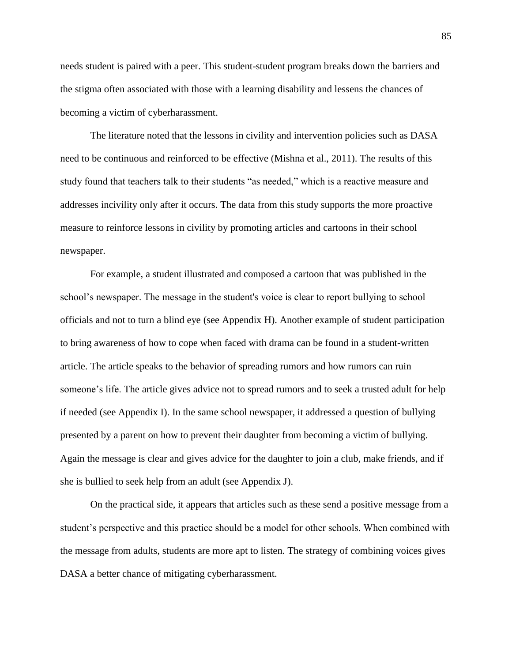needs student is paired with a peer. This student-student program breaks down the barriers and the stigma often associated with those with a learning disability and lessens the chances of becoming a victim of cyberharassment.

The literature noted that the lessons in civility and intervention policies such as DASA need to be continuous and reinforced to be effective (Mishna et al., 2011). The results of this study found that teachers talk to their students "as needed," which is a reactive measure and addresses incivility only after it occurs. The data from this study supports the more proactive measure to reinforce lessons in civility by promoting articles and cartoons in their school newspaper.

For example, a student illustrated and composed a cartoon that was published in the school's newspaper. The message in the student's voice is clear to report bullying to school officials and not to turn a blind eye (see Appendix H). Another example of student participation to bring awareness of how to cope when faced with drama can be found in a student-written article. The article speaks to the behavior of spreading rumors and how rumors can ruin someone's life. The article gives advice not to spread rumors and to seek a trusted adult for help if needed (see Appendix I). In the same school newspaper, it addressed a question of bullying presented by a parent on how to prevent their daughter from becoming a victim of bullying. Again the message is clear and gives advice for the daughter to join a club, make friends, and if she is bullied to seek help from an adult (see Appendix J).

On the practical side, it appears that articles such as these send a positive message from a student's perspective and this practice should be a model for other schools. When combined with the message from adults, students are more apt to listen. The strategy of combining voices gives DASA a better chance of mitigating cyberharassment.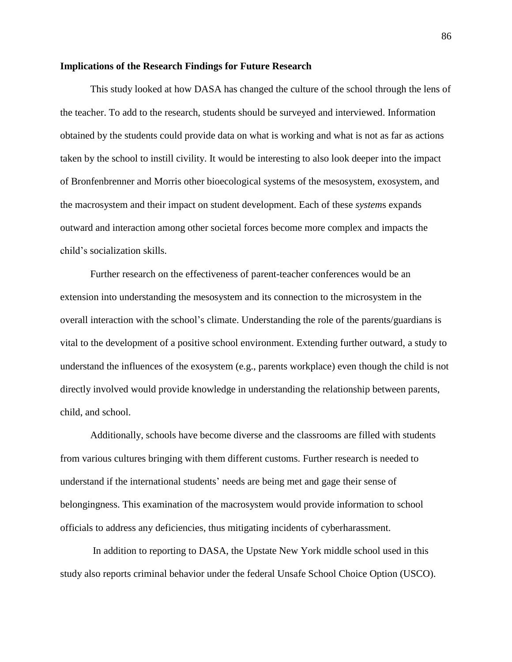#### **Implications of the Research Findings for Future Research**

This study looked at how DASA has changed the culture of the school through the lens of the teacher. To add to the research, students should be surveyed and interviewed. Information obtained by the students could provide data on what is working and what is not as far as actions taken by the school to instill civility. It would be interesting to also look deeper into the impact of Bronfenbrenner and Morris other bioecological systems of the mesosystem, exosystem, and the macrosystem and their impact on student development. Each of these *system*s expands outward and interaction among other societal forces become more complex and impacts the child's socialization skills.

Further research on the effectiveness of parent-teacher conferences would be an extension into understanding the mesosystem and its connection to the microsystem in the overall interaction with the school's climate. Understanding the role of the parents/guardians is vital to the development of a positive school environment. Extending further outward, a study to understand the influences of the exosystem (e.g., parents workplace) even though the child is not directly involved would provide knowledge in understanding the relationship between parents, child, and school.

Additionally, schools have become diverse and the classrooms are filled with students from various cultures bringing with them different customs. Further research is needed to understand if the international students' needs are being met and gage their sense of belongingness. This examination of the macrosystem would provide information to school officials to address any deficiencies, thus mitigating incidents of cyberharassment.

In addition to reporting to DASA, the Upstate New York middle school used in this study also reports criminal behavior under the federal Unsafe School Choice Option (USCO).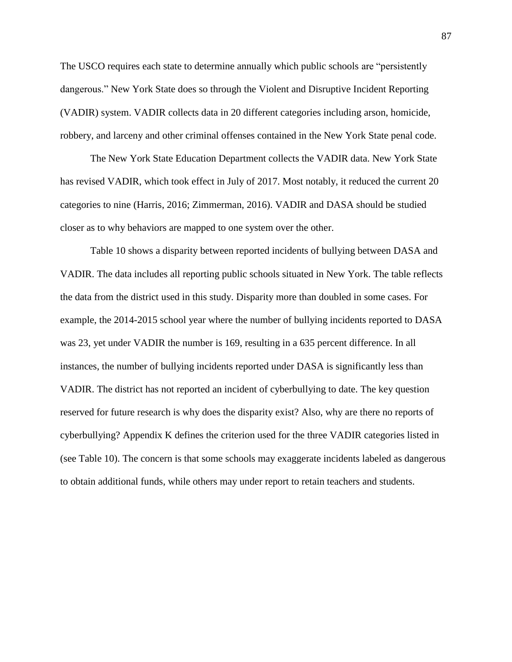The USCO requires each state to determine annually which public schools are "persistently dangerous." New York State does so through the Violent and Disruptive Incident Reporting (VADIR) system. VADIR collects data in 20 different categories including arson, homicide, robbery, and larceny and other criminal offenses contained in the New York State penal code.

The New York State Education Department collects the VADIR data. New York State has revised VADIR, which took effect in July of 2017. Most notably, it reduced the current 20 categories to nine (Harris, 2016; Zimmerman, 2016). VADIR and DASA should be studied closer as to why behaviors are mapped to one system over the other.

Table 10 shows a disparity between reported incidents of bullying between DASA and VADIR. The data includes all reporting public schools situated in New York. The table reflects the data from the district used in this study. Disparity more than doubled in some cases. For example, the 2014-2015 school year where the number of bullying incidents reported to DASA was 23, yet under VADIR the number is 169, resulting in a 635 percent difference. In all instances, the number of bullying incidents reported under DASA is significantly less than VADIR. The district has not reported an incident of cyberbullying to date. The key question reserved for future research is why does the disparity exist? Also, why are there no reports of cyberbullying? Appendix K defines the criterion used for the three VADIR categories listed in (see Table 10). The concern is that some schools may exaggerate incidents labeled as dangerous to obtain additional funds, while others may under report to retain teachers and students.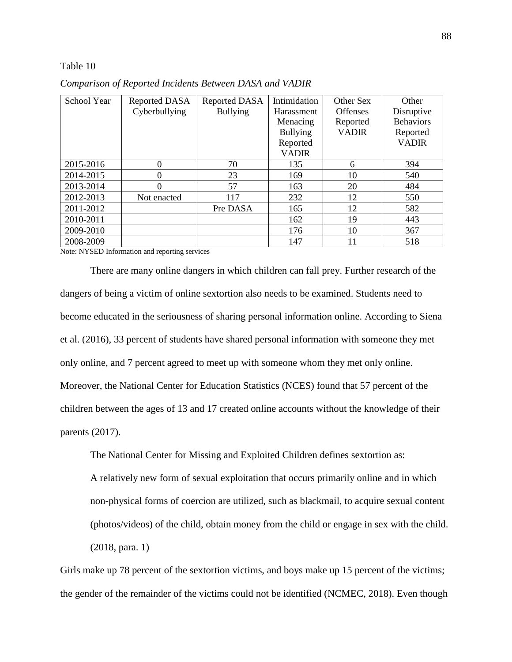#### Table 10

| School Year | Reported DASA | <b>Reported DASA</b> | Intimidation    | Other Sex       | Other            |
|-------------|---------------|----------------------|-----------------|-----------------|------------------|
|             | Cyberbullying | <b>Bullying</b>      | Harassment      | <b>Offenses</b> | Disruptive       |
|             |               |                      | Menacing        | Reported        | <b>Behaviors</b> |
|             |               |                      | <b>Bullying</b> | <b>VADIR</b>    | Reported         |
|             |               |                      | Reported        |                 | <b>VADIR</b>     |
|             |               |                      | <b>VADIR</b>    |                 |                  |
| 2015-2016   | 0             | 70                   | 135             | 6               | 394              |
| 2014-2015   | 0             | 23                   | 169             | 10              | 540              |
| 2013-2014   | 0             | 57                   | 163             | 20              | 484              |
| 2012-2013   | Not enacted   | 117                  | 232             | 12              | 550              |
| 2011-2012   |               | Pre DASA             | 165             | 12              | 582              |
| 2010-2011   |               |                      | 162             | 19              | 443              |
| 2009-2010   |               |                      | 176             | 10              | 367              |
| 2008-2009   |               |                      | 147             | 11              | 518              |

*Comparison of Reported Incidents Between DASA and VADIR*

Note: NYSED Information and reporting services

There are many online dangers in which children can fall prey. Further research of the dangers of being a victim of online sextortion also needs to be examined. Students need to become educated in the seriousness of sharing personal information online. According to Siena et al. (2016), 33 percent of students have shared personal information with someone they met only online, and 7 percent agreed to meet up with someone whom they met only online. Moreover, the National Center for Education Statistics (NCES) found that 57 percent of the children between the ages of 13 and 17 created online accounts without the knowledge of their parents (2017).

The National Center for Missing and Exploited Children defines sextortion as:

A relatively new form of sexual exploitation that occurs primarily online and in which non-physical forms of coercion are utilized, such as blackmail, to acquire sexual content (photos/videos) of the child, obtain money from the child or engage in sex with the child. (2018, para. 1)

Girls make up 78 percent of the sextortion victims, and boys make up 15 percent of the victims; the gender of the remainder of the victims could not be identified (NCMEC, 2018). Even though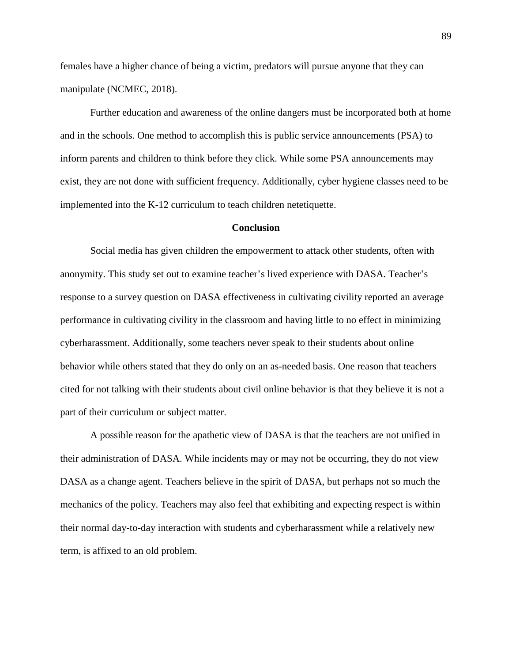females have a higher chance of being a victim, predators will pursue anyone that they can manipulate (NCMEC, 2018).

Further education and awareness of the online dangers must be incorporated both at home and in the schools. One method to accomplish this is public service announcements (PSA) to inform parents and children to think before they click. While some PSA announcements may exist, they are not done with sufficient frequency. Additionally, cyber hygiene classes need to be implemented into the K-12 curriculum to teach children netetiquette.

#### **Conclusion**

Social media has given children the empowerment to attack other students, often with anonymity. This study set out to examine teacher's lived experience with DASA. Teacher's response to a survey question on DASA effectiveness in cultivating civility reported an average performance in cultivating civility in the classroom and having little to no effect in minimizing cyberharassment. Additionally, some teachers never speak to their students about online behavior while others stated that they do only on an as-needed basis. One reason that teachers cited for not talking with their students about civil online behavior is that they believe it is not a part of their curriculum or subject matter.

A possible reason for the apathetic view of DASA is that the teachers are not unified in their administration of DASA. While incidents may or may not be occurring, they do not view DASA as a change agent. Teachers believe in the spirit of DASA, but perhaps not so much the mechanics of the policy. Teachers may also feel that exhibiting and expecting respect is within their normal day-to-day interaction with students and cyberharassment while a relatively new term, is affixed to an old problem.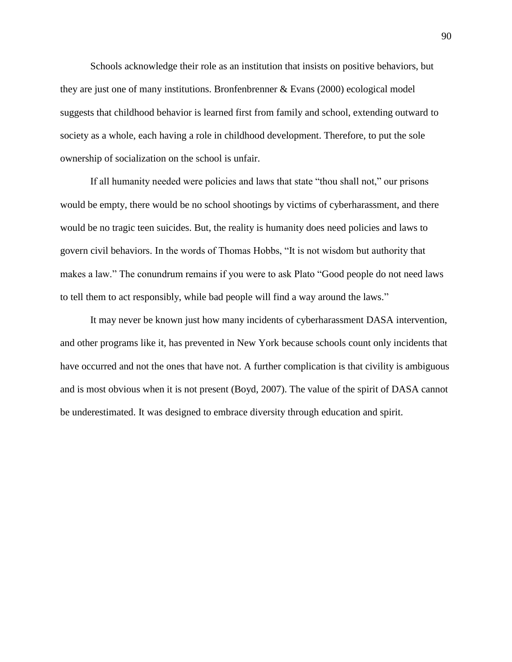Schools acknowledge their role as an institution that insists on positive behaviors, but they are just one of many institutions. Bronfenbrenner & Evans (2000) ecological model suggests that childhood behavior is learned first from family and school, extending outward to society as a whole, each having a role in childhood development. Therefore, to put the sole ownership of socialization on the school is unfair.

If all humanity needed were policies and laws that state "thou shall not," our prisons would be empty, there would be no school shootings by victims of cyberharassment, and there would be no tragic teen suicides. But, the reality is humanity does need policies and laws to govern civil behaviors. In the words of Thomas Hobbs, "It is not wisdom but authority that makes a law." The conundrum remains if you were to ask Plato "Good people do not need laws to tell them to act responsibly, while bad people will find a way around the laws."

It may never be known just how many incidents of cyberharassment DASA intervention, and other programs like it, has prevented in New York because schools count only incidents that have occurred and not the ones that have not. A further complication is that civility is ambiguous and is most obvious when it is not present (Boyd, 2007). The value of the spirit of DASA cannot be underestimated. It was designed to embrace diversity through education and spirit.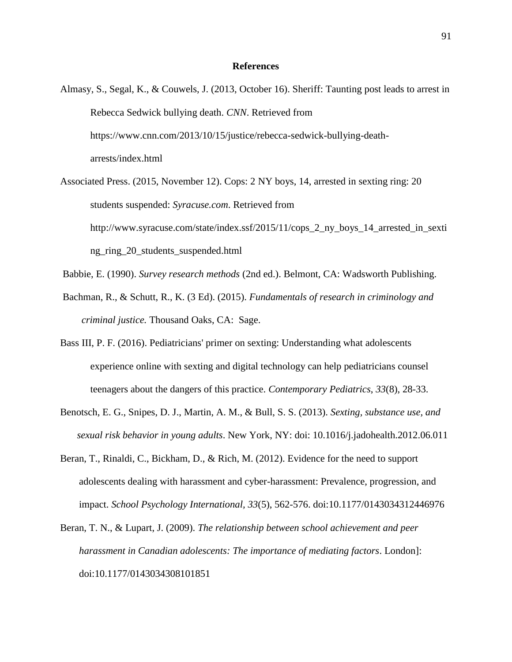### **References**

- Almasy, S., Segal, K., & Couwels, J. (2013, October 16). Sheriff: Taunting post leads to arrest in Rebecca Sedwick bullying death. *CNN*. Retrieved from https://www.cnn.com/2013/10/15/justice/rebecca-sedwick-bullying-deatharrests/index.html
- Associated Press. (2015, November 12). Cops: 2 NY boys, 14, arrested in sexting ring: 20 students suspended: *Syracuse.com*. Retrieved from http://www.syracuse.com/state/index.ssf/2015/11/cops\_2\_ny\_boys\_14\_arrested\_in\_sexti ng\_ring\_20\_students\_suspended.html
- Babbie, E. (1990). *Survey research methods* (2nd ed.). Belmont, CA: Wadsworth Publishing.
- Bachman, R., & Schutt, R., K. (3 Ed). (2015). *Fundamentals of research in criminology and criminal justice.* Thousand Oaks, CA: Sage.
- Bass III, P. F. (2016). Pediatricians' primer on sexting: Understanding what adolescents experience online with sexting and digital technology can help pediatricians counsel teenagers about the dangers of this practice. *Contemporary Pediatrics*, *33*(8), 28-33.
- Benotsch, E. G., Snipes, D. J., Martin, A. M., & Bull, S. S. (2013). *Sexting, substance use, and sexual risk behavior in young adults*. New York, NY: doi: 10.1016/j.jadohealth.2012.06.011
- Beran, T., Rinaldi, C., Bickham, D., & Rich, M. (2012). Evidence for the need to support adolescents dealing with harassment and cyber-harassment: Prevalence, progression, and impact. *School Psychology International, 33*(5), 562-576. doi:10.1177/0143034312446976
- Beran, T. N., & Lupart, J. (2009). *The relationship between school achievement and peer harassment in Canadian adolescents: The importance of mediating factors*. London]: doi:10.1177/0143034308101851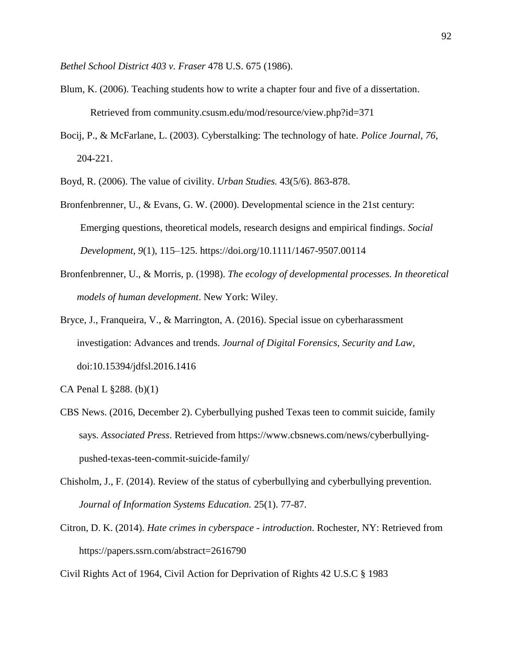*Bethel School District 403 v. Fraser* 478 U.S. 675 (1986).

- Blum, K. (2006). Teaching students how to write a chapter four and five of a dissertation. Retrieved from community.csusm.edu/mod/resource/view.php?id=371
- Bocij, P., & McFarlane, L. (2003). Cyberstalking: The technology of hate. *Police Journal, 76*, 204-221.
- Boyd, R. (2006). The value of civility. *Urban Studies.* 43(5/6). 863-878.
- Bronfenbrenner, U., & Evans, G. W. (2000). Developmental science in the 21st century: Emerging questions, theoretical models, research designs and empirical findings. *Social Development*, *9*(1), 115–125. https://doi.org/10.1111/1467-9507.00114
- Bronfenbrenner, U., & Morris, p. (1998). *The ecology of developmental processes. In theoretical models of human development*. New York: Wiley.
- Bryce, J., Franqueira, V., & Marrington, A. (2016). Special issue on cyberharassment investigation: Advances and trends. *Journal of Digital Forensics, Security and Law,*  doi:10.15394/jdfsl.2016.1416

CA Penal L §288. (b)(1)

- CBS News. (2016, December 2). Cyberbullying pushed Texas teen to commit suicide, family says. *Associated Press*. Retrieved from https://www.cbsnews.com/news/cyberbullyingpushed-texas-teen-commit-suicide-family/
- Chisholm, J., F. (2014). Review of the status of cyberbullying and cyberbullying prevention. *Journal of Information Systems Education.* 25(1). 77-87.
- Citron, D. K. (2014). *Hate crimes in cyberspace - introduction*. Rochester, NY: Retrieved from <https://papers.ssrn.com/abstract=2616790>

Civil Rights Act of 1964, Civil Action for Deprivation of Rights 42 U.S.C § 1983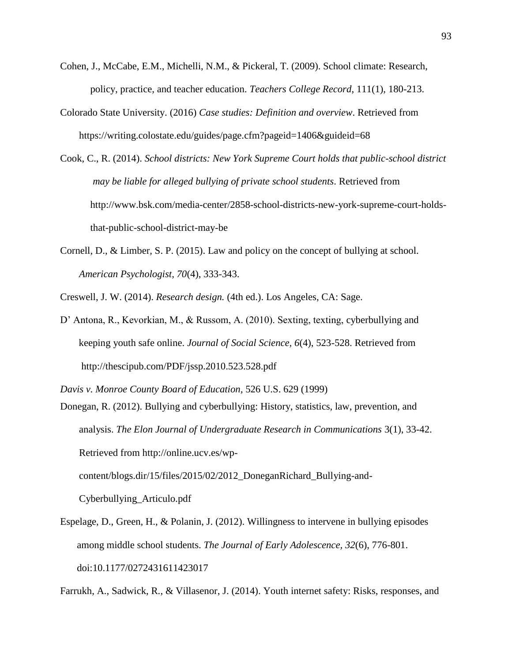- Cohen, J., McCabe, E.M., Michelli, N.M., & Pickeral, T. (2009). School climate: Research, policy, practice, and teacher education. *Teachers College Record*, 111(1), 180-213.
- Colorado State University. (2016) *Case studies: Definition and overview*. Retrieved from https://writing.colostate.edu/guides/page.cfm?pageid=1406&guideid=68
- Cook, C., R. (2014). *School districts: New York Supreme Court holds that public-school district may be liable for alleged bullying of private school students*. Retrieved from http://www.bsk.com/media-center/2858-school-districts-new-york-supreme-court-holdsthat-public-school-district-may-be
- Cornell, D., & Limber, S. P. (2015). Law and policy on the concept of bullying at school. *American Psychologist, 70*(4), 333-343.
- Creswell, J. W. (2014). *Research design.* (4th ed.). Los Angeles, CA: Sage.
- D' Antona, R., Kevorkian, M., & Russom, A. (2010). Sexting, texting, cyberbullying and keeping youth safe online. *Journal of Social Science, 6*(4), 523-528. Retrieved from http://thescipub.com/PDF/jssp.2010.523.528.pdf
- *Davis v. Monroe County Board of Education,* 526 U.S. 629 (1999)
- Donegan, R. (2012). Bullying and cyberbullying: History, statistics, law, prevention, and analysis. *The Elon Journal of Undergraduate Research in Communications* 3(1), 33-42. Retrieved from http://online.ucv.es/wp-

content/blogs.dir/15/files/2015/02/2012\_DoneganRichard\_Bullying-and-

Cyberbullying\_Articulo.pdf

Espelage, D., Green, H., & Polanin, J. (2012). Willingness to intervene in bullying episodes among middle school students. *The Journal of Early Adolescence, 32*(6), 776-801. doi:10.1177/0272431611423017

Farrukh, A., Sadwick, R., & Villasenor, J. (2014). Youth internet safety: Risks, responses, and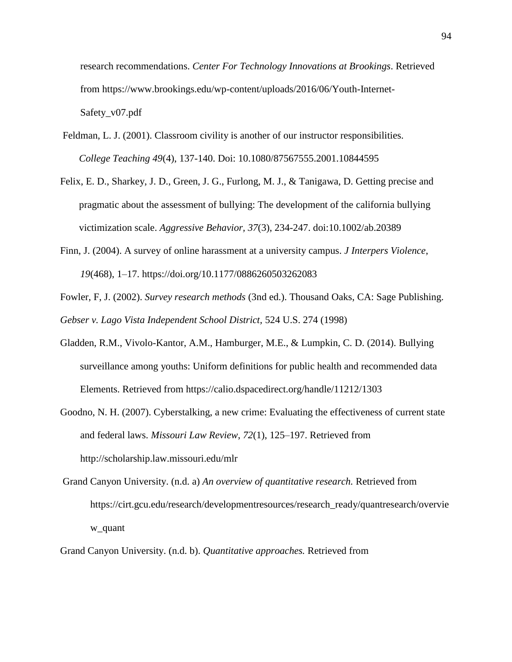research recommendations. *Center For Technology Innovations at Brookings*. Retrieved from https://www.brookings.edu/wp-content/uploads/2016/06/Youth-Internet-Safety\_v07.pdf

- Feldman, L. J. (2001). Classroom civility is another of our instructor responsibilities. *College Teaching 49*(4), 137-140. Doi: 10.1080/87567555.2001.10844595
- Felix, E. D., Sharkey, J. D., Green, J. G., Furlong, M. J., & Tanigawa, D. Getting precise and pragmatic about the assessment of bullying: The development of the california bullying victimization scale. *Aggressive Behavior, 37*(3), 234-247. doi:10.1002/ab.20389
- Finn, J. (2004). A survey of online harassment at a university campus. *J Interpers Violence*, *19*(468), 1–17. https://doi.org/10.1177/0886260503262083
- Fowler, F, J. (2002). *Survey research methods* (3nd ed.). Thousand Oaks, CA: Sage Publishing. *Gebser v. Lago Vista Independent School District,* 524 U.S. 274 (1998)
- Gladden, R.M., Vivolo-Kantor, A.M., Hamburger, M.E., & Lumpkin, C. D. (2014). Bullying surveillance among youths: Uniform definitions for public health and recommended data Elements. Retrieved from https://calio.dspacedirect.org/handle/11212/1303
- Goodno, N. H. (2007). Cyberstalking, a new crime: Evaluating the effectiveness of current state and federal laws. *Missouri Law Review*, *72*(1), 125–197. Retrieved from http://scholarship.law.missouri.edu/mlr
- Grand Canyon University. (n.d. a) *An overview of quantitative research.* Retrieved from https://cirt.gcu.edu/research/developmentresources/research\_ready/quantresearch/overvie w\_quant
- Grand Canyon University. (n.d. b). *Quantitative approaches.* Retrieved from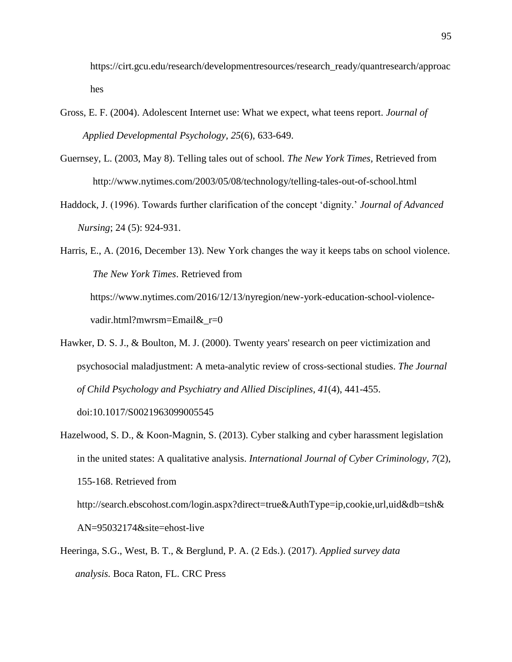https://cirt.gcu.edu/research/developmentresources/research\_ready/quantresearch/approac hes

- Gross, E. F. (2004). Adolescent Internet use: What we expect, what teens report. *Journal of Applied Developmental Psychology, 25*(6), 633-649.
- Guernsey, L. (2003, May 8). Telling tales out of school. *The New York Times,* Retrieved from http://www.nytimes.com/2003/05/08/technology/telling-tales-out-of-school.html
- Haddock, J. (1996). Towards further clarification of the concept 'dignity.' *Journal of Advanced Nursing*; 24 (5): 924-931.

Harris, E., A. (2016, December 13). New York changes the way it keeps tabs on school violence. *The New York Times*. Retrieved from https://www.nytimes.com/2016/12/13/nyregion/new-york-education-school-violencevadir.html?mwrsm=Email&\_r=0

Hawker, D. S. J., & Boulton, M. J. (2000). Twenty years' research on peer victimization and psychosocial maladjustment: A meta-analytic review of cross-sectional studies. *The Journal of Child Psychology and Psychiatry and Allied Disciplines, 41*(4), 441-455. doi:10.1017/S0021963099005545

Hazelwood, S. D., & Koon-Magnin, S. (2013). Cyber stalking and cyber harassment legislation

in the united states: A qualitative analysis. *International Journal of Cyber Criminology, 7*(2), 155-168. Retrieved from

[http://search.ebscohost.com/login.aspx?direct=true&AuthType=ip,cookie,url,uid&db=tsh&](http://search.ebscohost.com/login.aspx?direct=true&AuthType=ip,cookie,url,uid&db=tsh&AN=95032174&site=ehost-live) [AN=95032174&site=ehost-live](http://search.ebscohost.com/login.aspx?direct=true&AuthType=ip,cookie,url,uid&db=tsh&AN=95032174&site=ehost-live)

Heeringa, S.G., West, B. T., & Berglund, P. A. (2 Eds.). (2017). *Applied survey data analysis.* Boca Raton, FL. CRC Press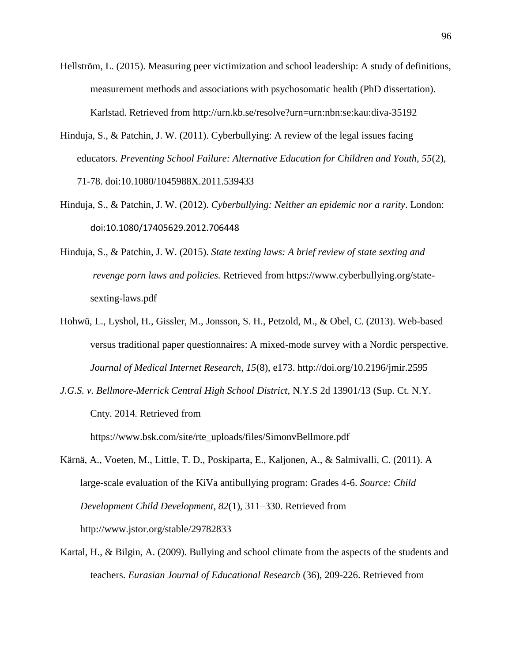- Hellström, L. (2015). Measuring peer victimization and school leadership: A study of definitions, measurement methods and associations with psychosomatic health (PhD dissertation). Karlstad. Retrieved from http://urn.kb.se/resolve?urn=urn:nbn:se:kau:diva-35192
- Hinduja, S., & Patchin, J. W. (2011). Cyberbullying: A review of the legal issues facing educators. *Preventing School Failure: Alternative Education for Children and Youth, 55*(2), 71-78. doi:10.1080/1045988X.2011.539433
- Hinduja, S., & Patchin, J. W. (2012). *Cyberbullying: Neither an epidemic nor a rarity*. London: doi:10.1080/17405629.2012.706448
- Hinduja, S., & Patchin, J. W. (2015). *State texting laws: A brief review of state sexting and revenge porn laws and policies.* Retrieved from [https://www.cyberbullying.org/state](ttps://www.cyberbullying.org/state-s)[se](ttps://www.cyberbullying.org/state-s)xting-laws.pdf
- Hohwü, L., Lyshol, H., Gissler, M., Jonsson, S. H., Petzold, M., & Obel, C. (2013). Web-based versus traditional paper questionnaires: A mixed-mode survey with a Nordic perspective. *Journal of Medical Internet Research*, *15*(8), e173. http://doi.org/10.2196/jmir.2595
- *J.G.S. v. Bellmore-Merrick Central High School District*, N.Y.S 2d 13901/13 (Sup. Ct. N.Y. Cnty. 2014. Retrieved from

https://www.bsk.com/site/rte\_uploads/files/SimonvBellmore.pdf

- Kärnä, A., Voeten, M., Little, T. D., Poskiparta, E., Kaljonen, A., & Salmivalli, C. (2011). A large-scale evaluation of the KiVa antibullying program: Grades 4-6. *Source: Child Development Child Development*, *82*(1), 311–330. Retrieved from http://www.jstor.org/stable/29782833
- Kartal, H., & Bilgin, A. (2009). Bullying and school climate from the aspects of the students and teachers. *Eurasian Journal of Educational Research* (36), 209-226. Retrieved from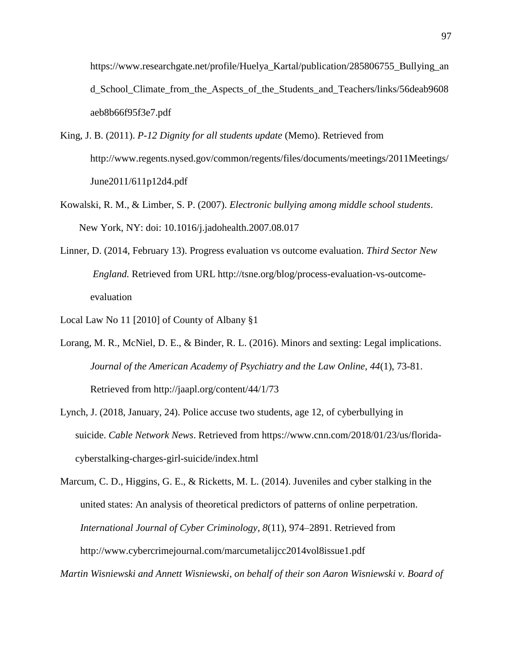https://www.researchgate.net/profile/Huelya\_Kartal/publication/285806755\_Bullying\_an d\_School\_Climate\_from\_the\_Aspects\_of\_the\_Students\_and\_Teachers/links/56deab9608 aeb8b66f95f3e7.pdf

- King, J. B. (2011). *P-12 Dignity for all students update* (Memo). Retrieved from [http://www.regents.nysed.gov/common/regents/files/documents/meetings/2011Meetings/](http://www.regents.nysed.gov/common/regents/files/documents/meetings/2011Meetings/June2011/611p12d4.pdf) [June2011/611p12d4.pdf](http://www.regents.nysed.gov/common/regents/files/documents/meetings/2011Meetings/June2011/611p12d4.pdf)
- Kowalski, R. M., & Limber, S. P. (2007). *Electronic bullying among middle school students*. New York, NY: doi: 10.1016/j.jadohealth.2007.08.017
- Linner, D. (2014, February 13). Progress evaluation vs outcome evaluation. *Third Sector New England.* Retrieved from URL [http://tsne.org/blog/process-evaluation-vs-outcome](ttp://tsne.org/blog/process-evaluation-vs-outcome-e)[ev](ttp://tsne.org/blog/process-evaluation-vs-outcome-e)aluation
- Local Law No 11 [2010] of County of Albany §1
- Lorang, M. R., McNiel, D. E., & Binder, R. L. (2016). Minors and sexting: Legal implications. *Journal of the American Academy of Psychiatry and the Law Online, 44*(1), 73-81. Retrieved from<http://jaapl.org/content/44/1/73>
- Lynch, J. (2018, January, 24). Police accuse two students, age 12, of cyberbullying in suicide. *Cable Network News*. Retrieved from [https://www.cnn.com/2018/01/23/us/florida](https://www.cnn.com/2018/01/23/us/florida-cyberstalking-charges-girl-suicide/index.html)[cyberstalking-charges-girl-suicide/index.html](https://www.cnn.com/2018/01/23/us/florida-cyberstalking-charges-girl-suicide/index.html)

Marcum, C. D., Higgins, G. E., & Ricketts, M. L. (2014). Juveniles and cyber stalking in the united states: An analysis of theoretical predictors of patterns of online perpetration. *International Journal of Cyber Criminology*, *8*(11), 974–2891. Retrieved from http://www.cybercrimejournal.com/marcumetalijcc2014vol8issue1.pdf

*Martin Wisniewski and Annett Wisniewski, on behalf of their son Aaron Wisniewski v. Board of*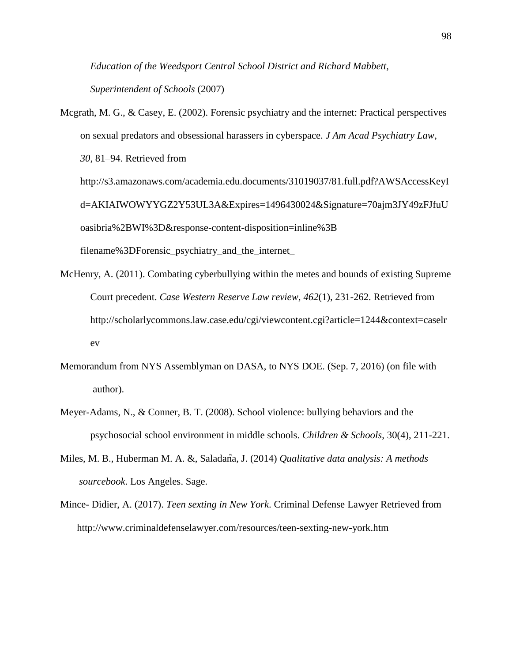*Education of the Weedsport Central School District and Richard Mabbett, Superintendent of Schools* (2007)

- Mcgrath, M. G., & Casey, E. (2002). Forensic psychiatry and the internet: Practical perspectives on sexual predators and obsessional harassers in cyberspace. *J Am Acad Psychiatry Law*, *30*, 81–94. Retrieved from http://s3.amazonaws.com/academia.edu.documents/31019037/81.full.pdf?AWSAccessKeyI d=AKIAIWOWYYGZ2Y53UL3A&Expires=1496430024&Signature=70ajm3JY49zFJfuU oasibria%2BWI%3D&response-content-disposition=inline%3B filename%3DForensic\_psychiatry\_and\_the\_internet\_
- McHenry, A. (2011). Combating cyberbullying within the metes and bounds of existing Supreme Court precedent. *Case Western Reserve Law review, 462*(1), 231-262. Retrieved from http://scholarlycommons.law.case.edu/cgi/viewcontent.cgi?article=1244&context=caselr ev
- Memorandum from NYS Assemblyman on DASA, to NYS DOE. (Sep. 7, 2016) (on file with author).
- Meyer-Adams, N., & Conner, B. T. (2008). School violence: bullying behaviors and the psychosocial school environment in middle schools. *Children & Schools*, 30(4), 211-221.
- Miles, M. B., Huberman M. A. &, Saladana, J. (2014) *Qualitative data analysis: A methods sourcebook*. Los Angeles. Sage.
- Mince- Didier, A. (2017). *Teen sexting in New York*. Criminal Defense Lawyer Retrieved from http://www.criminaldefenselawyer.com/resources/teen-sexting-new-york.htm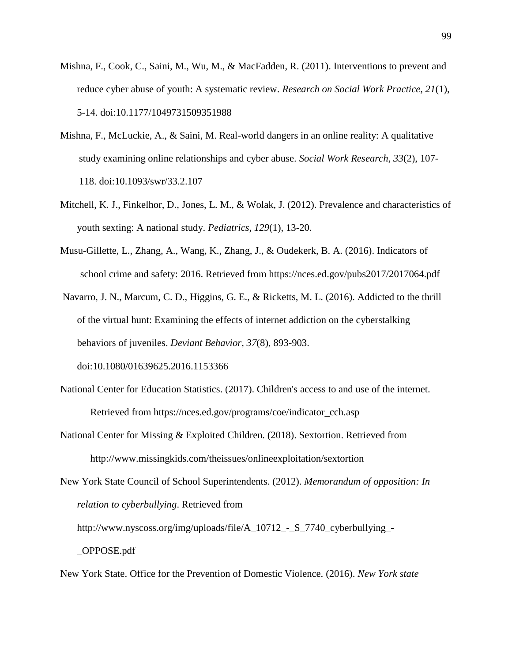- Mishna, F., Cook, C., Saini, M., Wu, M., & MacFadden, R. (2011). Interventions to prevent and reduce cyber abuse of youth: A systematic review. *Research on Social Work Practice, 21*(1), 5-14. doi:10.1177/1049731509351988
- Mishna, F., McLuckie, A., & Saini, M. Real-world dangers in an online reality: A qualitative study examining online relationships and cyber abuse. *Social Work Research, 33*(2), 107- 118. doi:10.1093/swr/33.2.107
- Mitchell, K. J., Finkelhor, D., Jones, L. M., & Wolak, J. (2012). Prevalence and characteristics of youth sexting: A national study. *Pediatrics, 129*(1), 13-20.
- Musu-Gillette, L., Zhang, A., Wang, K., Zhang, J., & Oudekerk, B. A. (2016). Indicators of school crime and safety: 2016. Retrieved from https://nces.ed.gov/pubs2017/2017064.pdf
- Navarro, J. N., Marcum, C. D., Higgins, G. E., & Ricketts, M. L. (2016). Addicted to the thrill of the virtual hunt: Examining the effects of internet addiction on the cyberstalking behaviors of juveniles. *Deviant Behavior, 37*(8), 893-903. doi:10.1080/01639625.2016.1153366
- National Center for Education Statistics. (2017). Children's access to and use of the internet. Retrieved from https://nces.ed.gov/programs/coe/indicator\_cch.asp
- National Center for Missing & Exploited Children. (2018). Sextortion. Retrieved from http://www.missingkids.com/theissues/onlineexploitation/sextortion
- New York State Council of School Superintendents. (2012). *Memorandum of opposition: In relation to cyberbullying*. Retrieved from
	- http://www.nyscoss.org/img/uploads/file/A\_10712\_-\_S\_7740\_cyberbullying\_- \_OPPOSE.pdf

New York State. Office for the Prevention of Domestic Violence. (2016). *New York state*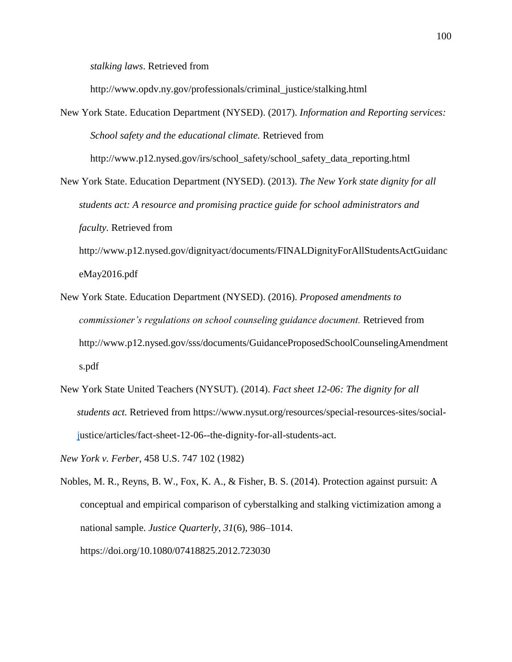*stalking laws*. Retrieved from

http://www.opdv.ny.gov/professionals/criminal\_justice/stalking.html

New York State. Education Department (NYSED). (2017). *Information and Reporting services: School safety and the educational climate.* Retrieved from http://www.p12.nysed.gov/irs/school\_safety/school\_safety\_data\_reporting.html

New York State. Education Department (NYSED). (2013). *The New York state dignity for all students act: A resource and promising practice guide for school administrators and faculty.* Retrieved from http://www.p12.nysed.gov/dignityact/documents/FINALDignityForAllStudentsActGuidanc

eMay2016.pdf

- New York State. Education Department (NYSED). (2016). *Proposed amendments to commissioner's regulations on school counseling guidance document.* Retrieved from http://www.p12.nysed.gov/sss/documents/GuidanceProposedSchoolCounselingAmendment s.pdf
- New York State United Teachers (NYSUT). (2014). *Fact sheet 12-06: The dignity for all students act.* Retrieved from [https://www.nysut.org/resources/special-resources-sites/social](ttps://www.nysut.org/resources/special-resources-sites/social-j)[ju](ttps://www.nysut.org/resources/special-resources-sites/social-j)stice/articles/fact-sheet-12-06--the-dignity-for-all-students-act.

*New York v. Ferber*, 458 U.S. 747 102 (1982)

Nobles, M. R., Reyns, B. W., Fox, K. A., & Fisher, B. S. (2014). Protection against pursuit: A conceptual and empirical comparison of cyberstalking and stalking victimization among a national sample. *Justice Quarterly*, *31*(6), 986–1014. https://doi.org/10.1080/07418825.2012.723030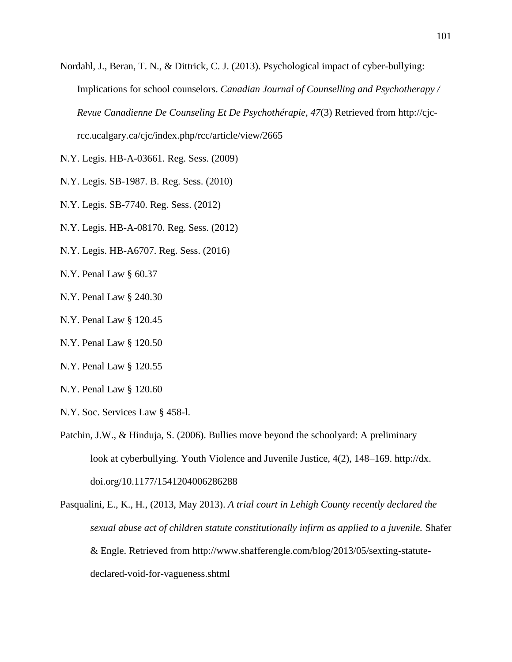- Nordahl, J., Beran, T. N., & Dittrick, C. J. (2013). Psychological impact of cyber-bullying: Implications for school counselors. *Canadian Journal of Counselling and Psychotherapy / Revue Canadienne De Counseling Et De Psychothérapie, 47*(3) Retrieved from [http://cjc](http://cjc-rcc.ucalgary.ca/cjc/index.php/rcc/article/view/2665)[rcc.ucalgary.ca/cjc/index.php/rcc/article/view/2665](http://cjc-rcc.ucalgary.ca/cjc/index.php/rcc/article/view/2665)
- N.Y. Legis. HB-A-03661. Reg. Sess. (2009)
- N.Y. Legis. SB-1987. B. Reg. Sess. (2010)
- N.Y. Legis. SB-7740. Reg. Sess. (2012)
- N.Y. Legis. HB-A-08170. Reg. Sess. (2012)
- N.Y. Legis. HB-A6707. Reg. Sess. (2016)
- N.Y. Penal Law § 60.37
- N.Y. Penal Law § 240.30
- N.Y. Penal Law § 120.45
- N.Y. Penal Law § 120.50
- N.Y. Penal Law § 120.55
- N.Y. Penal Law § 120.60
- N.Y. Soc. Services Law § 458-l.
- Patchin, J.W., & Hinduja, S. (2006). Bullies move beyond the schoolyard: A preliminary look at cyberbullying. Youth Violence and Juvenile Justice, 4(2), 148–169. http://dx. doi.org/10.1177/1541204006286288
- Pasqualini, E., K., H., (2013, May 2013). *A trial court in Lehigh County recently declared the sexual abuse act of children statute constitutionally infirm as applied to a juvenile.* Shafer & Engle. Retrieved from http://www.shafferengle.com/blog/2013/05/sexting-statutedeclared-void-for-vagueness.shtml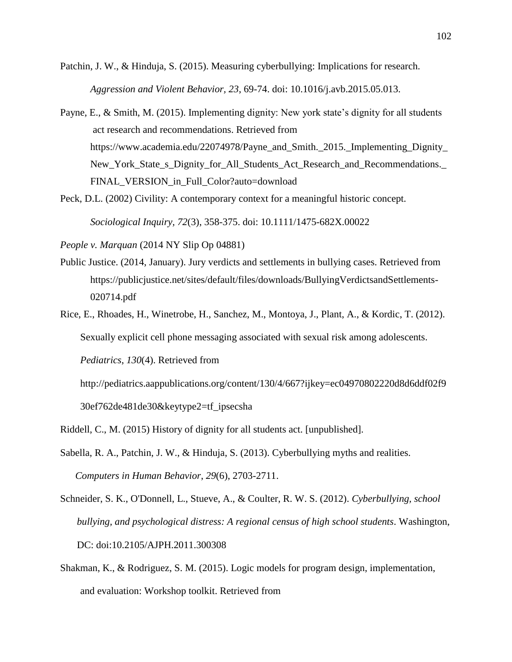- Patchin, J. W., & Hinduja, S. (2015). Measuring cyberbullying: Implications for research. *Aggression and Violent Behavior, 23*, 69-74. doi: 10.1016/j.avb.2015.05.013.
- Payne, E., & Smith, M. (2015). Implementing dignity: New york state's dignity for all students act research and recommendations. Retrieved from https://www.academia.edu/22074978/Payne\_and\_Smith.\_2015.\_Implementing\_Dignity\_ New\_York\_State\_s\_Dignity\_for\_All\_Students\_Act\_Research\_and\_Recommendations.\_ FINAL\_VERSION\_in\_Full\_Color?auto=download
- Peck, D.L. (2002) Civility: A contemporary context for a meaningful historic concept.

*Sociological Inquiry, 72*(3), 358-375. doi: 10.1111/1475-682X.00022

*People v. Marquan* (2014 NY Slip Op 04881)

- Public Justice. (2014, January). Jury verdicts and settlements in bullying cases. Retrieved from [https://publicjustice.net/sites/default/files/downloads/BullyingVerdictsandSettlements-](ttps://publicjustice.net/sites/default/files/downloads/BullyingVerdictsandSettlements-0)[02](ttps://publicjustice.net/sites/default/files/downloads/BullyingVerdictsandSettlements-0)0714.pdf
- Rice, E., Rhoades, H., Winetrobe, H., Sanchez, M., Montoya, J., Plant, A., & Kordic, T. (2012). Sexually explicit cell phone messaging associated with sexual risk among adolescents.

*Pediatrics*, *130*(4). Retrieved from

http://pediatrics.aappublications.org/content/130/4/667?ijkey=ec04970802220d8d6ddf02f9 30ef762de481de30&keytype2=tf\_ipsecsha

- Riddell, C., M. (2015) History of dignity for all students act. [unpublished].
- Sabella, R. A., Patchin, J. W., & Hinduja, S. (2013). Cyberbullying myths and realities. *Computers in Human Behavior*, *29*(6), 2703-2711.
- Schneider, S. K., O'Donnell, L., Stueve, A., & Coulter, R. W. S. (2012). *Cyberbullying, school bullying, and psychological distress: A regional census of high school students*. Washington, DC: doi:10.2105/AJPH.2011.300308
- Shakman, K., & Rodriguez, S. M. (2015). Logic models for program design, implementation, and evaluation: Workshop toolkit. Retrieved from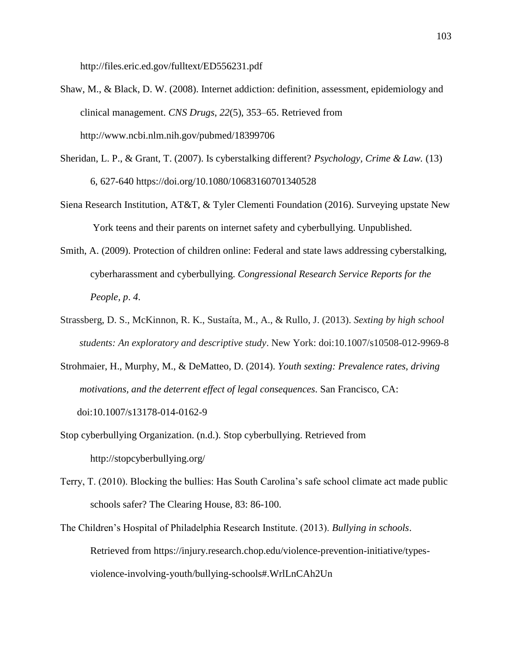http://files.eric.ed.gov/fulltext/ED556231.pdf

- Shaw, M., & Black, D. W. (2008). Internet addiction: definition, assessment, epidemiology and clinical management. *CNS Drugs*, *22*(5), 353–65. Retrieved from http://www.ncbi.nlm.nih.gov/pubmed/18399706
- Sheridan, L. P., & Grant, T. (2007). Is cyberstalking different? *Psychology, Crime & Law.* (13) 6, 627-640 https://doi.org/10.1080/10683160701340528
- Siena Research Institution, AT&T, & Tyler Clementi Foundation (2016). Surveying upstate New York teens and their parents on internet safety and cyberbullying. Unpublished.
- Smith, A. (2009). Protection of children online: Federal and state laws addressing cyberstalking, cyberharassment and cyberbullying. *Congressional Research Service Reports for the People, p*. *4*.
- Strassberg, D. S., McKinnon, R. K., Sustaíta, M., A., & Rullo, J. (2013). *Sexting by high school students: An exploratory and descriptive study*. New York: doi:10.1007/s10508-012-9969-8
- Strohmaier, H., Murphy, M., & DeMatteo, D. (2014). *Youth sexting: Prevalence rates, driving motivations, and the deterrent effect of legal consequences*. San Francisco, CA: doi:10.1007/s13178-014-0162-9
- Stop cyberbullying Organization. (n.d.). Stop cyberbullying. Retrieved from http://stopcyberbullying.org/
- Terry, T. (2010). Blocking the bullies: Has South Carolina's safe school climate act made public schools safer? The Clearing House, 83: 86-100.
- The Children's Hospital of Philadelphia Research Institute. (2013). *Bullying in schools*. Retrieved from [https://injury.research.chop.edu/violence-prevention-initiative/types](https://injury.research.chop.edu/violence-prevention-initiative/types-)violence-involving-youth/bullying-schools#.WrlLnCAh2Un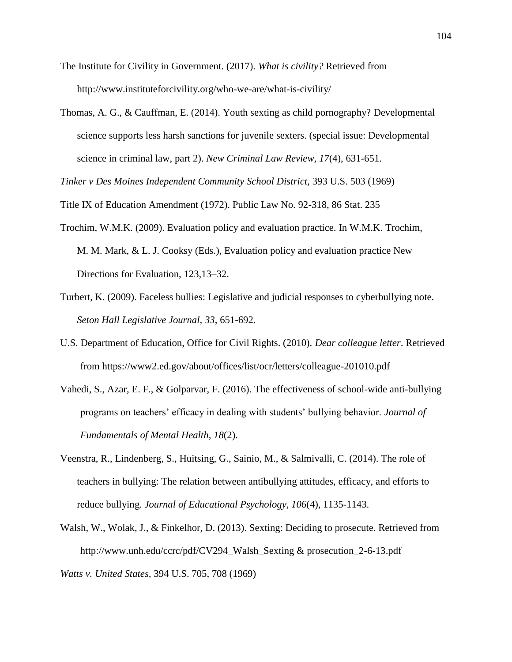- The Institute for Civility in Government. (2017). *What is civility?* Retrieved from http://www.instituteforcivility.org/who-we-are/what-is-civility/
- Thomas, A. G., & Cauffman, E. (2014). Youth sexting as child pornography? Developmental science supports less harsh sanctions for juvenile sexters. (special issue: Developmental science in criminal law, part 2). *New Criminal Law Review, 17*(4), 631-651.

*Tinker v Des Moines Independent Community School District,* 393 U.S. 503 (1969)

Title IX of Education Amendment (1972). Public Law No. 92-318, 86 Stat. 235

- Trochim, W.M.K. (2009). Evaluation policy and evaluation practice. In W.M.K. Trochim, M. M. Mark, & L. J. Cooksy (Eds.), Evaluation policy and evaluation practice New Directions for Evaluation, 123,13–32.
- Turbert, K. (2009). Faceless bullies: Legislative and judicial responses to cyberbullying note. *Seton Hall Legislative Journal, 33*, 651-692.
- U.S. Department of Education, Office for Civil Rights. (2010). *Dear colleague letter*. Retrieved from https://www2.ed.gov/about/offices/list/ocr/letters/colleague-201010.pdf
- Vahedi, S., Azar, E. F., & Golparvar, F. (2016). The effectiveness of school-wide anti-bullying programs on teachers' efficacy in dealing with students' bullying behavior. *Journal of Fundamentals of Mental Health*, *18*(2).
- Veenstra, R., Lindenberg, S., Huitsing, G., Sainio, M., & Salmivalli, C. (2014). The role of teachers in bullying: The relation between antibullying attitudes, efficacy, and efforts to reduce bullying. *Journal of Educational Psychology, 106*(4), 1135-1143.
- Walsh, W., Wolak, J., & Finkelhor, D. (2013). Sexting: Deciding to prosecute. Retrieved from http://www.unh.edu/ccrc/pdf/CV294\_Walsh\_Sexting & prosecution\_2-6-13.pdf

*Watts v. United States,* [394](https://supreme.justia.com/cases/federal/us/519/148) U.S. 705, 708 (1969)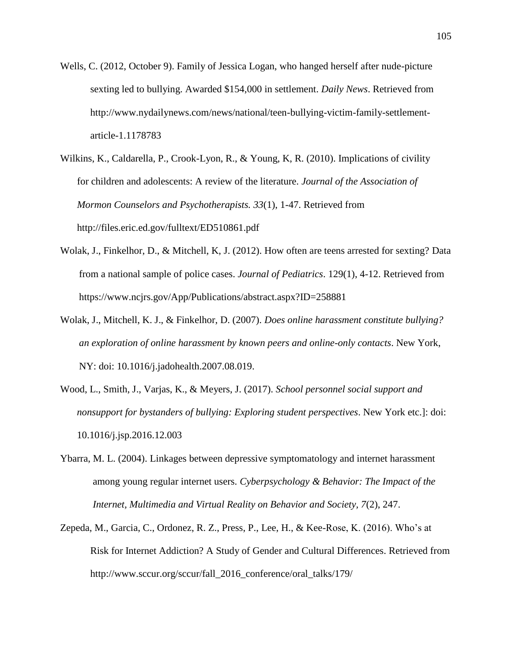Wells, C. (2012, October 9). Family of Jessica Logan, who hanged herself after nude-picture sexting led to bullying. Awarded \$154,000 in settlement. *Daily News*. Retrieved from http://www.nydailynews.com/news/national/teen-bullying-victim-family-settlementarticle-1.1178783

Wilkins, K., Caldarella, P., Crook-Lyon, R., & Young, K, R. (2010). Implications of civility for children and adolescents: A review of the literature. *Journal of the Association of Mormon Counselors and Psychotherapists. 33*(1), 1-47. Retrieved from http://files.eric.ed.gov/fulltext/ED510861.pdf

- Wolak, J., Finkelhor, D., & Mitchell, K, J. (2012). How often are teens arrested for sexting? Data from a national sample of police cases. *Journal of Pediatrics*. 129(1), 4-12. Retrieved from https://www.ncjrs.gov/App/Publications/abstract.aspx?ID=258881
- Wolak, J., Mitchell, K. J., & Finkelhor, D. (2007). *Does online harassment constitute bullying? an exploration of online harassment by known peers and online-only contacts*. New York, NY: doi: 10.1016/j.jadohealth.2007.08.019.
- Wood, L., Smith, J., Varjas, K., & Meyers, J. (2017). *School personnel social support and nonsupport for bystanders of bullying: Exploring student perspectives*. New York etc.]: doi: 10.1016/j.jsp.2016.12.003
- Ybarra, M. L. (2004). Linkages between depressive symptomatology and internet harassment among young regular internet users. *Cyberpsychology & Behavior: The Impact of the Internet, Multimedia and Virtual Reality on Behavior and Society, 7*(2), 247.
- Zepeda, M., Garcia, C., Ordonez, R. Z., Press, P., Lee, H., & Kee-Rose, K. (2016). Who's at Risk for Internet Addiction? A Study of Gender and Cultural Differences. Retrieved from [http://www.sccur.org/sccur/fall\\_2016\\_conference/oral\\_talks/179/](http://www.sccur.org/sccur/fall_2016_conference/oral_talks/179/)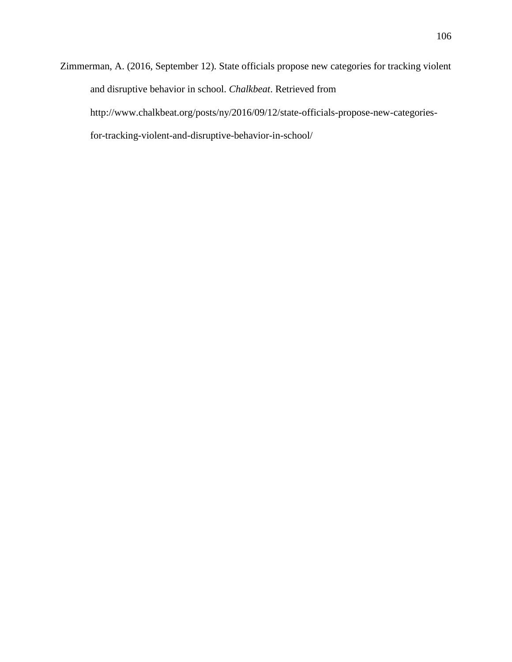Zimmerman, A. (2016, September 12). State officials propose new categories for tracking violent and disruptive behavior in school. *Chalkbeat*. Retrieved from http://www.chalkbeat.org/posts/ny/2016/09/12/state-officials-propose-new-categoriesfor-tracking-violent-and-disruptive-behavior-in-school/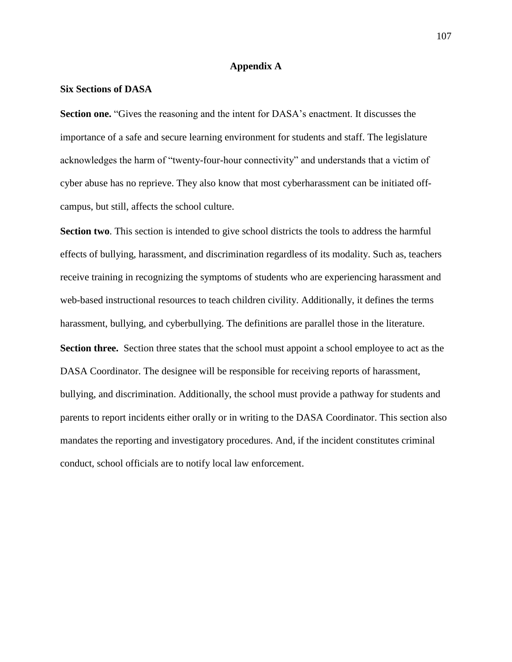# **Appendix A**

### **Six Sections of DASA**

**Section one.** "Gives the reasoning and the intent for DASA's enactment. It discusses the importance of a safe and secure learning environment for students and staff. The legislature acknowledges the harm of "twenty-four-hour connectivity" and understands that a victim of cyber abuse has no reprieve. They also know that most cyberharassment can be initiated offcampus, but still, affects the school culture.

**Section two**. This section is intended to give school districts the tools to address the harmful effects of bullying, harassment, and discrimination regardless of its modality. Such as, teachers receive training in recognizing the symptoms of students who are experiencing harassment and web-based instructional resources to teach children civility. Additionally, it defines the terms harassment, bullying, and cyberbullying. The definitions are parallel those in the literature. **Section three.** Section three states that the school must appoint a school employee to act as the DASA Coordinator. The designee will be responsible for receiving reports of harassment, bullying, and discrimination. Additionally, the school must provide a pathway for students and parents to report incidents either orally or in writing to the DASA Coordinator. This section also mandates the reporting and investigatory procedures. And, if the incident constitutes criminal conduct, school officials are to notify local law enforcement.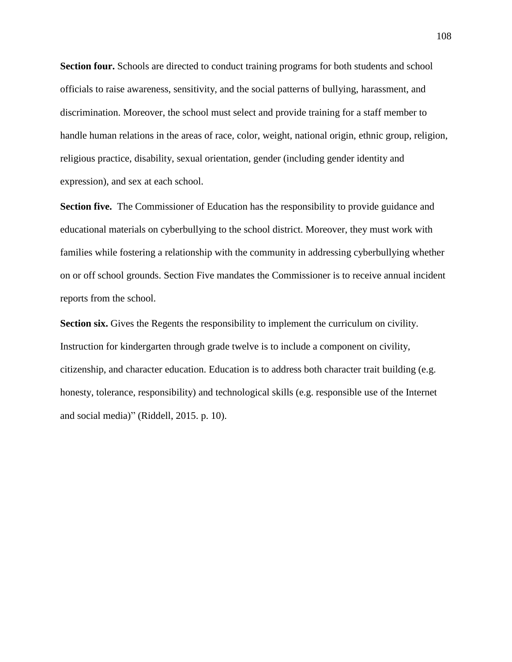Section four. Schools are directed to conduct training programs for both students and school officials to raise awareness, sensitivity, and the social patterns of bullying, harassment, and discrimination. Moreover, the school must select and provide training for a staff member to handle human relations in the areas of race, color, weight, national origin, ethnic group, religion, religious practice, disability, sexual orientation, gender (including gender identity and expression), and sex at each school.

**Section five.** The Commissioner of Education has the responsibility to provide guidance and educational materials on cyberbullying to the school district. Moreover, they must work with families while fostering a relationship with the community in addressing cyberbullying whether on or off school grounds. Section Five mandates the Commissioner is to receive annual incident reports from the school.

**Section six.** Gives the Regents the responsibility to implement the curriculum on civility. Instruction for kindergarten through grade twelve is to include a component on civility, citizenship, and character education. Education is to address both character trait building (e.g. honesty, tolerance, responsibility) and technological skills (e.g. responsible use of the Internet and social media)" (Riddell, 2015. p. 10).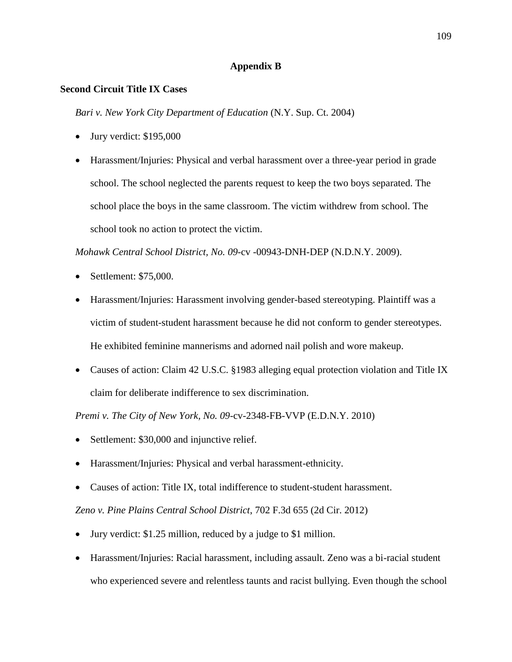# **Appendix B**

# **Second Circuit Title IX Cases**

*Bari v. New York City Department of Education* (N.Y. Sup. Ct. 2004)

- Jury verdict: \$195,000
- Harassment/Injuries: Physical and verbal harassment over a three-year period in grade school. The school neglected the parents request to keep the two boys separated. The school place the boys in the same classroom. The victim withdrew from school. The school took no action to protect the victim.

*Mohawk Central School District, No. 09-*cv -00943-DNH-DEP (N.D.N.Y. 2009).

- Settlement: \$75,000.
- Harassment/Injuries: Harassment involving gender-based stereotyping. Plaintiff was a victim of student-student harassment because he did not conform to gender stereotypes. He exhibited feminine mannerisms and adorned nail polish and wore makeup.
- Causes of action: Claim 42 U.S.C. §1983 alleging equal protection violation and Title IX claim for deliberate indifference to sex discrimination.

*Premi v. The City of New York, No. 09*-cv-2348-FB-VVP (E.D.N.Y. 2010)

- Settlement: \$30,000 and injunctive relief.
- Harassment/Injuries: Physical and verbal harassment-ethnicity.
- Causes of action: Title IX, total indifference to student-student harassment.

*Zeno v. Pine Plains Central School District*, 702 F.3d 655 (2d Cir. 2012)

- Jury verdict: \$1.25 million, reduced by a judge to \$1 million.
- Harassment/Injuries: Racial harassment, including assault. Zeno was a bi-racial student who experienced severe and relentless taunts and racist bullying. Even though the school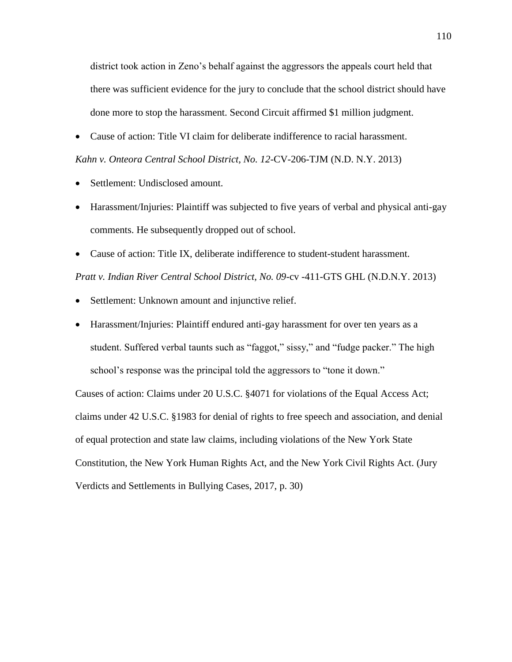district took action in Zeno's behalf against the aggressors the appeals court held that there was sufficient evidence for the jury to conclude that the school district should have done more to stop the harassment. Second Circuit affirmed \$1 million judgment.

• Cause of action: Title VI claim for deliberate indifference to racial harassment.

*Kahn v. Onteora Central School District, No. 12*-CV-206-TJM (N.D. N.Y. 2013)

- Settlement: Undisclosed amount.
- Harassment/Injuries: Plaintiff was subjected to five years of verbal and physical anti-gay comments. He subsequently dropped out of school.
- Cause of action: Title IX, deliberate indifference to student-student harassment.

*Pratt v. Indian River Central School District, No. 09*-cv -411-GTS GHL (N.D.N.Y. 2013)

- Settlement: Unknown amount and injunctive relief.
- Harassment/Injuries: Plaintiff endured anti-gay harassment for over ten years as a student. Suffered verbal taunts such as "faggot," sissy," and "fudge packer." The high school's response was the principal told the aggressors to "tone it down."

Causes of action: Claims under 20 U.S.C. §4071 for violations of the Equal Access Act; claims under 42 U.S.C. §1983 for denial of rights to free speech and association, and denial of equal protection and state law claims, including violations of the New York State Constitution, the New York Human Rights Act, and the New York Civil Rights Act. (Jury Verdicts and Settlements in Bullying Cases, 2017, p. 30)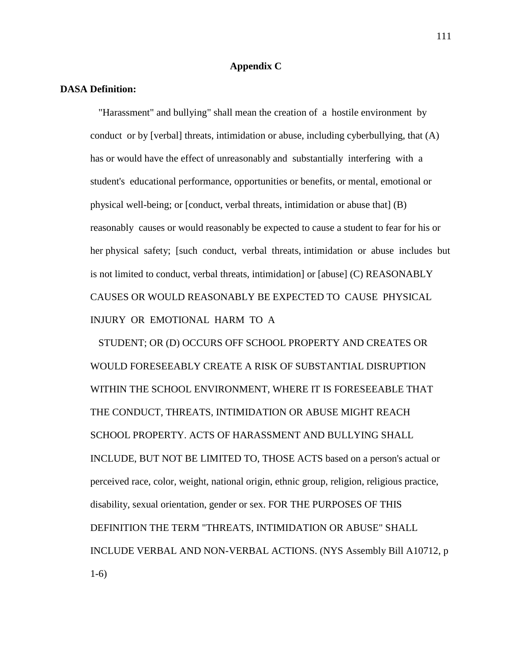#### **Appendix C**

#### **DASA Definition:**

"Harassment" and bullying" shall mean the creation of a hostile environment by conduct or by [verbal] threats, intimidation or abuse, including cyberbullying, that (A) has or would have the effect of unreasonably and substantially interfering with a student's educational performance, opportunities or benefits, or mental, emotional or physical well-being; or [conduct, verbal threats, intimidation or abuse that] (B) reasonably causes or would reasonably be expected to cause a student to fear for his or her physical safety; [such conduct, verbal threats, intimidation or abuse includes but is not limited to conduct, verbal threats, intimidation] or [abuse] (C) REASONABLY CAUSES OR WOULD REASONABLY BE EXPECTED TO CAUSE PHYSICAL INJURY OR EMOTIONAL HARM TO A

STUDENT; OR (D) OCCURS OFF SCHOOL PROPERTY AND CREATES OR WOULD FORESEEABLY CREATE A RISK OF SUBSTANTIAL DISRUPTION WITHIN THE SCHOOL ENVIRONMENT, WHERE IT IS FORESEEABLE THAT THE CONDUCT, THREATS, INTIMIDATION OR ABUSE MIGHT REACH SCHOOL PROPERTY. ACTS OF HARASSMENT AND BULLYING SHALL INCLUDE, BUT NOT BE LIMITED TO, THOSE ACTS based on a person's actual or perceived race, color, weight, national origin, ethnic group, religion, religious practice, disability, sexual orientation, gender or sex. FOR THE PURPOSES OF THIS DEFINITION THE TERM "THREATS, INTIMIDATION OR ABUSE" SHALL INCLUDE VERBAL AND NON-VERBAL ACTIONS. (NYS Assembly Bill A10712, p 1-6)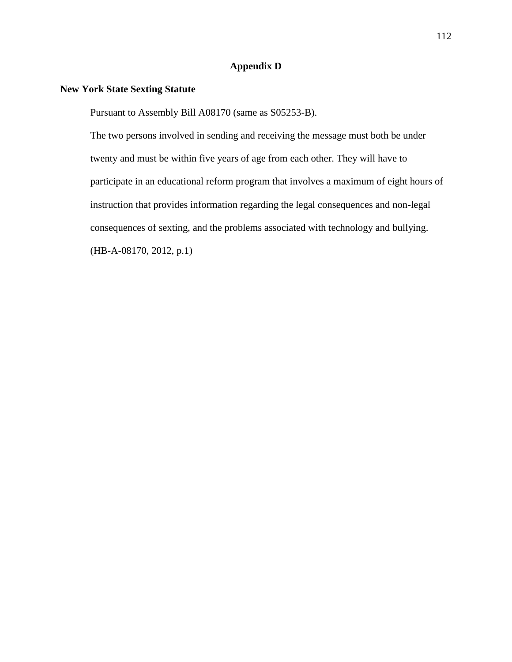## **Appendix D**

# **New York State Sexting Statute**

Pursuant to Assembly Bill A08170 (same as S05253-B).

The two persons involved in sending and receiving the message must both be under twenty and must be within five years of age from each other. They will have to participate in an educational reform program that involves a maximum of eight hours of instruction that provides information regarding the legal consequences and non-legal consequences of sexting, and the problems associated with technology and bullying. (HB-A-08170, 2012, p.1)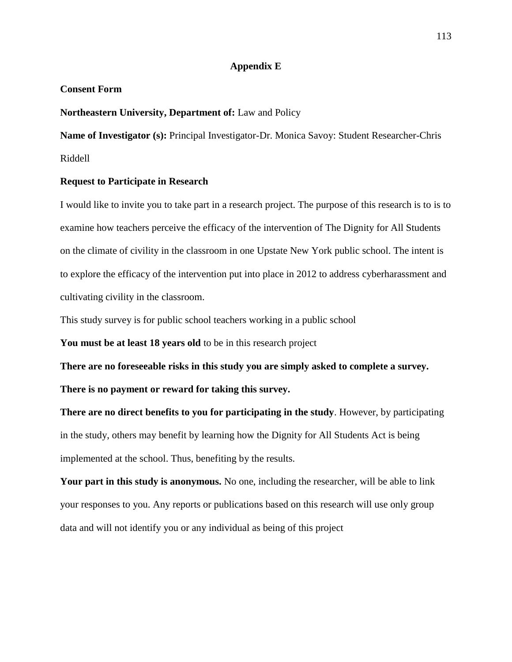#### **Appendix E**

#### **Consent Form**

#### **Northeastern University, Department of:** Law and Policy

**Name of Investigator (s):** Principal Investigator-Dr. Monica Savoy: Student Researcher-Chris Riddell

#### **Request to Participate in Research**

I would like to invite you to take part in a research project. The purpose of this research is to is to examine how teachers perceive the efficacy of the intervention of The Dignity for All Students on the climate of civility in the classroom in one Upstate New York public school. The intent is to explore the efficacy of the intervention put into place in 2012 to address cyberharassment and cultivating civility in the classroom.

This study survey is for public school teachers working in a public school

**You must be at least 18 years old** to be in this research project

**There are no foreseeable risks in this study you are simply asked to complete a survey. There is no payment or reward for taking this survey.**

**There are no direct benefits to you for participating in the study**. However, by participating in the study, others may benefit by learning how the Dignity for All Students Act is being implemented at the school. Thus, benefiting by the results.

**Your part in this study is anonymous.** No one, including the researcher, will be able to link your responses to you. Any reports or publications based on this research will use only group data and will not identify you or any individual as being of this project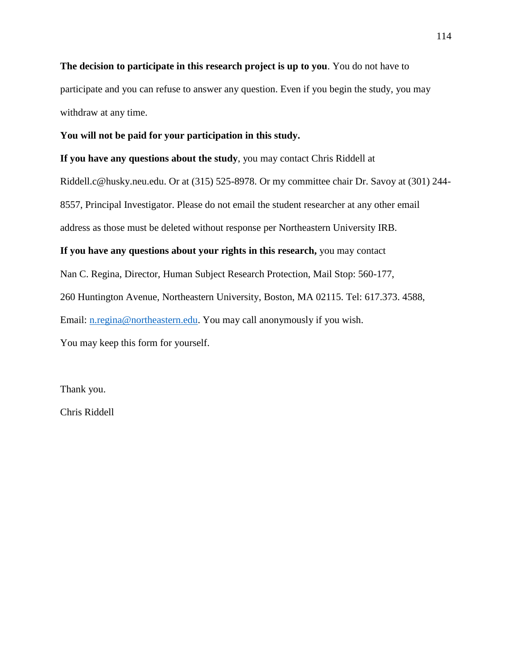**The decision to participate in this research project is up to you**. You do not have to participate and you can refuse to answer any question. Even if you begin the study, you may withdraw at any time.

#### **You will not be paid for your participation in this study.**

**If you have any questions about the study**, you may contact Chris Riddell at

Riddell.c@husky.neu.edu. Or at (315) 525-8978. Or my committee chair Dr. Savoy at (301) 244- 8557, Principal Investigator. Please do not email the student researcher at any other email address as those must be deleted without response per Northeastern University IRB.

#### **If you have any questions about your rights in this research,** you may contact

Nan C. Regina, Director, Human Subject Research Protection, Mail Stop: 560-177,

260 Huntington Avenue, Northeastern University, Boston, MA 02115. Tel: 617.373. 4588,

Email: [n.regina@northeastern.edu.](mailto:n.regina@northeastern.edu) You may call anonymously if you wish.

You may keep this form for yourself.

Thank you.

Chris Riddell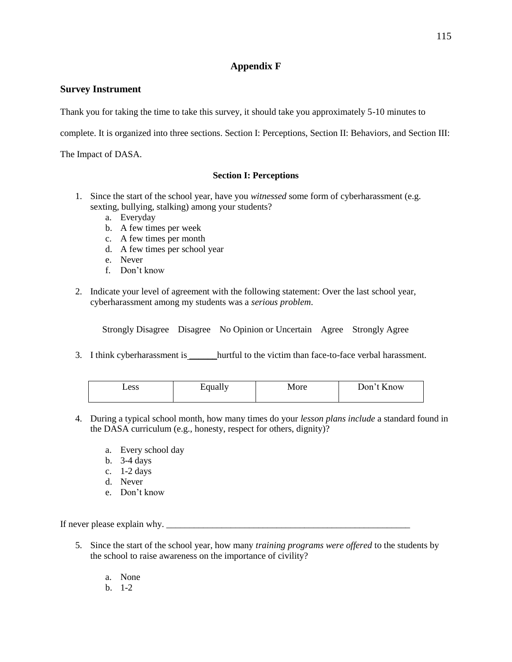# **Appendix F**

### **Survey Instrument**

Thank you for taking the time to take this survey, it should take you approximately 5-10 minutes to

complete. It is organized into three sections. Section I: Perceptions, Section II: Behaviors, and Section III:

The Impact of DASA.

#### **Section I: Perceptions**

- 1. Since the start of the school year, have you *witnessed* some form of cyberharassment (e.g. sexting, bullying, stalking) among your students?
	- a. Everyday
	- b. A few times per week
	- c. A few times per month
	- d. A few times per school year
	- e. Never
	- f. Don't know
- 2. Indicate your level of agreement with the following statement: Over the last school year, cyberharassment among my students was a *serious problem*.

Strongly Disagree Disagree No Opinion or Uncertain Agree Strongly Agree

3. I think cyberharassment is hurtful to the victim than face-to-face verbal harassment.

| Less | <i>i</i> qually | More | Don't Know |
|------|-----------------|------|------------|
|------|-----------------|------|------------|

- 4. During a typical school month, how many times do your *lesson plans include* a standard found in the DASA curriculum (e.g., honesty, respect for others, dignity)?
	- a. Every school day
	- b. 3-4 days
	- c. 1-2 days
	- d. Never
	- e. Don't know

If never please explain why.

- 5. Since the start of the school year, how many *training programs were offered* to the students by the school to raise awareness on the importance of civility?
	- a. None
	- b. 1-2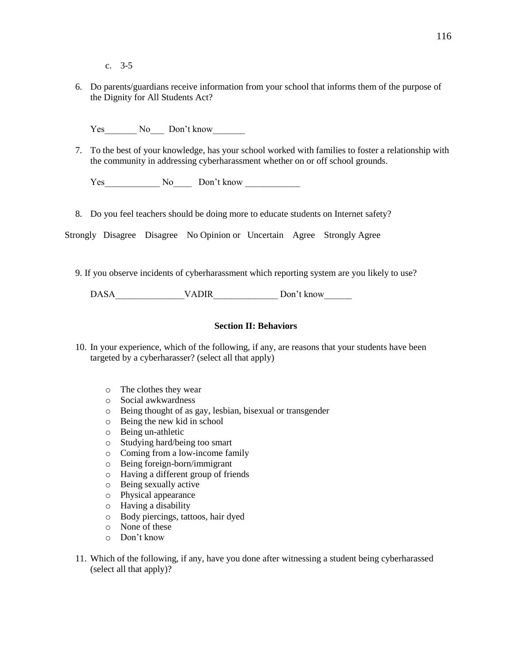- c. 3-5
- 6. Do parents/guardians receive information from your school that informs them of the purpose of the Dignity for All Students Act?

Yes No Don't know

7. To the best of your knowledge, has your school worked with families to foster a relationship with the community in addressing cyberharassment whether on or off school grounds.

Yes No Don't know

8. Do you feel teachers should be doing more to educate students on Internet safety?

Strongly Disagree Disagree No Opinion or Uncertain Agree Strongly Agree

9. If you observe incidents of cyberharassment which reporting system are you likely to use?

DASA VADIR Don't know

#### **Section II: Behaviors**

- 10. In your experience, which of the following, if any, are reasons that your students have been targeted by a cyberharasser? (select all that apply)
	- o The clothes they wear
	- o Social awkwardness
	- o Being thought of as gay, lesbian, bisexual or transgender
	- o Being the new kid in school
	- o Being un-athletic
	- o Studying hard/being too smart
	- o Coming from a low-income family
	- o Being foreign-born/immigrant
	- o Having a different group of friends
	- o Being sexually active
	- o Physical appearance
	- o Having a disability
	- o Body piercings, tattoos, hair dyed
	- o None of these
	- o Don't know
- 11. Which of the following, if any, have you done after witnessing a student being cyberharassed (select all that apply)?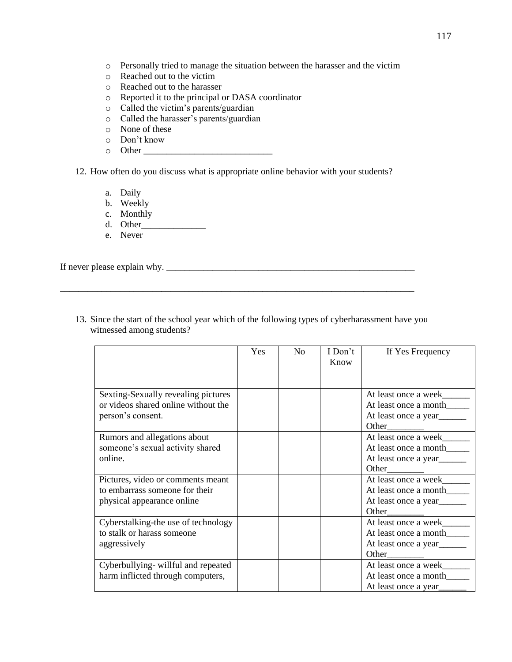- o Personally tried to manage the situation between the harasser and the victim
- o Reached out to the victim
- o Reached out to the harasser
- o Reported it to the principal or DASA coordinator
- o Called the victim's parents/guardian
- o Called the harasser's parents/guardian
- o None of these
- o Don't know
- o Other \_\_\_\_\_\_\_\_\_\_\_\_\_\_\_\_\_\_\_\_\_\_\_\_\_\_\_\_

12. How often do you discuss what is appropriate online behavior with your students?

- a. Daily
- b. Weekly
- c. Monthly
- d. Other\_\_\_\_\_\_\_\_\_\_\_\_\_\_
- e. Never

If never please explain why. \_\_\_\_\_\_\_\_\_\_\_\_\_\_\_\_\_\_\_\_\_\_\_\_\_\_\_\_\_\_\_\_\_\_\_\_\_\_\_\_\_\_\_\_\_\_\_\_\_\_\_\_\_\_

13. Since the start of the school year which of the following types of cyberharassment have you witnessed among students?

\_\_\_\_\_\_\_\_\_\_\_\_\_\_\_\_\_\_\_\_\_\_\_\_\_\_\_\_\_\_\_\_\_\_\_\_\_\_\_\_\_\_\_\_\_\_\_\_\_\_\_\_\_\_\_\_\_\_\_\_\_\_\_\_\_\_\_\_\_\_\_\_\_\_\_\_\_

|                                                                                                   | Yes | N <sub>0</sub> | I Don't<br>Know | If Yes Frequency                                                               |
|---------------------------------------------------------------------------------------------------|-----|----------------|-----------------|--------------------------------------------------------------------------------|
| Sexting-Sexually revealing pictures<br>or videos shared online without the<br>person's consent.   |     |                |                 | At least once a week<br>At least once a month<br>At least once a year<br>Other |
| Rumors and allegations about<br>someone's sexual activity shared<br>online.                       |     |                |                 | At least once a week<br>At least once a month<br>At least once a year<br>Other |
| Pictures, video or comments meant<br>to embarrass someone for their<br>physical appearance online |     |                |                 | At least once a week<br>At least once a month<br>At least once a year<br>Other |
| Cyberstalking-the use of technology<br>to stalk or harass someone<br>aggressively                 |     |                |                 | At least once a week<br>At least once a month<br>At least once a year<br>Other |
| Cyberbullying-willful and repeated<br>harm inflicted through computers,                           |     |                |                 | At least once a week<br>At least once a month<br>At least once a year          |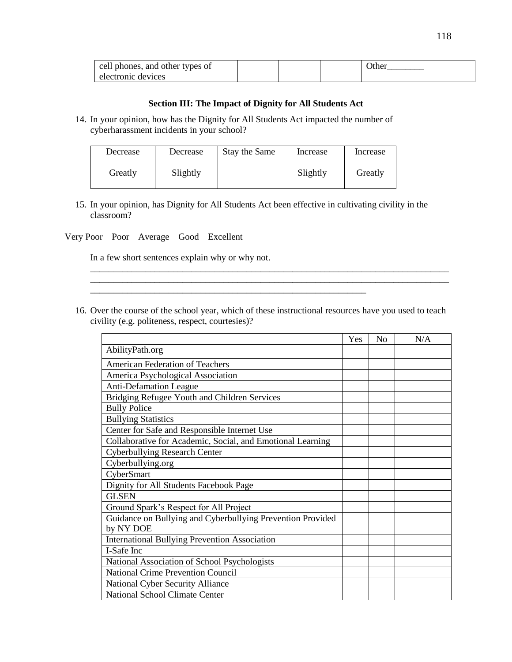| cell phones, and other types of |  | )ther |
|---------------------------------|--|-------|
| electronic devices              |  |       |

#### **Section III: The Impact of Dignity for All Students Act**

14. In your opinion, how has the Dignity for All Students Act impacted the number of cyberharassment incidents in your school?

| Decrease | Decrease | Stay the Same | Increase | Increase |
|----------|----------|---------------|----------|----------|
| Greatly  | Slightly |               | Slightly | Greatly  |

- 15. In your opinion, has Dignity for All Students Act been effective in cultivating civility in the classroom?
- Very Poor Poor Average Good Excellent

In a few short sentences explain why or why not.

16. Over the course of the school year, which of these instructional resources have you used to teach civility (e.g. politeness, respect, courtesies)?

\_\_\_\_\_\_\_\_\_\_\_\_\_\_\_\_\_\_\_\_\_\_\_\_\_\_\_\_\_\_\_\_\_\_\_\_\_\_\_\_\_\_\_\_\_\_\_\_\_\_\_\_\_\_\_\_\_\_\_\_\_\_\_\_\_\_\_\_\_\_\_\_\_\_\_\_\_\_ \_\_\_\_\_\_\_\_\_\_\_\_\_\_\_\_\_\_\_\_\_\_\_\_\_\_\_\_\_\_\_\_\_\_\_\_\_\_\_\_\_\_\_\_\_\_\_\_\_\_\_\_\_\_\_\_\_\_\_\_\_\_\_\_\_\_\_\_\_\_\_\_\_\_\_\_\_\_

|                                                                         | Yes | N <sub>o</sub> | N/A |
|-------------------------------------------------------------------------|-----|----------------|-----|
| AbilityPath.org                                                         |     |                |     |
| American Federation of Teachers                                         |     |                |     |
| America Psychological Association                                       |     |                |     |
| <b>Anti-Defamation League</b>                                           |     |                |     |
| Bridging Refugee Youth and Children Services                            |     |                |     |
| <b>Bully Police</b>                                                     |     |                |     |
| <b>Bullying Statistics</b>                                              |     |                |     |
| Center for Safe and Responsible Internet Use                            |     |                |     |
| Collaborative for Academic, Social, and Emotional Learning              |     |                |     |
| <b>Cyberbullying Research Center</b>                                    |     |                |     |
| Cyberbullying.org                                                       |     |                |     |
| CyberSmart                                                              |     |                |     |
| Dignity for All Students Facebook Page                                  |     |                |     |
| <b>GLSEN</b>                                                            |     |                |     |
| Ground Spark's Respect for All Project                                  |     |                |     |
| Guidance on Bullying and Cyberbullying Prevention Provided<br>by NY DOE |     |                |     |
| <b>International Bullying Prevention Association</b>                    |     |                |     |
| I-Safe Inc                                                              |     |                |     |
| National Association of School Psychologists                            |     |                |     |
| <b>National Crime Prevention Council</b>                                |     |                |     |
| <b>National Cyber Security Alliance</b>                                 |     |                |     |
| <b>National School Climate Center</b>                                   |     |                |     |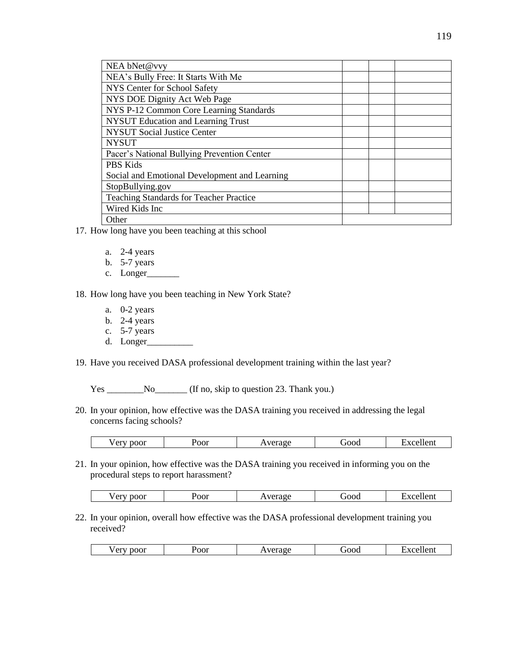| NEA bNet@vvy                                   |  |
|------------------------------------------------|--|
| NEA's Bully Free: It Starts With Me            |  |
| NYS Center for School Safety                   |  |
| NYS DOE Dignity Act Web Page                   |  |
| NYS P-12 Common Core Learning Standards        |  |
| <b>NYSUT Education and Learning Trust</b>      |  |
| <b>NYSUT Social Justice Center</b>             |  |
| <b>NYSUT</b>                                   |  |
| Pacer's National Bullying Prevention Center    |  |
| <b>PBS Kids</b>                                |  |
| Social and Emotional Development and Learning  |  |
| StopBullying.gov                               |  |
| <b>Teaching Standards for Teacher Practice</b> |  |
| Wired Kids Inc                                 |  |
| Other                                          |  |
|                                                |  |

- 17. How long have you been teaching at this school
	- a. 2-4 years
	- b. 5-7 years
	- c. Longer\_

18. How long have you been teaching in New York State?

- a. 0-2 years
- b. 2-4 years
- c. 5-7 years
- d. Longer\_\_\_\_\_\_\_\_\_\_

19. Have you received DASA professional development training within the last year?

Yes \_\_\_\_\_\_\_\_\_No\_\_\_\_\_\_\_ (If no, skip to question 23. Thank you.)

20. In your opinion, how effective was the DASA training you received in addressing the legal concerns facing schools?

21. In your opinion, how effective was the DASA training you received in informing you on the procedural steps to report harassment?

| poor<br>$A = 1$<br>vег, | oor/ | ാമാനല<br>$\cdots$ | <b>DOOL</b> | <br>xcellent |
|-------------------------|------|-------------------|-------------|--------------|
|                         |      |                   |             |              |

22. In your opinion, overall how effective was the DASA professional development training you received?

|                         |               |         | $\sim$                            |
|-------------------------|---------------|---------|-----------------------------------|
| $-$<br>. .<br>∵CI.<br>ັ | $\sim$<br>oor | <br>JOC | ---<br>՝ Նու<br>. .<br>__________ |
|                         |               |         |                                   |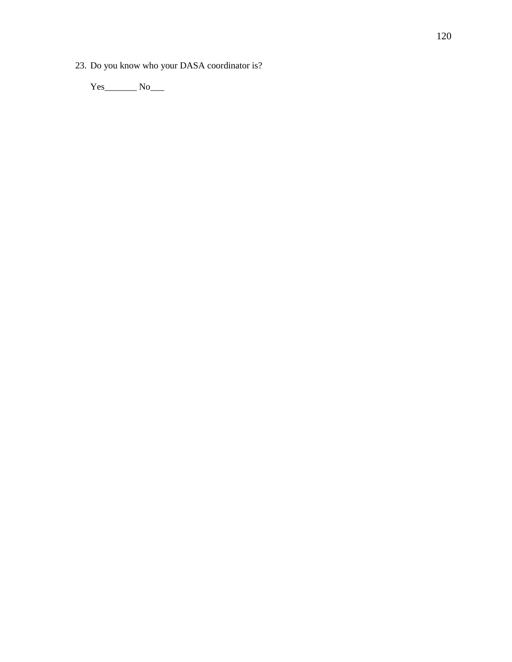23. Do you know who your DASA coordinator is?

Yes\_\_\_\_\_\_\_\_\_ No\_\_\_\_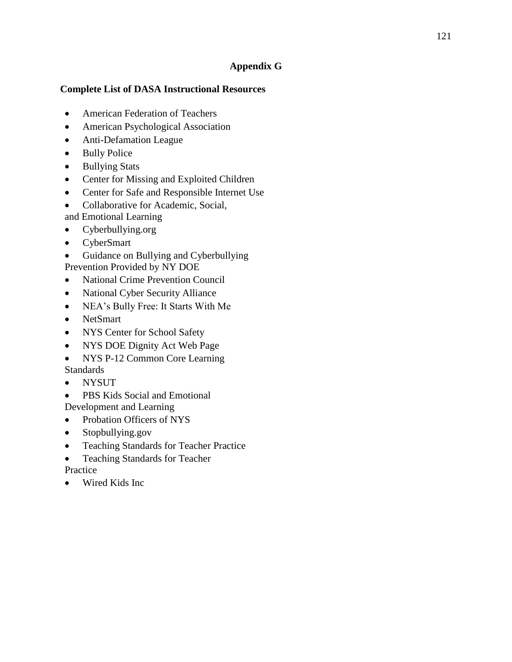# **Appendix G**

# **Complete List of DASA Instructional Resources**

- American Federation of Teachers
- American Psychological Association
- Anti-Defamation League
- Bully Police
- Bullying Stats
- Center for Missing and Exploited Children
- Center for Safe and Responsible Internet Use
- Collaborative for Academic, Social,
- and Emotional Learning
- Cyberbullying.org
- CyberSmart
- Guidance on Bullying and Cyberbullying
- Prevention Provided by NY DOE
- National Crime Prevention Council
- National Cyber Security Alliance
- NEA's Bully Free: It Starts With Me
- NetSmart
- NYS Center for School Safety
- NYS DOE Dignity Act Web Page
- NYS P-12 Common Core Learning
- **Standards**
- NYSUT
- PBS Kids Social and Emotional Development and Learning
- Probation Officers of NYS
- Stopbullying.gov
- Teaching Standards for Teacher Practice
- Teaching Standards for Teacher **Practice**
- Wired Kids Inc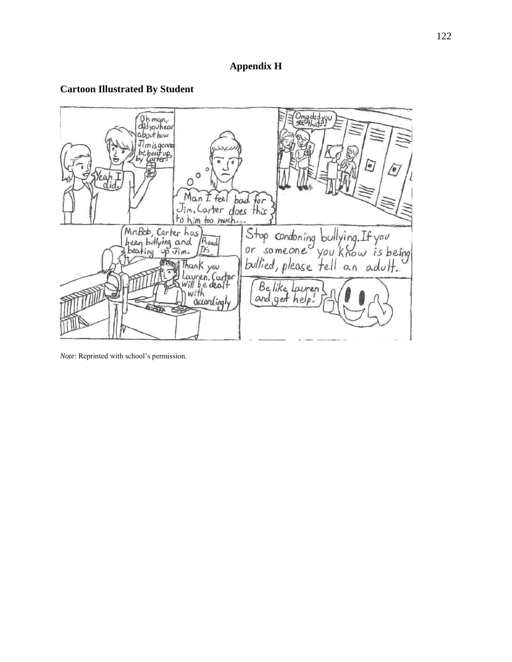# **Appendix H**

# **Cartoon Illustrated By Student**



*Note*: Reprinted with school's permission.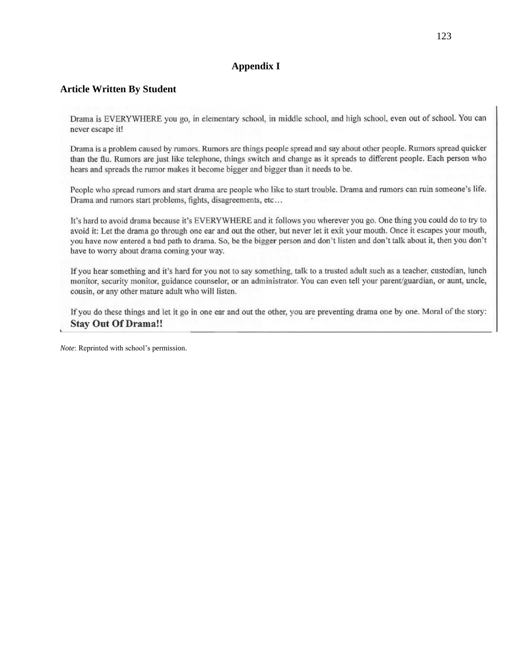## **Appendix I**

#### **Article Written By Student**

Drama is EVERYWHERE you go, in elementary school, in middle school, and high school, even out of school. You can never escape it!

Drama is a problem caused by rumors. Rumors are things people spread and say about other people. Rumors spread quicker than the flu. Rumors are just like telephone, things switch and change as it spreads to different people. Each person who hears and spreads the rumor makes it become bigger and bigger than it needs to be.

People who spread rumors and start drama are people who like to start trouble. Drama and rumors can ruin someone's life. Drama and rumors start problems, fights, disagreements, etc...

It's hard to avoid drama because it's EVERYWHERE and it follows you wherever you go. One thing you could do to try to avoid it: Let the drama go through one ear and out the other, but never let it exit your mouth. Once it escapes your mouth, you have now entered a bad path to drama. So, be the bigger person and don't listen and don't talk about it, then you don't have to worry about drama coming your way.

If you hear something and it's hard for you not to say something, talk to a trusted adult such as a teacher, custodian, lunch monitor, security monitor, guidance counselor, or an administrator. You can even tell your parent/guardian, or aunt, uncle, cousin, or any other mature adult who will listen.

If you do these things and let it go in one ear and out the other, you are preventing drama one by one. Moral of the story: **Stay Out Of Drama!!** 

*Note*: Reprinted with school's permission.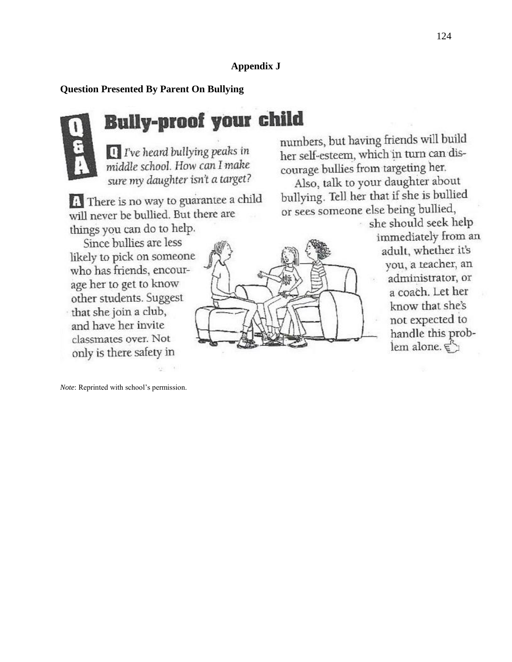# **Appendix J**

## **Question Presented By Parent On Bullying**



# Bully-proof your child

 $\Box$  I've heard bullying peaks in middle school. How can I make sure my daughter isn't a target?

**4** There is no way to guarantee a child will never be bullied. But there are things you can do to help.

Since bullies are less likely to pick on someone who has friends, encourage her to get to know other students. Suggest that she join a club, and have her invite classmates over. Not only is there safety in

*Note*: Reprinted with school's permission.

numbers, but having friends will build her self-esteem, which in turn can discourage bullies from targeting her.

Also, talk to your daughter about bullying. Tell her that if she is bullied or sees someone else being bullied,

she should seek help immediately from an adult, whether it's you, a teacher, an administrator, or a coach. Let her know that she's not expected to handle this problem alone. ह्री



124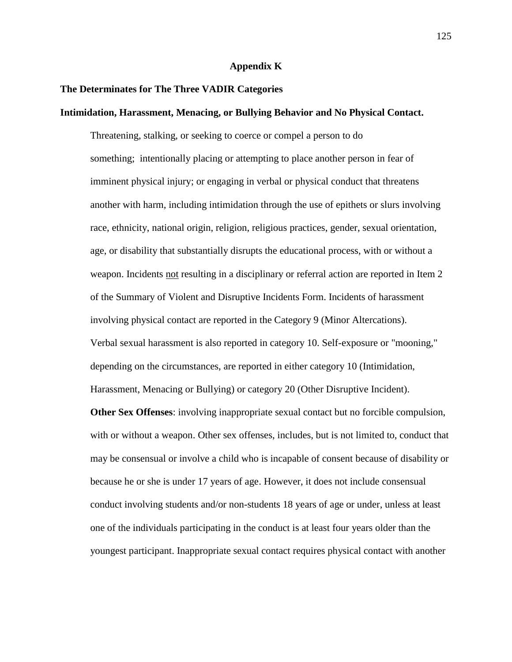#### **Appendix K**

#### **The Determinates for The Three VADIR Categories**

#### **Intimidation, Harassment, Menacing, or Bullying Behavior and No Physical Contact.**

Threatening, stalking, or seeking to coerce or compel a person to do something; intentionally placing or attempting to place another person in fear of imminent physical injury; or engaging in verbal or physical conduct that threatens another with harm, including intimidation through the use of epithets or slurs involving race, ethnicity, national origin, religion, religious practices, gender, sexual orientation, age, or disability that substantially disrupts the educational process, with or without a weapon. Incidents not resulting in a disciplinary or referral action are reported in Item 2 of the Summary of Violent and Disruptive Incidents Form. Incidents of harassment involving physical contact are reported in the Category 9 (Minor Altercations). Verbal sexual harassment is also reported in category 10. Self-exposure or "mooning," depending on the circumstances, are reported in either category 10 (Intimidation, Harassment, Menacing or Bullying) or category 20 (Other Disruptive Incident).

**Other Sex Offenses**: involving inappropriate sexual contact but no forcible compulsion, with or without a weapon. Other sex offenses, includes, but is not limited to, conduct that may be consensual or involve a child who is incapable of consent because of disability or because he or she is under 17 years of age. However, it does not include consensual conduct involving students and/or non-students 18 years of age or under, unless at least one of the individuals participating in the conduct is at least four years older than the youngest participant. Inappropriate sexual contact requires physical contact with another